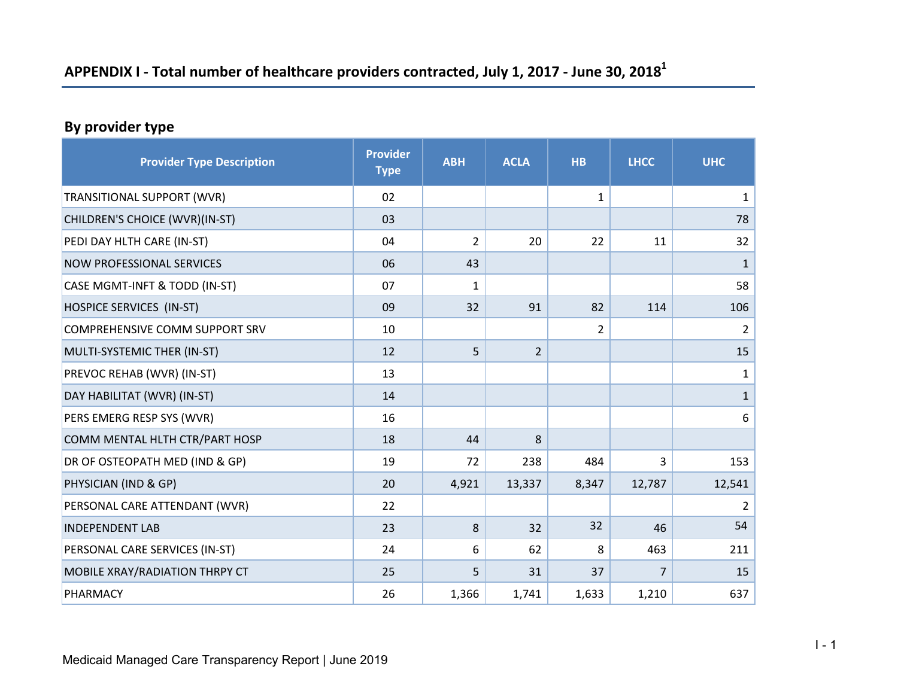# **APPENDIX I ‐ Total number of healthcare providers contracted, July 1, 2017 ‐ June 30, 2018<sup>1</sup>**

### **By provider type**

| <b>Provider Type Description</b>      | <b>Provider</b><br><b>Type</b> | <b>ABH</b> | <b>ACLA</b>    | <b>HB</b>      | <b>LHCC</b>    | <b>UHC</b>       |
|---------------------------------------|--------------------------------|------------|----------------|----------------|----------------|------------------|
| TRANSITIONAL SUPPORT (WVR)            | 02                             |            |                | 1              |                | $\mathbf{1}$     |
| CHILDREN'S CHOICE (WVR)(IN-ST)        | 03                             |            |                |                |                | 78               |
| PEDI DAY HLTH CARE (IN-ST)            | 04                             | 2          | 20             | 22             | 11             | 32               |
| <b>NOW PROFESSIONAL SERVICES</b>      | 06                             | 43         |                |                |                | $\mathbf{1}$     |
| CASE MGMT-INFT & TODD (IN-ST)         | 07                             | 1          |                |                |                | 58               |
| HOSPICE SERVICES (IN-ST)              | 09                             | 32         | 91             | 82             | 114            | 106              |
| <b>COMPREHENSIVE COMM SUPPORT SRV</b> | 10                             |            |                | $\overline{2}$ |                | $\overline{2}$   |
| MULTI-SYSTEMIC THER (IN-ST)           | 12                             | 5          | $\overline{2}$ |                |                | 15               |
| PREVOC REHAB (WVR) (IN-ST)            | 13                             |            |                |                |                | $\mathbf{1}$     |
| DAY HABILITAT (WVR) (IN-ST)           | 14                             |            |                |                |                | $\mathbf{1}$     |
| PERS EMERG RESP SYS (WVR)             | 16                             |            |                |                |                | $\boldsymbol{6}$ |
| COMM MENTAL HLTH CTR/PART HOSP        | 18                             | 44         | 8              |                |                |                  |
| DR OF OSTEOPATH MED (IND & GP)        | 19                             | 72         | 238            | 484            | $\overline{3}$ | 153              |
| PHYSICIAN (IND & GP)                  | 20                             | 4,921      | 13,337         | 8,347          | 12,787         | 12,541           |
| PERSONAL CARE ATTENDANT (WVR)         | 22                             |            |                |                |                | $\overline{2}$   |
| <b>INDEPENDENT LAB</b>                | 23                             | 8          | 32             | 32             | 46             | 54               |
| PERSONAL CARE SERVICES (IN-ST)        | 24                             | 6          | 62             | 8              | 463            | 211              |
| MOBILE XRAY/RADIATION THRPY CT        | 25                             | 5          | 31             | 37             | 7              | 15               |
| PHARMACY                              | 26                             | 1,366      | 1,741          | 1,633          | 1,210          | 637              |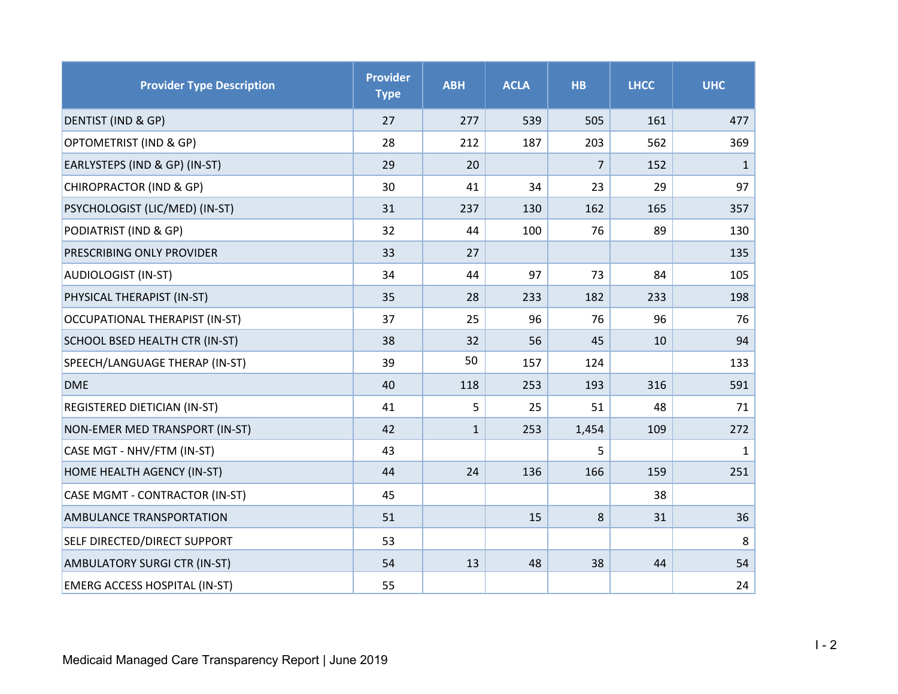| <b>Provider Type Description</b>      | <b>Provider</b><br><b>Type</b> | <b>ABH</b>   | <b>ACLA</b> | <b>HB</b>      | <b>LHCC</b> | <b>UHC</b>   |
|---------------------------------------|--------------------------------|--------------|-------------|----------------|-------------|--------------|
| DENTIST (IND & GP)                    | 27                             | 277          | 539         | 505            | 161         | 477          |
| OPTOMETRIST (IND & GP)                | 28                             | 212          | 187         | 203            | 562         | 369          |
| EARLYSTEPS (IND & GP) (IN-ST)         | 29                             | 20           |             | $\overline{7}$ | 152         | $\mathbf{1}$ |
| CHIROPRACTOR (IND & GP)               | 30                             | 41           | 34          | 23             | 29          | 97           |
| PSYCHOLOGIST (LIC/MED) (IN-ST)        | 31                             | 237          | 130         | 162            | 165         | 357          |
| PODIATRIST (IND & GP)                 | 32                             | 44           | 100         | 76             | 89          | 130          |
| PRESCRIBING ONLY PROVIDER             | 33                             | 27           |             |                |             | 135          |
| <b>AUDIOLOGIST (IN-ST)</b>            | 34                             | 44           | 97          | 73             | 84          | 105          |
| PHYSICAL THERAPIST (IN-ST)            | 35                             | 28           | 233         | 182            | 233         | 198          |
| <b>OCCUPATIONAL THERAPIST (IN-ST)</b> | 37                             | 25           | 96          | 76             | 96          | 76           |
| SCHOOL BSED HEALTH CTR (IN-ST)        | 38                             | 32           | 56          | 45             | 10          | 94           |
| SPEECH/LANGUAGE THERAP (IN-ST)        | 39                             | 50           | 157         | 124            |             | 133          |
| <b>DME</b>                            | 40                             | 118          | 253         | 193            | 316         | 591          |
| REGISTERED DIETICIAN (IN-ST)          | 41                             | 5            | 25          | 51             | 48          | 71           |
| NON-EMER MED TRANSPORT (IN-ST)        | 42                             | $\mathbf{1}$ | 253         | 1,454          | 109         | 272          |
| CASE MGT - NHV/FTM (IN-ST)            | 43                             |              |             | 5              |             | $\mathbf{1}$ |
| HOME HEALTH AGENCY (IN-ST)            | 44                             | 24           | 136         | 166            | 159         | 251          |
| CASE MGMT - CONTRACTOR (IN-ST)        | 45                             |              |             |                | 38          |              |
| <b>AMBULANCE TRANSPORTATION</b>       | 51                             |              | 15          | 8              | 31          | 36           |
| SELF DIRECTED/DIRECT SUPPORT          | 53                             |              |             |                |             | 8            |
| AMBULATORY SURGI CTR (IN-ST)          | 54                             | 13           | 48          | 38             | 44          | 54           |
| <b>EMERG ACCESS HOSPITAL (IN-ST)</b>  | 55                             |              |             |                |             | 24           |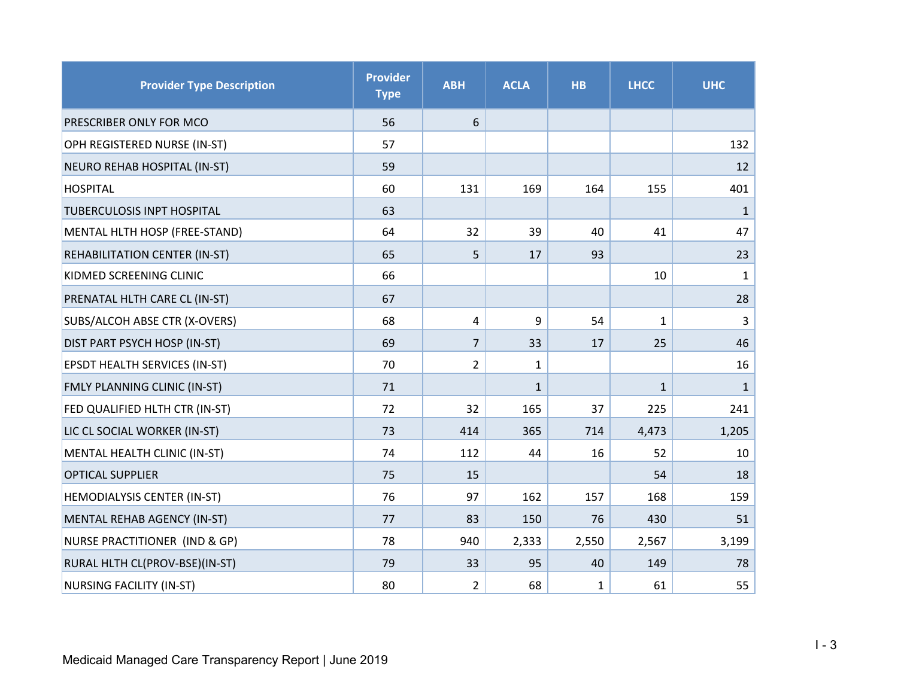| <b>Provider Type Description</b> | <b>Provider</b><br><b>Type</b> | <b>ABH</b>     | <b>ACLA</b>  | <b>HB</b> | <b>LHCC</b>  | <b>UHC</b>   |
|----------------------------------|--------------------------------|----------------|--------------|-----------|--------------|--------------|
| PRESCRIBER ONLY FOR MCO          | 56                             | 6              |              |           |              |              |
| OPH REGISTERED NURSE (IN-ST)     | 57                             |                |              |           |              | 132          |
| NEURO REHAB HOSPITAL (IN-ST)     | 59                             |                |              |           |              | 12           |
| <b>HOSPITAL</b>                  | 60                             | 131            | 169          | 164       | 155          | 401          |
| TUBERCULOSIS INPT HOSPITAL       | 63                             |                |              |           |              | $\mathbf{1}$ |
| MENTAL HLTH HOSP (FREE-STAND)    | 64                             | 32             | 39           | 40        | 41           | 47           |
| REHABILITATION CENTER (IN-ST)    | 65                             | 5              | 17           | 93        |              | 23           |
| KIDMED SCREENING CLINIC          | 66                             |                |              |           | 10           | $\mathbf{1}$ |
| PRENATAL HLTH CARE CL (IN-ST)    | 67                             |                |              |           |              | 28           |
| SUBS/ALCOH ABSE CTR (X-OVERS)    | 68                             | 4              | 9            | 54        | $\mathbf{1}$ | 3            |
| DIST PART PSYCH HOSP (IN-ST)     | 69                             | $\overline{7}$ | 33           | 17        | 25           | 46           |
| EPSDT HEALTH SERVICES (IN-ST)    | 70                             | $\overline{2}$ | $\mathbf{1}$ |           |              | 16           |
| FMLY PLANNING CLINIC (IN-ST)     | 71                             |                | $\mathbf{1}$ |           | $\mathbf{1}$ | $\mathbf{1}$ |
| FED QUALIFIED HLTH CTR (IN-ST)   | 72                             | 32             | 165          | 37        | 225          | 241          |
| LIC CL SOCIAL WORKER (IN-ST)     | 73                             | 414            | 365          | 714       | 4,473        | 1,205        |
| MENTAL HEALTH CLINIC (IN-ST)     | 74                             | 112            | 44           | 16        | 52           | 10           |
| <b>OPTICAL SUPPLIER</b>          | 75                             | 15             |              |           | 54           | 18           |
| HEMODIALYSIS CENTER (IN-ST)      | 76                             | 97             | 162          | 157       | 168          | 159          |
| MENTAL REHAB AGENCY (IN-ST)      | 77                             | 83             | 150          | 76        | 430          | 51           |
| NURSE PRACTITIONER (IND & GP)    | 78                             | 940            | 2,333        | 2,550     | 2,567        | 3,199        |
| RURAL HLTH CL(PROV-BSE)(IN-ST)   | 79                             | 33             | 95           | 40        | 149          | 78           |
| <b>NURSING FACILITY (IN-ST)</b>  | 80                             | $\overline{2}$ | 68           | 1         | 61           | 55           |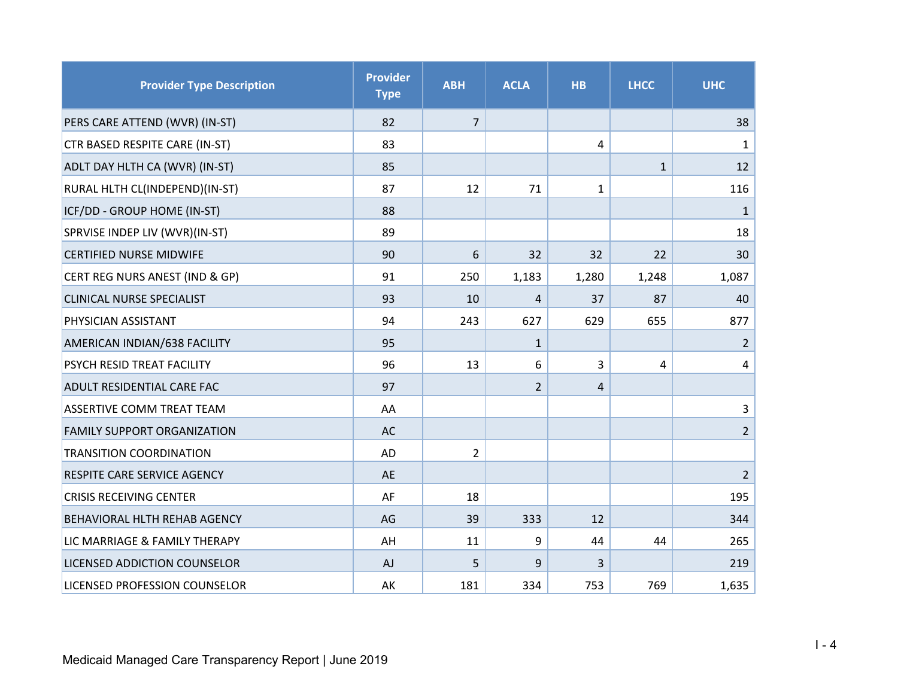| <b>Provider Type Description</b>    | <b>Provider</b><br><b>Type</b> | <b>ABH</b>     | <b>ACLA</b>    | <b>HB</b>    | <b>LHCC</b>  | <b>UHC</b>     |
|-------------------------------------|--------------------------------|----------------|----------------|--------------|--------------|----------------|
| PERS CARE ATTEND (WVR) (IN-ST)      | 82                             | $\overline{7}$ |                |              |              | 38             |
| CTR BASED RESPITE CARE (IN-ST)      | 83                             |                |                | 4            |              | $\mathbf{1}$   |
| ADLT DAY HLTH CA (WVR) (IN-ST)      | 85                             |                |                |              | $\mathbf{1}$ | 12             |
| RURAL HLTH CL(INDEPEND)(IN-ST)      | 87                             | 12             | 71             | $\mathbf{1}$ |              | 116            |
| ICF/DD - GROUP HOME (IN-ST)         | 88                             |                |                |              |              | $\mathbf{1}$   |
| SPRVISE INDEP LIV (WVR)(IN-ST)      | 89                             |                |                |              |              | 18             |
| <b>CERTIFIED NURSE MIDWIFE</b>      | 90                             | 6              | 32             | 32           | 22           | 30             |
| CERT REG NURS ANEST (IND & GP)      | 91                             | 250            | 1,183          | 1,280        | 1,248        | 1,087          |
| <b>CLINICAL NURSE SPECIALIST</b>    | 93                             | 10             | 4              | 37           | 87           | 40             |
| PHYSICIAN ASSISTANT                 | 94                             | 243            | 627            | 629          | 655          | 877            |
| AMERICAN INDIAN/638 FACILITY        | 95                             |                | $\mathbf{1}$   |              |              | $\overline{2}$ |
| <b>PSYCH RESID TREAT FACILITY</b>   | 96                             | 13             | 6              | 3            | 4            | $\overline{4}$ |
| <b>ADULT RESIDENTIAL CARE FAC</b>   | 97                             |                | $\overline{2}$ | 4            |              |                |
| <b>ASSERTIVE COMM TREAT TEAM</b>    | AA                             |                |                |              |              | 3              |
| <b>FAMILY SUPPORT ORGANIZATION</b>  | <b>AC</b>                      |                |                |              |              | $\overline{2}$ |
| <b>TRANSITION COORDINATION</b>      | <b>AD</b>                      | $\overline{2}$ |                |              |              |                |
| RESPITE CARE SERVICE AGENCY         | <b>AE</b>                      |                |                |              |              | $\overline{2}$ |
| <b>CRISIS RECEIVING CENTER</b>      | AF                             | 18             |                |              |              | 195            |
| <b>BEHAVIORAL HLTH REHAB AGENCY</b> | AG                             | 39             | 333            | 12           |              | 344            |
| LIC MARRIAGE & FAMILY THERAPY       | AH                             | 11             | 9              | 44           | 44           | 265            |
| LICENSED ADDICTION COUNSELOR        | AJ                             | 5              | 9              | 3            |              | 219            |
| LICENSED PROFESSION COUNSELOR       | AK                             | 181            | 334            | 753          | 769          | 1,635          |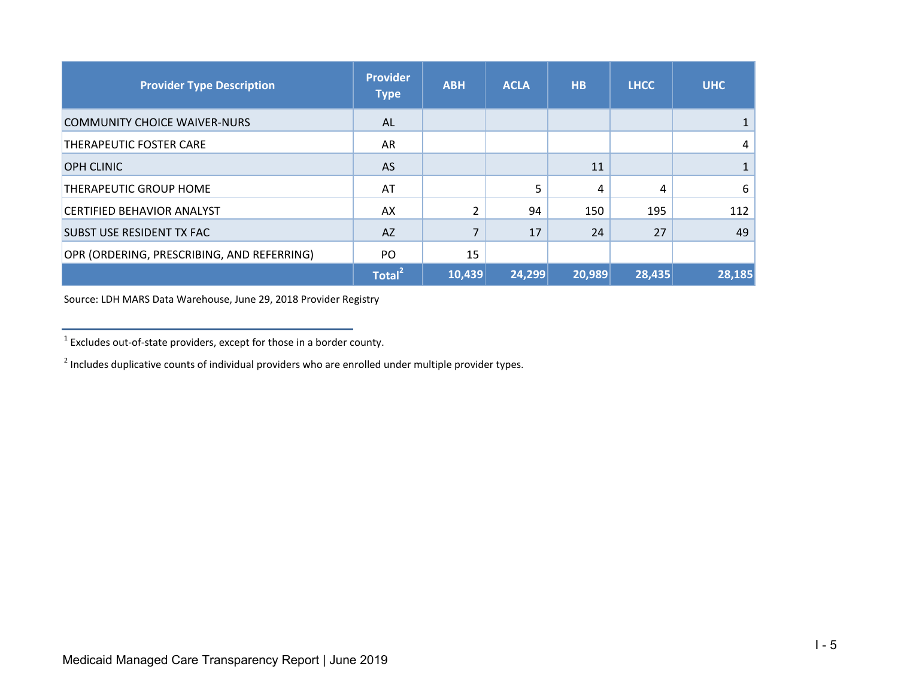| <b>Provider Type Description</b>           | <b>Provider</b><br><b>Type</b> | <b>ABH</b> | <b>ACLA</b> | <b>HB</b> | <b>LHCC</b> | <b>UHC</b> |
|--------------------------------------------|--------------------------------|------------|-------------|-----------|-------------|------------|
| <b>COMMUNITY CHOICE WAIVER-NURS</b>        | AL.                            |            |             |           |             |            |
| THERAPEUTIC FOSTER CARE                    | AR                             |            |             |           |             | 4          |
| <b>OPH CLINIC</b>                          | <b>AS</b>                      |            |             | 11        |             |            |
| THERAPEUTIC GROUP HOME                     | AT                             |            | 5           | 4         | 4           | 6          |
| <b>CERTIFIED BEHAVIOR ANALYST</b>          | AX                             | 2          | 94          | 150       | 195         | 112        |
| <b>SUBST USE RESIDENT TX FAC</b>           | <b>AZ</b>                      | 7          | 17          | 24        | 27          | 49         |
| OPR (ORDERING, PRESCRIBING, AND REFERRING) | PO                             | 15         |             |           |             |            |
|                                            | Total <sup>21</sup>            | 10,439     | 24,299      | 20,989    | 28,435      | 28,185     |

Source: LDH MARS Data Warehouse, June 29, 2018 Provider Registry

 $1$  Excludes out-of-state providers, except for those in a border county.

 $2$  Includes duplicative counts of individual providers who are enrolled under multiple provider types.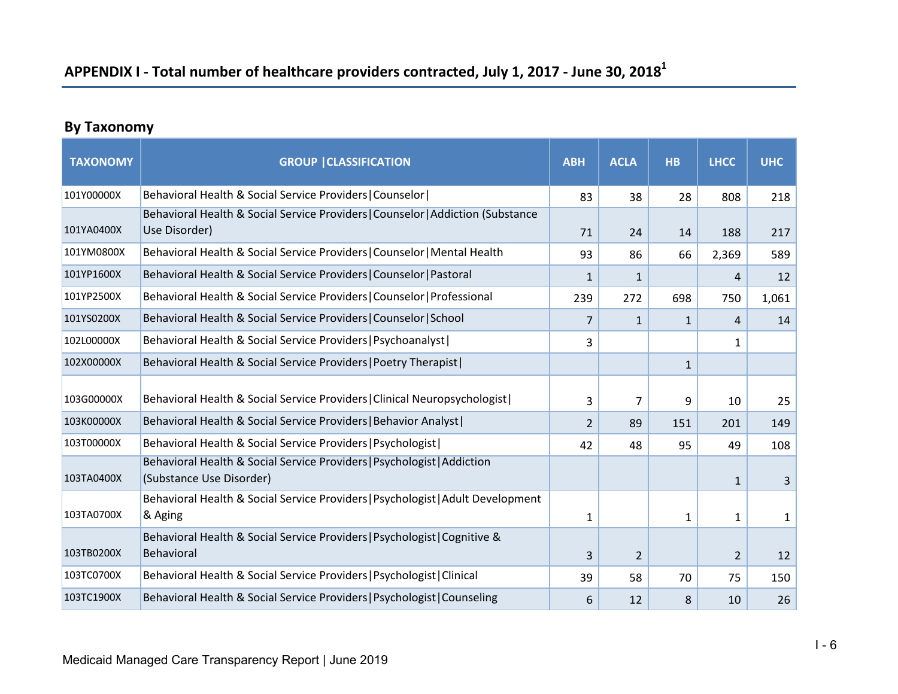# **APPENDIX I ‐ Total number of healthcare providers contracted, July 1, 2017 ‐ June 30, 2018<sup>1</sup>**

# **By Taxonomy**

| <b>TAXONOMY</b>          | <b>GROUP   CLASSIFICATION</b>                                                                                                            | <b>ABH</b>     | <b>ACLA</b>    | <b>HB</b>    | <b>LHCC</b>    | <b>UHC</b> |
|--------------------------|------------------------------------------------------------------------------------------------------------------------------------------|----------------|----------------|--------------|----------------|------------|
| 101Y00000X               | Behavioral Health & Social Service Providers   Counselor                                                                                 | 83             | 38             | 28           | 808            | 218        |
| 101YA0400X               | Behavioral Health & Social Service Providers   Counselor   Addiction (Substance<br>Use Disorder)                                         | 71             | 24             | 14           | 188            | 217        |
| 101YM0800X               | Behavioral Health & Social Service Providers   Counselor   Mental Health                                                                 | 93             | 86             | 66           | 2,369          | 589        |
| 101YP1600X               | Behavioral Health & Social Service Providers   Counselor   Pastoral                                                                      | $\mathbf{1}$   | $\mathbf{1}$   |              | 4              | 12         |
| 101YP2500X               | Behavioral Health & Social Service Providers   Counselor   Professional                                                                  | 239            | 272            | 698          | 750            | 1,061      |
| 101YS0200X               | Behavioral Health & Social Service Providers   Counselor   School                                                                        | 7              | $\mathbf{1}$   | $\mathbf{1}$ | 4              | 14         |
| 102L00000X               | Behavioral Health & Social Service Providers   Psychoanalyst                                                                             | 3              |                |              | 1              |            |
| 102X00000X               | Behavioral Health & Social Service Providers   Poetry Therapist                                                                          |                |                | $\mathbf{1}$ |                |            |
| 103G00000X<br>103K00000X | Behavioral Health & Social Service Providers   Clinical Neuropsychologist                                                                | 3              | 7              | 9            | 10             | 25         |
|                          | Behavioral Health & Social Service Providers   Behavior Analyst                                                                          | $\overline{2}$ | 89             | 151          | 201            | 149        |
| 103T00000X               | Behavioral Health & Social Service Providers   Psychologist  <br>Behavioral Health & Social Service Providers   Psychologist   Addiction | 42             | 48             | 95           | 49             | 108        |
| 103TA0400X               | (Substance Use Disorder)                                                                                                                 |                |                |              | $\mathbf{1}$   | 3          |
| 103TA0700X               | Behavioral Health & Social Service Providers   Psychologist   Adult Development<br>& Aging                                               | 1              |                | 1            | 1              | 1          |
| 103TB0200X               | Behavioral Health & Social Service Providers   Psychologist   Cognitive &<br><b>Behavioral</b>                                           | 3              | $\overline{2}$ |              | $\overline{2}$ | 12         |
| 103TC0700X               | Behavioral Health & Social Service Providers   Psychologist   Clinical                                                                   | 39             | 58             | 70           | 75             | 150        |
| 103TC1900X               | Behavioral Health & Social Service Providers   Psychologist   Counseling                                                                 | 6              | 12             | 8            | 10             | 26         |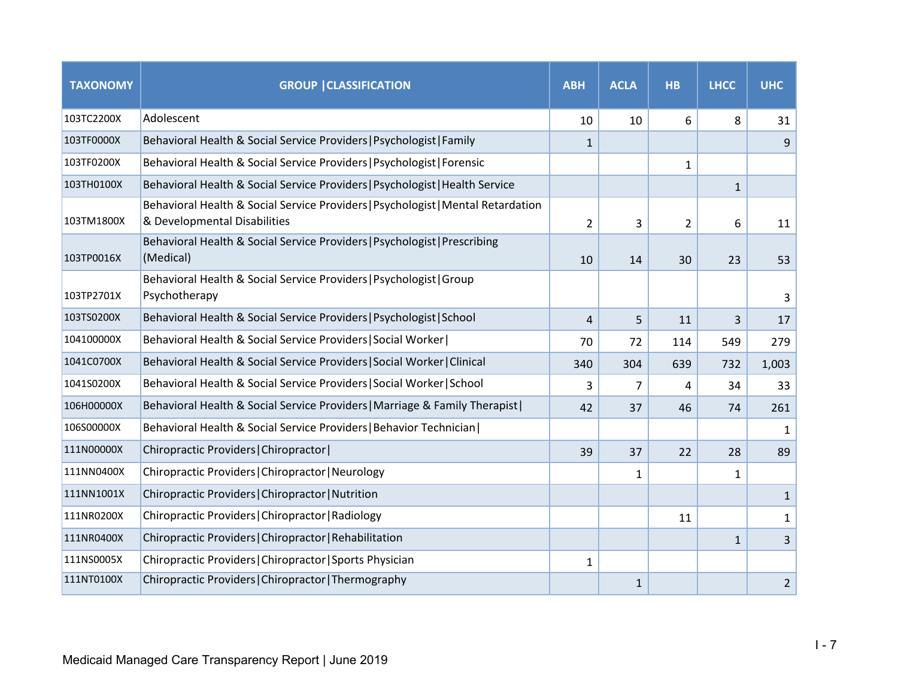| <b>TAXONOMY</b> | <b>GROUP   CLASSIFICATION</b>                                                                                    | <b>ABH</b>     | <b>ACLA</b>  | <b>HB</b>      | <b>LHCC</b>  | <b>UHC</b>     |
|-----------------|------------------------------------------------------------------------------------------------------------------|----------------|--------------|----------------|--------------|----------------|
| 103TC2200X      | Adolescent                                                                                                       | 10             | 10           | 6              | 8            | 31             |
| 103TF0000X      | Behavioral Health & Social Service Providers   Psychologist   Family                                             | 1              |              |                |              | 9              |
| 103TF0200X      | Behavioral Health & Social Service Providers   Psychologist   Forensic                                           |                |              | $\mathbf{1}$   |              |                |
| 103TH0100X      | Behavioral Health & Social Service Providers   Psychologist   Health Service                                     |                |              |                | $\mathbf{1}$ |                |
| 103TM1800X      | Behavioral Health & Social Service Providers   Psychologist   Mental Retardation<br>& Developmental Disabilities | $\overline{2}$ | 3            | $\overline{2}$ | 6            | 11             |
| 103TP0016X      | Behavioral Health & Social Service Providers   Psychologist   Prescribing<br>(Medical)                           | 10             | 14           | 30             | 23           | 53             |
| 103TP2701X      | Behavioral Health & Social Service Providers   Psychologist   Group<br>Psychotherapy                             |                |              |                |              | 3              |
| 103TS0200X      | Behavioral Health & Social Service Providers   Psychologist   School                                             | $\overline{4}$ | 5            | 11             | 3            | 17             |
| 104100000X      | Behavioral Health & Social Service Providers   Social Worker                                                     | 70             | 72           | 114            | 549          | 279            |
| 1041C0700X      | Behavioral Health & Social Service Providers   Social Worker   Clinical                                          | 340            | 304          | 639            | 732          | 1,003          |
| 1041S0200X      | Behavioral Health & Social Service Providers   Social Worker   School                                            | 3              | 7            | 4              | 34           | 33             |
| 106H00000X      | Behavioral Health & Social Service Providers   Marriage & Family Therapist                                       | 42             | 37           | 46             | 74           | 261            |
| 106S00000X      | Behavioral Health & Social Service Providers   Behavior Technician                                               |                |              |                |              | 1              |
| 111N00000X      | Chiropractic Providers   Chiropractor                                                                            | 39             | 37           | 22             | 28           | 89             |
| 111NN0400X      | Chiropractic Providers   Chiropractor   Neurology                                                                |                | $\mathbf{1}$ |                | 1            |                |
| 111NN1001X      | Chiropractic Providers   Chiropractor   Nutrition                                                                |                |              |                |              | $\mathbf{1}$   |
| 111NR0200X      | Chiropractic Providers   Chiropractor   Radiology                                                                |                |              | 11             |              | $\mathbf{1}$   |
| 111NR0400X      | Chiropractic Providers   Chiropractor   Rehabilitation                                                           |                |              |                | $\mathbf{1}$ | 3              |
| 111NS0005X      | Chiropractic Providers   Chiropractor   Sports Physician                                                         | $\mathbf{1}$   |              |                |              |                |
| 111NT0100X      | Chiropractic Providers   Chiropractor   Thermography                                                             |                | $\mathbf{1}$ |                |              | $\overline{2}$ |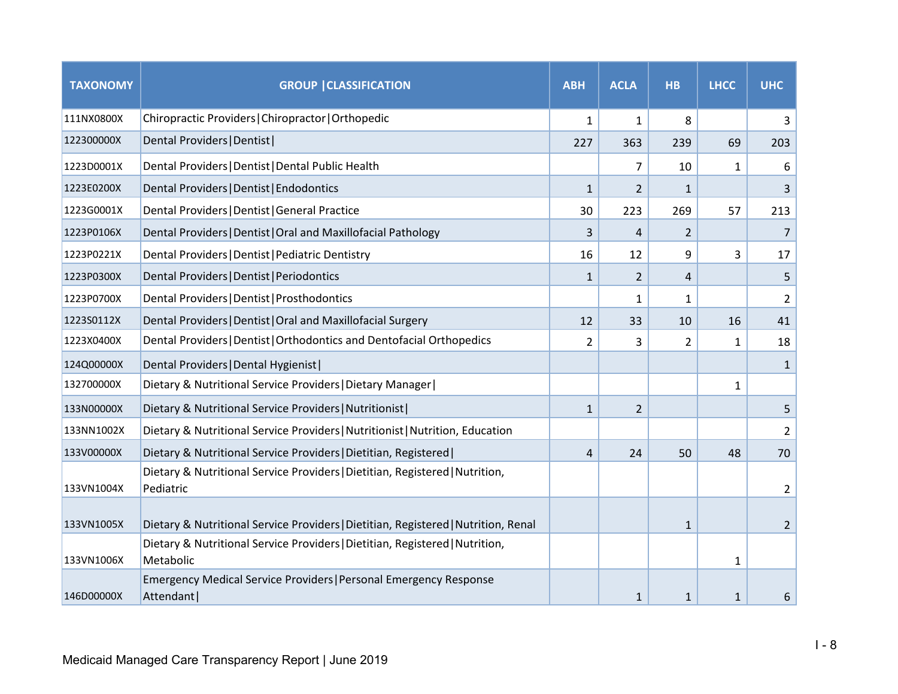| <b>TAXONOMY</b> | <b>GROUP   CLASSIFICATION</b>                                                             | <b>ABH</b>     | <b>ACLA</b>    | <b>HB</b>    | <b>LHCC</b>  | <b>UHC</b>     |
|-----------------|-------------------------------------------------------------------------------------------|----------------|----------------|--------------|--------------|----------------|
| 111NX0800X      | Chiropractic Providers   Chiropractor   Orthopedic                                        | $\mathbf{1}$   | $\mathbf{1}$   | 8            |              | 3              |
| 122300000X      | Dental Providers   Dentist                                                                | 227            | 363            | 239          | 69           | 203            |
| 1223D0001X      | Dental Providers   Dentist   Dental Public Health                                         |                | 7              | 10           | 1            | 6              |
| 1223E0200X      | Dental Providers   Dentist   Endodontics                                                  | $\mathbf{1}$   | 2              | $\mathbf{1}$ |              | 3              |
| 1223G0001X      | Dental Providers   Dentist   General Practice                                             | 30             | 223            | 269          | 57           | 213            |
| 1223P0106X      | Dental Providers   Dentist   Oral and Maxillofacial Pathology                             | 3              | 4              | 2            |              | 7              |
| 1223P0221X      | Dental Providers   Dentist   Pediatric Dentistry                                          | 16             | 12             | 9            | 3            | 17             |
| 1223P0300X      | Dental Providers   Dentist   Periodontics                                                 | $\mathbf{1}$   | 2              | 4            |              | 5              |
| 1223P0700X      | Dental Providers   Dentist   Prosthodontics                                               |                | $\mathbf{1}$   | $\mathbf{1}$ |              | $\overline{2}$ |
| 1223S0112X      | Dental Providers   Dentist   Oral and Maxillofacial Surgery                               | 12             | 33             | 10           | 16           | 41             |
| 1223X0400X      | Dental Providers   Dentist   Orthodontics and Dentofacial Orthopedics                     | $\overline{2}$ | 3              | 2            | $\mathbf{1}$ | 18             |
| 124Q00000X      | Dental Providers   Dental Hygienist                                                       |                |                |              |              | 1              |
| 132700000X      | Dietary & Nutritional Service Providers   Dietary Manager                                 |                |                |              | 1            |                |
| 133N00000X      | Dietary & Nutritional Service Providers   Nutritionist                                    | $\mathbf{1}$   | $\overline{2}$ |              |              | 5              |
| 133NN1002X      | Dietary & Nutritional Service Providers   Nutritionist   Nutrition, Education             |                |                |              |              | $\overline{2}$ |
| 133V00000X      | Dietary & Nutritional Service Providers   Dietitian, Registered                           | 4              | 24             | 50           | 48           | 70             |
| 133VN1004X      | Dietary & Nutritional Service Providers   Dietitian, Registered   Nutrition,<br>Pediatric |                |                |              |              | 2              |
| 133VN1005X      | Dietary & Nutritional Service Providers   Dietitian, Registered   Nutrition, Renal        |                |                | $\mathbf{1}$ |              | $\overline{2}$ |
| 133VN1006X      | Dietary & Nutritional Service Providers   Dietitian, Registered   Nutrition,<br>Metabolic |                |                |              | 1            |                |
| 146D00000X      | Emergency Medical Service Providers   Personal Emergency Response<br>Attendant            |                | $\mathbf{1}$   | $\mathbf{1}$ | 1            | 6              |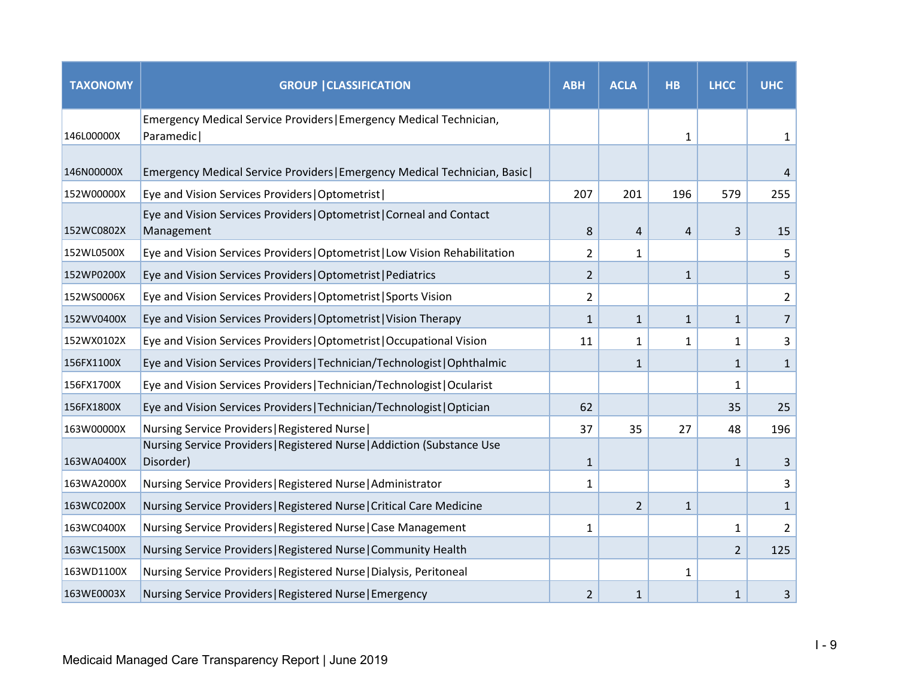| <b>TAXONOMY</b> | <b>GROUP   CLASSIFICATION</b>                                                        | <b>ABH</b>     | <b>ACLA</b>             | <b>HB</b>    | <b>LHCC</b>  | <b>UHC</b>     |
|-----------------|--------------------------------------------------------------------------------------|----------------|-------------------------|--------------|--------------|----------------|
| 146L00000X      | Emergency Medical Service Providers   Emergency Medical Technician,<br>Paramedic     |                |                         | 1            |              | 1              |
| 146N00000X      | Emergency Medical Service Providers   Emergency Medical Technician, Basic            |                |                         |              |              | 4              |
| 152W00000X      | Eye and Vision Services Providers   Optometrist                                      | 207            | 201                     | 196          | 579          | 255            |
| 152WC0802X      | Eye and Vision Services Providers   Optometrist   Corneal and Contact<br>Management  | 8              | $\overline{\mathbf{r}}$ | 4            | 3            | 15             |
| 152WL0500X      | Eye and Vision Services Providers   Optometrist   Low Vision Rehabilitation          | $\overline{2}$ | $\mathbf{1}$            |              |              | 5              |
| 152WP0200X      | Eye and Vision Services Providers   Optometrist   Pediatrics                         | $\overline{2}$ |                         | $\mathbf{1}$ |              | 5              |
| 152WS0006X      | Eye and Vision Services Providers   Optometrist   Sports Vision                      | $\overline{2}$ |                         |              |              | $\overline{2}$ |
| 152WV0400X      | Eye and Vision Services Providers   Optometrist   Vision Therapy                     | $\mathbf{1}$   | $\mathbf{1}$            | $\mathbf{1}$ | $\mathbf{1}$ | $\overline{7}$ |
| 152WX0102X      | Eye and Vision Services Providers   Optometrist   Occupational Vision                | 11             | 1                       | 1            | 1            | 3              |
| 156FX1100X      | Eye and Vision Services Providers   Technician/Technologist   Ophthalmic             |                | $\mathbf{1}$            |              | $\mathbf{1}$ | $\mathbf{1}$   |
| 156FX1700X      | Eye and Vision Services Providers   Technician/Technologist   Ocularist              |                |                         |              | 1            |                |
| 156FX1800X      | Eye and Vision Services Providers   Technician/Technologist   Optician               | 62             |                         |              | 35           | 25             |
| 163W00000X      | Nursing Service Providers   Registered Nurse                                         | 37             | 35                      | 27           | 48           | 196            |
| 163WA0400X      | Nursing Service Providers   Registered Nurse   Addiction (Substance Use<br>Disorder) | $\mathbf{1}$   |                         |              | $\mathbf{1}$ | 3              |
| 163WA2000X      | Nursing Service Providers   Registered Nurse   Administrator                         | 1              |                         |              |              | 3              |
| 163WC0200X      | Nursing Service Providers   Registered Nurse   Critical Care Medicine                |                | $\overline{2}$          | $\mathbf{1}$ |              | $\mathbf{1}$   |
| 163WC0400X      | Nursing Service Providers   Registered Nurse   Case Management                       | 1              |                         |              | 1            | $\overline{2}$ |
| 163WC1500X      | Nursing Service Providers   Registered Nurse   Community Health                      |                |                         |              | 2            | 125            |
| 163WD1100X      | Nursing Service Providers   Registered Nurse   Dialysis, Peritoneal                  |                |                         | 1            |              |                |
| 163WE0003X      | Nursing Service Providers   Registered Nurse   Emergency                             | $\overline{2}$ | $\mathbf{1}$            |              | $\mathbf{1}$ | 3              |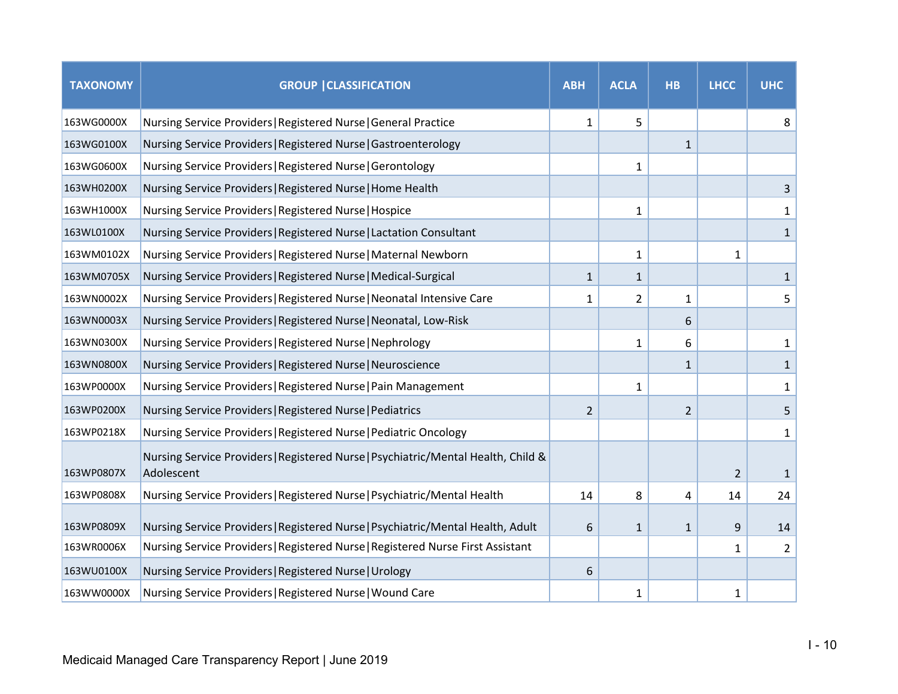| <b>TAXONOMY</b> | <b>GROUP   CLASSIFICATION</b>                                                                   | <b>ABH</b>     | <b>ACLA</b>    | <b>HB</b>      | <b>LHCC</b>    | <b>UHC</b>     |
|-----------------|-------------------------------------------------------------------------------------------------|----------------|----------------|----------------|----------------|----------------|
| 163WG0000X      | Nursing Service Providers   Registered Nurse   General Practice                                 | $\mathbf{1}$   | 5              |                |                | 8              |
| 163WG0100X      | Nursing Service Providers   Registered Nurse   Gastroenterology                                 |                |                | $\mathbf{1}$   |                |                |
| 163WG0600X      | Nursing Service Providers   Registered Nurse   Gerontology                                      |                | $\mathbf{1}$   |                |                |                |
| 163WH0200X      | Nursing Service Providers   Registered Nurse   Home Health                                      |                |                |                |                | 3              |
| 163WH1000X      | Nursing Service Providers   Registered Nurse   Hospice                                          |                | 1              |                |                | $\mathbf{1}$   |
| 163WL0100X      | Nursing Service Providers   Registered Nurse   Lactation Consultant                             |                |                |                |                | $\mathbf{1}$   |
| 163WM0102X      | Nursing Service Providers   Registered Nurse   Maternal Newborn                                 |                | $\mathbf{1}$   |                | 1              |                |
| 163WM0705X      | Nursing Service Providers   Registered Nurse   Medical-Surgical                                 | $\mathbf{1}$   | $\mathbf{1}$   |                |                | $\mathbf{1}$   |
| 163WN0002X      | Nursing Service Providers   Registered Nurse   Neonatal Intensive Care                          | 1              | $\overline{2}$ | 1              |                | 5              |
| 163WN0003X      | Nursing Service Providers   Registered Nurse   Neonatal, Low-Risk                               |                |                | 6              |                |                |
| 163WN0300X      | Nursing Service Providers   Registered Nurse   Nephrology                                       |                | $\mathbf{1}$   | 6              |                | $\mathbf{1}$   |
| 163WN0800X      | Nursing Service Providers   Registered Nurse   Neuroscience                                     |                |                | $\mathbf{1}$   |                | $\mathbf{1}$   |
| 163WP0000X      | Nursing Service Providers   Registered Nurse   Pain Management                                  |                | $\mathbf{1}$   |                |                | 1              |
| 163WP0200X      | Nursing Service Providers   Registered Nurse   Pediatrics                                       | $\overline{2}$ |                | $\overline{2}$ |                | 5              |
| 163WP0218X      | Nursing Service Providers   Registered Nurse   Pediatric Oncology                               |                |                |                |                | 1              |
| 163WP0807X      | Nursing Service Providers   Registered Nurse   Psychiatric/Mental Health, Child &<br>Adolescent |                |                |                | $\overline{2}$ | $\mathbf{1}$   |
| 163WP0808X      | Nursing Service Providers   Registered Nurse   Psychiatric/Mental Health                        | 14             | 8              | 4              | 14             | 24             |
| 163WP0809X      | Nursing Service Providers   Registered Nurse   Psychiatric/Mental Health, Adult                 | 6              | $\mathbf{1}$   | $\mathbf{1}$   | 9              | 14             |
| 163WR0006X      | Nursing Service Providers   Registered Nurse   Registered Nurse First Assistant                 |                |                |                | $\mathbf{1}$   | $\overline{2}$ |
| 163WU0100X      | Nursing Service Providers   Registered Nurse   Urology                                          | 6              |                |                |                |                |
| 163WW0000X      | Nursing Service Providers   Registered Nurse   Wound Care                                       |                | 1              |                | 1              |                |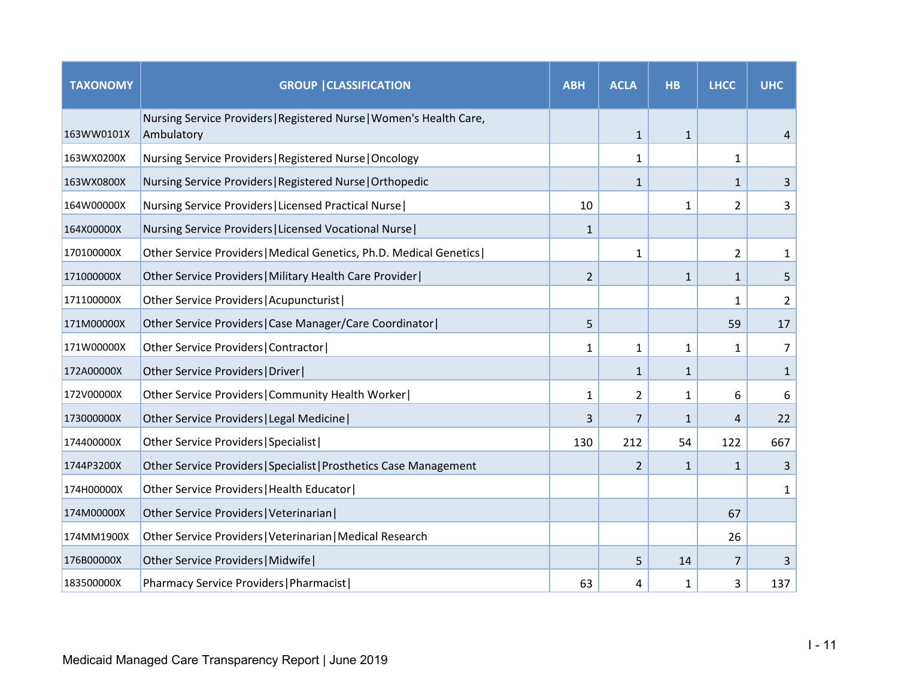| <b>TAXONOMY</b> | <b>GROUP   CLASSIFICATION</b>                                                     | <b>ABH</b>     | <b>ACLA</b>    | <b>HB</b>    | <b>LHCC</b>  | <b>UHC</b>     |
|-----------------|-----------------------------------------------------------------------------------|----------------|----------------|--------------|--------------|----------------|
| 163WW0101X      | Nursing Service Providers   Registered Nurse   Women's Health Care,<br>Ambulatory |                | $\mathbf{1}$   | $\mathbf{1}$ |              | 4              |
| 163WX0200X      | Nursing Service Providers   Registered Nurse   Oncology                           |                | 1              |              | 1            |                |
| 163WX0800X      | Nursing Service Providers   Registered Nurse   Orthopedic                         |                | $\mathbf{1}$   |              | $\mathbf{1}$ | 3              |
| 164W00000X      | Nursing Service Providers   Licensed Practical Nurse                              | 10             |                | $\mathbf{1}$ | 2            | 3              |
| 164X00000X      | Nursing Service Providers   Licensed Vocational Nurse                             | 1              |                |              |              |                |
| 170100000X      | Other Service Providers   Medical Genetics, Ph.D. Medical Genetics                |                | $\mathbf{1}$   |              | 2            | 1              |
| 171000000X      | Other Service Providers   Military Health Care Provider                           | $\overline{2}$ |                | $\mathbf{1}$ | 1            | 5              |
| 171100000X      | Other Service Providers   Acupuncturist                                           |                |                |              | 1            | $\overline{2}$ |
| 171M00000X      | Other Service Providers   Case Manager/Care Coordinator                           | 5              |                |              | 59           | 17             |
| 171W00000X      | Other Service Providers   Contractor                                              | 1              | 1              | 1            | 1            | $\overline{7}$ |
| 172A00000X      | Other Service Providers   Driver                                                  |                | $\mathbf{1}$   | $\mathbf{1}$ |              | $\mathbf{1}$   |
| 172V00000X      | Other Service Providers   Community Health Worker                                 | 1              | $\overline{2}$ | 1            | 6            | 6              |
| 173000000X      | Other Service Providers   Legal Medicine                                          | 3              | 7              | $\mathbf{1}$ | 4            | 22             |
| 174400000X      | Other Service Providers   Specialist                                              | 130            | 212            | 54           | 122          | 667            |
| 1744P3200X      | Other Service Providers   Specialist   Prosthetics Case Management                |                | 2              | $\mathbf{1}$ | $\mathbf{1}$ | 3              |
| 174H00000X      | Other Service Providers   Health Educator                                         |                |                |              |              | $\mathbf{1}$   |
| 174M00000X      | Other Service Providers   Veterinarian                                            |                |                |              | 67           |                |
| 174MM1900X      | Other Service Providers   Veterinarian   Medical Research                         |                |                |              | 26           |                |
| 176B00000X      | Other Service Providers   Midwife                                                 |                | 5              | 14           | 7            | 3              |
| 183500000X      | Pharmacy Service Providers   Pharmacist                                           | 63             | 4              | 1            | 3            | 137            |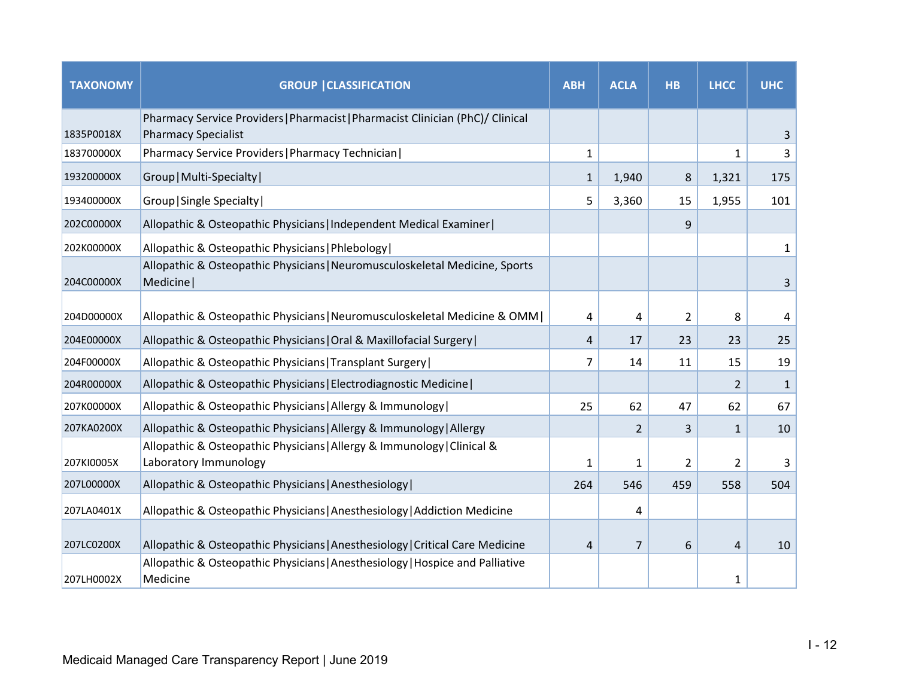| <b>TAXONOMY</b> | <b>GROUP   CLASSIFICATION</b>                                                                                | <b>ABH</b>   | <b>ACLA</b>    | <b>HB</b>      | <b>LHCC</b>    | <b>UHC</b> |
|-----------------|--------------------------------------------------------------------------------------------------------------|--------------|----------------|----------------|----------------|------------|
| 1835P0018X      | Pharmacy Service Providers   Pharmacist   Pharmacist Clinician (PhC)/ Clinical<br><b>Pharmacy Specialist</b> |              |                |                |                | 3          |
| 183700000X      | Pharmacy Service Providers   Pharmacy Technician                                                             | $\mathbf{1}$ |                |                | $\mathbf{1}$   | 3          |
| 193200000X      | Group   Multi-Specialty                                                                                      | $\mathbf{1}$ | 1,940          | 8              | 1,321          | 175        |
| 193400000X      | Group   Single Specialty                                                                                     | 5            | 3,360          | 15             | 1,955          | 101        |
| 202C00000X      | Allopathic & Osteopathic Physicians   Independent Medical Examiner                                           |              |                | 9              |                |            |
| 202K00000X      | Allopathic & Osteopathic Physicians   Phlebology                                                             |              |                |                |                | 1          |
| 204C00000X      | Allopathic & Osteopathic Physicians   Neuromusculoskeletal Medicine, Sports<br>Medicine                      |              |                |                |                | 3          |
| 204D00000X      | Allopathic & Osteopathic Physicians   Neuromusculoskeletal Medicine & OMM                                    | 4            | 4              | $\overline{2}$ | 8              | 4          |
| 204E00000X      | Allopathic & Osteopathic Physicians   Oral & Maxillofacial Surgery                                           | 4            | 17             | 23             | 23             | 25         |
| 204F00000X      | Allopathic & Osteopathic Physicians   Transplant Surgery                                                     | 7            | 14             | 11             | 15             | 19         |
| 204R00000X      | Allopathic & Osteopathic Physicians   Electrodiagnostic Medicine                                             |              |                |                | 2              | 1          |
| 207K00000X      | Allopathic & Osteopathic Physicians   Allergy & Immunology                                                   | 25           | 62             | 47             | 62             | 67         |
| 207KA0200X      | Allopathic & Osteopathic Physicians   Allergy & Immunology   Allergy                                         |              | $\overline{2}$ | 3              | $\mathbf{1}$   | 10         |
| 207KI0005X      | Allopathic & Osteopathic Physicians   Allergy & Immunology   Clinical &<br>Laboratory Immunology             | 1            | $\mathbf{1}$   | $\overline{2}$ | $\overline{2}$ | 3          |
| 207L00000X      | Allopathic & Osteopathic Physicians   Anesthesiology                                                         | 264          | 546            | 459            | 558            | 504        |
| 207LA0401X      | Allopathic & Osteopathic Physicians   Anesthesiology   Addiction Medicine                                    |              | 4              |                |                |            |
| 207LC0200X      | Allopathic & Osteopathic Physicians   Anesthesiology   Critical Care Medicine                                | 4            | $\overline{7}$ | 6              | 4              | 10         |
| 207LH0002X      | Allopathic & Osteopathic Physicians   Anesthesiology   Hospice and Palliative<br>Medicine                    |              |                |                | 1              |            |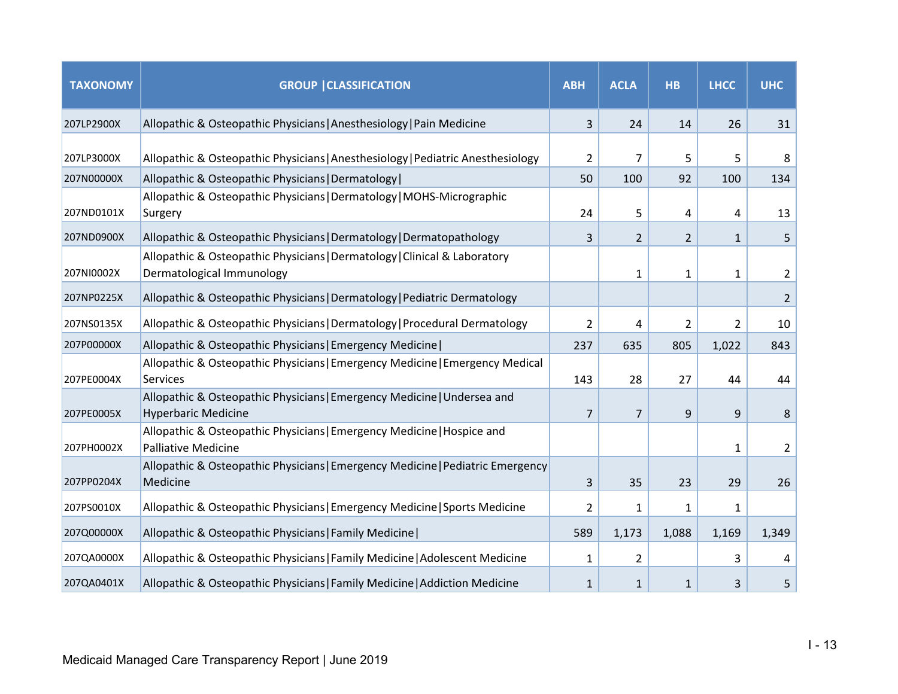| <b>TAXONOMY</b> | <b>GROUP   CLASSIFICATION</b>                                                                          | <b>ABH</b>     | <b>ACLA</b>    | <b>HB</b>      | <b>LHCC</b>    | <b>UHC</b>     |
|-----------------|--------------------------------------------------------------------------------------------------------|----------------|----------------|----------------|----------------|----------------|
| 207LP2900X      | Allopathic & Osteopathic Physicians   Anesthesiology   Pain Medicine                                   | 3              | 24             | 14             | 26             | 31             |
| 207LP3000X      | Allopathic & Osteopathic Physicians   Anesthesiology   Pediatric Anesthesiology                        | 2              | 7              | 5              | 5              | 8              |
| 207N00000X      | Allopathic & Osteopathic Physicians   Dermatology                                                      | 50             | 100            | 92             | 100            | 134            |
| 207ND0101X      | Allopathic & Osteopathic Physicians   Dermatology   MOHS-Micrographic<br>Surgery                       | 24             | 5              | 4              | 4              | 13             |
| 207ND0900X      | Allopathic & Osteopathic Physicians   Dermatology   Dermatopathology                                   | 3              | $\overline{2}$ | $\overline{2}$ | $\mathbf{1}$   | 5              |
| 207NI0002X      | Allopathic & Osteopathic Physicians   Dermatology   Clinical & Laboratory<br>Dermatological Immunology |                | $\mathbf{1}$   | $\mathbf{1}$   | 1              | $\overline{2}$ |
| 207NP0225X      | Allopathic & Osteopathic Physicians   Dermatology   Pediatric Dermatology                              |                |                |                |                | $\overline{2}$ |
| 207NS0135X      | Allopathic & Osteopathic Physicians   Dermatology   Procedural Dermatology                             | $\overline{2}$ | 4              | $\overline{2}$ | $\overline{2}$ | 10             |
| 207P00000X      | Allopathic & Osteopathic Physicians   Emergency Medicine                                               | 237            | 635            | 805            | 1,022          | 843            |
| 207PE0004X      | Allopathic & Osteopathic Physicians   Emergency Medicine   Emergency Medical<br>Services               | 143            | 28             | 27             | 44             | 44             |
| 207PE0005X      | Allopathic & Osteopathic Physicians   Emergency Medicine   Undersea and<br><b>Hyperbaric Medicine</b>  | 7              | $\overline{7}$ | 9              | 9              | 8              |
| 207PH0002X      | Allopathic & Osteopathic Physicians   Emergency Medicine   Hospice and<br><b>Palliative Medicine</b>   |                |                |                | 1              | 2              |
| 207PP0204X      | Allopathic & Osteopathic Physicians   Emergency Medicine   Pediatric Emergency<br>Medicine             | 3              | 35             | 23             | 29             | 26             |
| 207PS0010X      | Allopathic & Osteopathic Physicians   Emergency Medicine   Sports Medicine                             | 2              | $\mathbf{1}$   | $\mathbf{1}$   | 1              |                |
| 207Q00000X      | Allopathic & Osteopathic Physicians   Family Medicine                                                  | 589            | 1,173          | 1,088          | 1,169          | 1,349          |
| 207QA0000X      | Allopathic & Osteopathic Physicians   Family Medicine   Adolescent Medicine                            | 1              | $\overline{2}$ |                | 3              | 4              |
| 207QA0401X      | Allopathic & Osteopathic Physicians   Family Medicine   Addiction Medicine                             | $\mathbf{1}$   | $\mathbf{1}$   | $\mathbf{1}$   | 3              | 5              |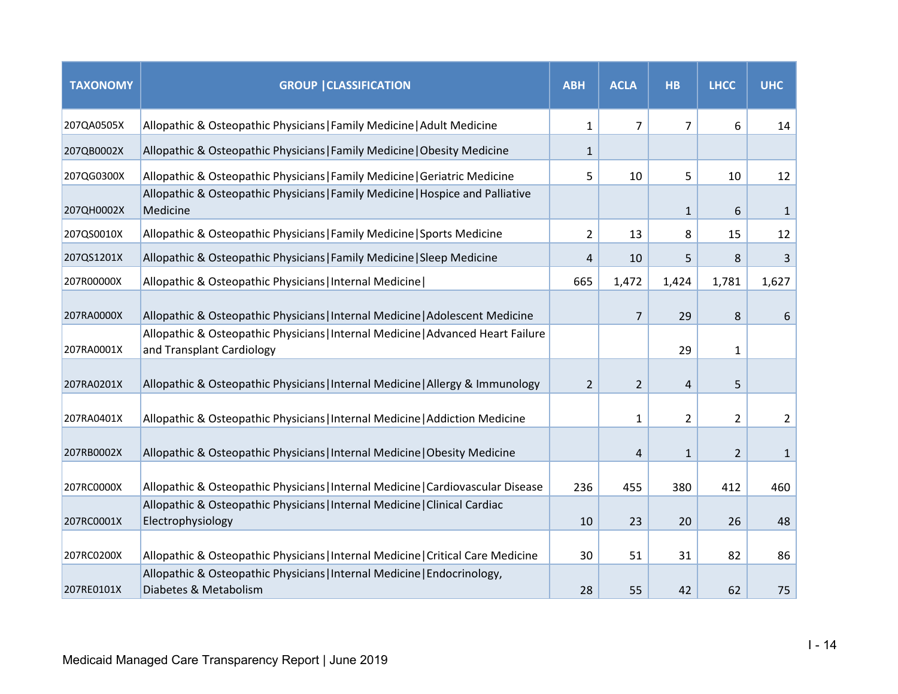| <b>TAXONOMY</b> | <b>GROUP   CLASSIFICATION</b>                                                                                 | <b>ABH</b>     | <b>ACLA</b>    | <b>HB</b>      | <b>LHCC</b>    | <b>UHC</b>   |
|-----------------|---------------------------------------------------------------------------------------------------------------|----------------|----------------|----------------|----------------|--------------|
| 207QA0505X      | Allopathic & Osteopathic Physicians   Family Medicine   Adult Medicine                                        | 1              | $\overline{7}$ | $\overline{7}$ | 6              | 14           |
| 207QB0002X      | Allopathic & Osteopathic Physicians   Family Medicine   Obesity Medicine                                      | $\mathbf{1}$   |                |                |                |              |
| 207QG0300X      | Allopathic & Osteopathic Physicians   Family Medicine   Geriatric Medicine                                    | 5              | 10             | 5              | 10             | 12           |
| 207QH0002X      | Allopathic & Osteopathic Physicians   Family Medicine   Hospice and Palliative<br>Medicine                    |                |                | $\mathbf{1}$   | 6              | $\mathbf{1}$ |
| 207QS0010X      | Allopathic & Osteopathic Physicians   Family Medicine   Sports Medicine                                       | $\overline{2}$ | 13             | 8              | 15             | 12           |
| 207QS1201X      | Allopathic & Osteopathic Physicians   Family Medicine   Sleep Medicine                                        | 4              | 10             | 5              | 8              | 3            |
| 207R00000X      | Allopathic & Osteopathic Physicians   Internal Medicine                                                       | 665            | 1,472          | 1,424          | 1,781          | 1,627        |
| 207RA0000X      | Allopathic & Osteopathic Physicians   Internal Medicine   Adolescent Medicine                                 |                | $\overline{7}$ | 29             | 8              | 6            |
| 207RA0001X      | Allopathic & Osteopathic Physicians   Internal Medicine   Advanced Heart Failure<br>and Transplant Cardiology |                |                | 29             | 1              |              |
| 207RA0201X      | Allopathic & Osteopathic Physicians   Internal Medicine   Allergy & Immunology                                | $\overline{2}$ | $\overline{2}$ | 4              | 5              |              |
| 207RA0401X      | Allopathic & Osteopathic Physicians   Internal Medicine   Addiction Medicine                                  |                | 1              | $\overline{2}$ | $\overline{2}$ | 2            |
| 207RB0002X      | Allopathic & Osteopathic Physicians   Internal Medicine   Obesity Medicine                                    |                | $\overline{4}$ | $\mathbf{1}$   | $\overline{2}$ | $\mathbf{1}$ |
| 207RC0000X      | Allopathic & Osteopathic Physicians   Internal Medicine   Cardiovascular Disease                              | 236            | 455            | 380            | 412            | 460          |
| 207RC0001X      | Allopathic & Osteopathic Physicians   Internal Medicine   Clinical Cardiac<br>Electrophysiology               | 10             | 23             | 20             | 26             | 48           |
| 207RC0200X      | Allopathic & Osteopathic Physicians   Internal Medicine   Critical Care Medicine                              | 30             | 51             | 31             | 82             | 86           |
| 207RE0101X      | Allopathic & Osteopathic Physicians   Internal Medicine   Endocrinology,<br>Diabetes & Metabolism             | 28             | 55             | 42             | 62             | 75           |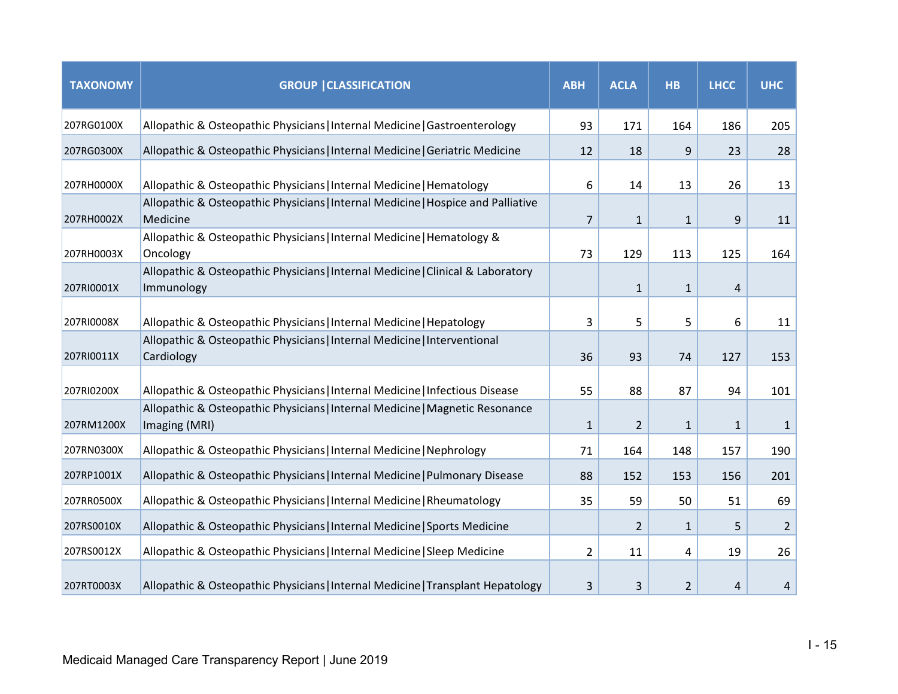| <b>TAXONOMY</b> | <b>GROUP   CLASSIFICATION</b>                                                                 | <b>ABH</b>     | <b>ACLA</b>    | <b>HB</b>      | <b>LHCC</b>  | <b>UHC</b>     |
|-----------------|-----------------------------------------------------------------------------------------------|----------------|----------------|----------------|--------------|----------------|
| 207RG0100X      | Allopathic & Osteopathic Physicians   Internal Medicine   Gastroenterology                    | 93             | 171            | 164            | 186          | 205            |
| 207RG0300X      | Allopathic & Osteopathic Physicians   Internal Medicine   Geriatric Medicine                  | 12             | 18             | 9              | 23           | 28             |
| 207RH0000X      | Allopathic & Osteopathic Physicians   Internal Medicine   Hematology                          | 6              | 14             | 13             | 26           | 13             |
| 207RH0002X      | Allopathic & Osteopathic Physicians   Internal Medicine   Hospice and Palliative<br>Medicine  | $\overline{7}$ | $\mathbf{1}$   | $\mathbf{1}$   | 9            | 11             |
| 207RH0003X      | Allopathic & Osteopathic Physicians   Internal Medicine   Hematology &<br>Oncology            | 73             | 129            | 113            | 125          | 164            |
| 207RI0001X      | Allopathic & Osteopathic Physicians   Internal Medicine   Clinical & Laboratory<br>Immunology |                | $\mathbf{1}$   | $\mathbf{1}$   | 4            |                |
| 207RI0008X      | Allopathic & Osteopathic Physicians   Internal Medicine   Hepatology                          | 3              | 5              | 5              | 6            | 11             |
| 207RI0011X      | Allopathic & Osteopathic Physicians   Internal Medicine   Interventional<br>Cardiology        | 36             | 93             | 74             | 127          | 153            |
| 207RI0200X      | Allopathic & Osteopathic Physicians   Internal Medicine   Infectious Disease                  | 55             | 88             | 87             | 94           | 101            |
| 207RM1200X      | Allopathic & Osteopathic Physicians   Internal Medicine   Magnetic Resonance<br>Imaging (MRI) | $\mathbf{1}$   | $\overline{2}$ | $\mathbf{1}$   | $\mathbf{1}$ | $\mathbf{1}$   |
| 207RN0300X      | Allopathic & Osteopathic Physicians   Internal Medicine   Nephrology                          | 71             | 164            | 148            | 157          | 190            |
| 207RP1001X      | Allopathic & Osteopathic Physicians   Internal Medicine   Pulmonary Disease                   | 88             | 152            | 153            | 156          | 201            |
| 207RR0500X      | Allopathic & Osteopathic Physicians   Internal Medicine   Rheumatology                        | 35             | 59             | 50             | 51           | 69             |
| 207RS0010X      | Allopathic & Osteopathic Physicians   Internal Medicine   Sports Medicine                     |                | 2              | $\mathbf{1}$   | 5            | $\overline{2}$ |
| 207RS0012X      | Allopathic & Osteopathic Physicians   Internal Medicine   Sleep Medicine                      | $\overline{2}$ | 11             | 4              | 19           | 26             |
| 207RT0003X      | Allopathic & Osteopathic Physicians   Internal Medicine   Transplant Hepatology               | 3              | 3              | $\overline{2}$ | 4            | 4              |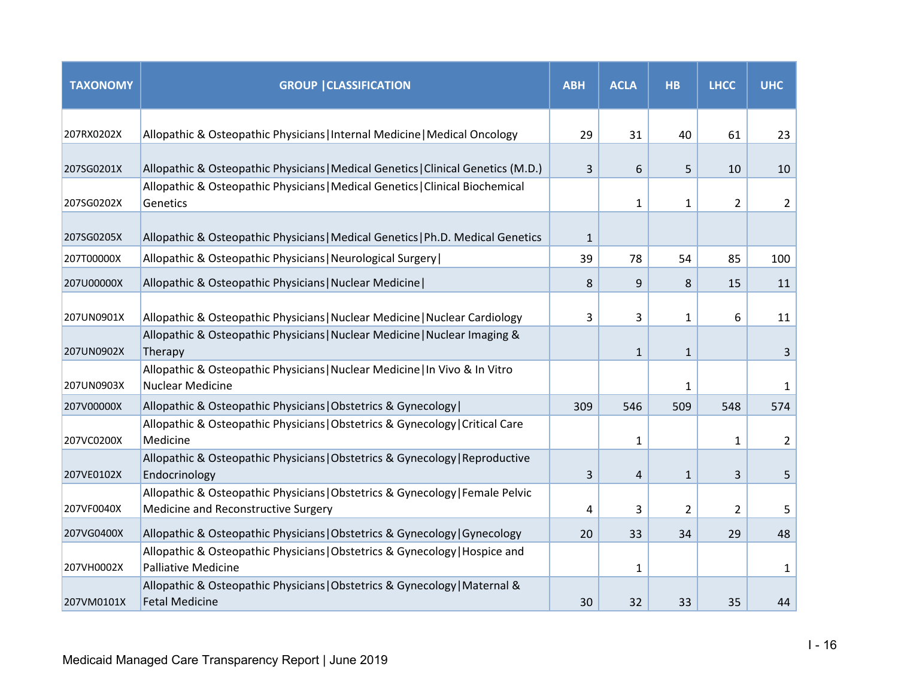| <b>TAXONOMY</b> | <b>GROUP   CLASSIFICATION</b>                                                                                        | <b>ABH</b>   | <b>ACLA</b>  | <b>HB</b>      | <b>LHCC</b>    | <b>UHC</b>     |
|-----------------|----------------------------------------------------------------------------------------------------------------------|--------------|--------------|----------------|----------------|----------------|
| 207RX0202X      | Allopathic & Osteopathic Physicians   Internal Medicine   Medical Oncology                                           | 29           | 31           | 40             | 61             | 23             |
| 207SG0201X      | Allopathic & Osteopathic Physicians   Medical Genetics   Clinical Genetics (M.D.)                                    | 3            | 6            | 5              | 10             | 10             |
| 207SG0202X      | Allopathic & Osteopathic Physicians   Medical Genetics   Clinical Biochemical<br>Genetics                            |              | $\mathbf{1}$ | $\mathbf{1}$   | $\overline{2}$ | $\overline{2}$ |
| 207SG0205X      | Allopathic & Osteopathic Physicians   Medical Genetics   Ph.D. Medical Genetics                                      | $\mathbf{1}$ |              |                |                |                |
| 207T00000X      | Allopathic & Osteopathic Physicians   Neurological Surgery                                                           | 39           | 78           | 54             | 85             | 100            |
| 207U00000X      | Allopathic & Osteopathic Physicians   Nuclear Medicine                                                               | 8            | 9            | 8              | 15             | 11             |
| 207UN0901X      | Allopathic & Osteopathic Physicians   Nuclear Medicine   Nuclear Cardiology                                          | 3            | 3            | $\mathbf{1}$   | 6              | 11             |
| 207UN0902X      | Allopathic & Osteopathic Physicians   Nuclear Medicine   Nuclear Imaging &<br>Therapy                                |              | $\mathbf{1}$ | $\mathbf{1}$   |                | 3              |
| 207UN0903X      | Allopathic & Osteopathic Physicians   Nuclear Medicine   In Vivo & In Vitro<br><b>Nuclear Medicine</b>               |              |              | 1              |                | 1              |
| 207V00000X      | Allopathic & Osteopathic Physicians   Obstetrics & Gynecology                                                        | 309          | 546          | 509            | 548            | 574            |
| 207VC0200X      | Allopathic & Osteopathic Physicians   Obstetrics & Gynecology   Critical Care<br>Medicine                            |              | 1            |                | 1              | 2              |
| 207VE0102X      | Allopathic & Osteopathic Physicians   Obstetrics & Gynecology   Reproductive<br>Endocrinology                        | 3            | 4            | $\mathbf{1}$   | 3              | 5              |
| 207VF0040X      | Allopathic & Osteopathic Physicians   Obstetrics & Gynecology   Female Pelvic<br>Medicine and Reconstructive Surgery | 4            | 3            | $\overline{2}$ | $\overline{2}$ | 5              |
| 207VG0400X      | Allopathic & Osteopathic Physicians   Obstetrics & Gynecology   Gynecology                                           | 20           | 33           | 34             | 29             | 48             |
| 207VH0002X      | Allopathic & Osteopathic Physicians   Obstetrics & Gynecology   Hospice and<br><b>Palliative Medicine</b>            |              | $\mathbf{1}$ |                |                | 1              |
| 207VM0101X      | Allopathic & Osteopathic Physicians   Obstetrics & Gynecology   Maternal &<br><b>Fetal Medicine</b>                  | 30           | 32           | 33             | 35             | 44             |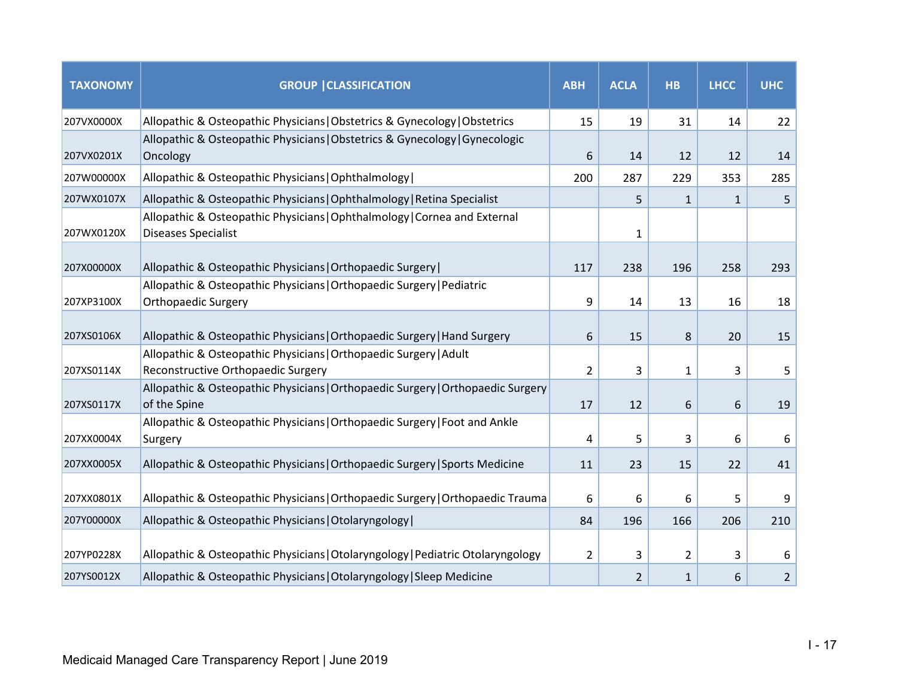| <b>TAXONOMY</b> | <b>GROUP   CLASSIFICATION</b>                                                                           | <b>ABH</b>     | <b>ACLA</b>    | <b>HB</b>    | <b>LHCC</b>  | <b>UHC</b>     |
|-----------------|---------------------------------------------------------------------------------------------------------|----------------|----------------|--------------|--------------|----------------|
| 207VX0000X      | Allopathic & Osteopathic Physicians   Obstetrics & Gynecology   Obstetrics                              | 15             | 19             | 31           | 14           | 22             |
| 207VX0201X      | Allopathic & Osteopathic Physicians   Obstetrics & Gynecology   Gynecologic<br>Oncology                 | 6              | 14             | 12           | 12           | 14             |
| 207W00000X      | Allopathic & Osteopathic Physicians   Ophthalmology                                                     | 200            | 287            | 229          | 353          | 285            |
| 207WX0107X      | Allopathic & Osteopathic Physicians   Ophthalmology   Retina Specialist                                 |                | 5              | 1            | $\mathbf{1}$ | 5              |
| 207WX0120X      | Allopathic & Osteopathic Physicians   Ophthalmology   Cornea and External<br><b>Diseases Specialist</b> |                | $\mathbf{1}$   |              |              |                |
| 207X00000X      | Allopathic & Osteopathic Physicians   Orthopaedic Surgery                                               | 117            | 238            | 196          | 258          | 293            |
| 207XP3100X      | Allopathic & Osteopathic Physicians   Orthopaedic Surgery   Pediatric<br><b>Orthopaedic Surgery</b>     | 9              | 14             | 13           | 16           | 18             |
| 207XS0106X      | Allopathic & Osteopathic Physicians   Orthopaedic Surgery   Hand Surgery                                | 6              | 15             | 8            | 20           | 15             |
| 207XS0114X      | Allopathic & Osteopathic Physicians   Orthopaedic Surgery   Adult<br>Reconstructive Orthopaedic Surgery | $\overline{2}$ | 3              | 1            | 3            | 5              |
| 207XS0117X      | Allopathic & Osteopathic Physicians   Orthopaedic Surgery   Orthopaedic Surgery<br>of the Spine         | 17             | 12             | 6            | 6            | 19             |
| 207XX0004X      | Allopathic & Osteopathic Physicians   Orthopaedic Surgery   Foot and Ankle<br>Surgery                   | 4              | 5              | 3            | 6            | 6              |
| 207XX0005X      | Allopathic & Osteopathic Physicians   Orthopaedic Surgery   Sports Medicine                             | 11             | 23             | 15           | 22           | 41             |
| 207XX0801X      | Allopathic & Osteopathic Physicians   Orthopaedic Surgery   Orthopaedic Trauma                          | 6              | 6              | 6            | 5            | 9              |
| 207Y00000X      | Allopathic & Osteopathic Physicians   Otolaryngology                                                    | 84             | 196            | 166          | 206          | 210            |
| 207YP0228X      | Allopathic & Osteopathic Physicians   Otolaryngology   Pediatric Otolaryngology                         | 2              | 3              | 2            | 3            | 6              |
| 207YS0012X      | Allopathic & Osteopathic Physicians   Otolaryngology   Sleep Medicine                                   |                | $\overline{2}$ | $\mathbf{1}$ | 6            | $\overline{2}$ |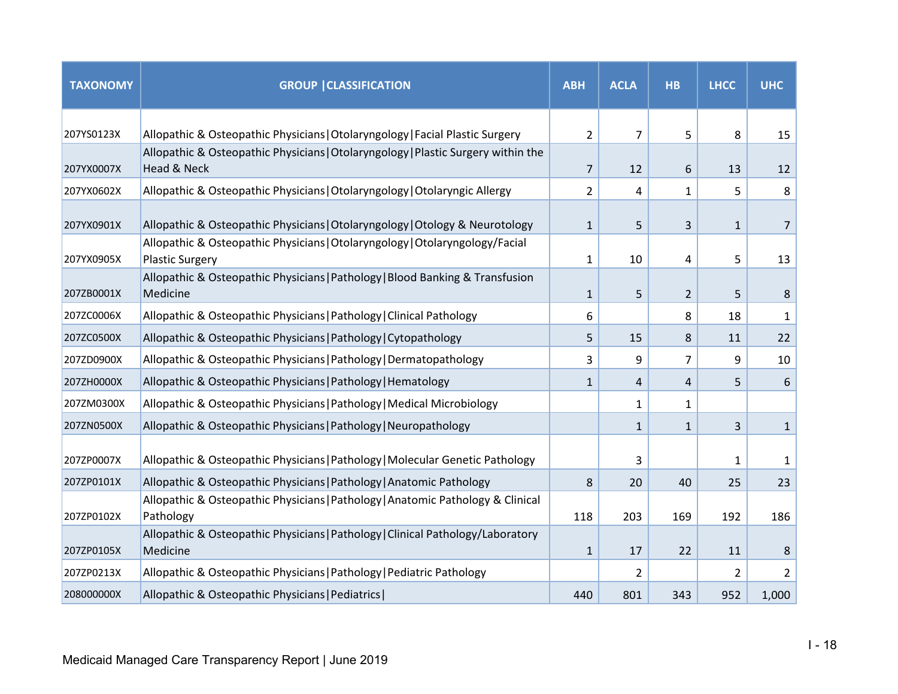| <b>TAXONOMY</b> | <b>GROUP   CLASSIFICATION</b>                                                                          | <b>ABH</b>     | <b>ACLA</b>    | <b>HB</b>      | <b>LHCC</b> | <b>UHC</b>     |
|-----------------|--------------------------------------------------------------------------------------------------------|----------------|----------------|----------------|-------------|----------------|
| 207YS0123X      | Allopathic & Osteopathic Physicians   Otolaryngology   Facial Plastic Surgery                          | $\overline{2}$ | $\overline{7}$ | 5              | 8           | 15             |
| 207YX0007X      | Allopathic & Osteopathic Physicians   Otolaryngology   Plastic Surgery within the<br>Head & Neck       | $\overline{7}$ | 12             | 6              | 13          | 12             |
| 207YX0602X      | Allopathic & Osteopathic Physicians   Otolaryngology   Otolaryngic Allergy                             | $\overline{2}$ | 4              | 1              | 5           | 8              |
| 207YX0901X      | Allopathic & Osteopathic Physicians   Otolaryngology   Otology & Neurotology                           | $\mathbf{1}$   | 5              | 3              | 1           | $\overline{7}$ |
| 207YX0905X      | Allopathic & Osteopathic Physicians   Otolaryngology   Otolaryngology/Facial<br><b>Plastic Surgery</b> | $\mathbf{1}$   | 10             | 4              | 5           | 13             |
| 207ZB0001X      | Allopathic & Osteopathic Physicians   Pathology   Blood Banking & Transfusion<br>Medicine              | $\mathbf{1}$   | 5              | $\overline{2}$ | 5           | 8              |
| 207ZC0006X      | Allopathic & Osteopathic Physicians   Pathology   Clinical Pathology                                   | 6              |                | 8              | 18          | 1              |
| 207ZC0500X      | Allopathic & Osteopathic Physicians   Pathology   Cytopathology                                        | 5              | 15             | 8              | 11          | 22             |
| 207ZD0900X      | Allopathic & Osteopathic Physicians   Pathology   Dermatopathology                                     | 3              | 9              | 7              | 9           | 10             |
| 207ZH0000X      | Allopathic & Osteopathic Physicians   Pathology   Hematology                                           | $\mathbf{1}$   | 4              | 4              | 5           | 6              |
| 207ZM0300X      | Allopathic & Osteopathic Physicians   Pathology   Medical Microbiology                                 |                | 1              | 1              |             |                |
| 207ZN0500X      | Allopathic & Osteopathic Physicians   Pathology   Neuropathology                                       |                | $\mathbf{1}$   | $\mathbf{1}$   | 3           | $\mathbf{1}$   |
| 207ZP0007X      | Allopathic & Osteopathic Physicians   Pathology   Molecular Genetic Pathology                          |                | 3              |                | 1           | 1              |
| 207ZP0101X      | Allopathic & Osteopathic Physicians   Pathology   Anatomic Pathology                                   | 8              | 20             | 40             | 25          | 23             |
| 207ZP0102X      | Allopathic & Osteopathic Physicians   Pathology   Anatomic Pathology & Clinical<br>Pathology           | 118            | 203            | 169            | 192         | 186            |
| 207ZP0105X      | Allopathic & Osteopathic Physicians   Pathology   Clinical Pathology/Laboratory<br>Medicine            | $\mathbf{1}$   | 17             | 22             | 11          | 8              |
| 207ZP0213X      | Allopathic & Osteopathic Physicians   Pathology   Pediatric Pathology                                  |                | 2              |                | 2           | $\overline{2}$ |
| 208000000X      | Allopathic & Osteopathic Physicians   Pediatrics                                                       | 440            | 801            | 343            | 952         | 1,000          |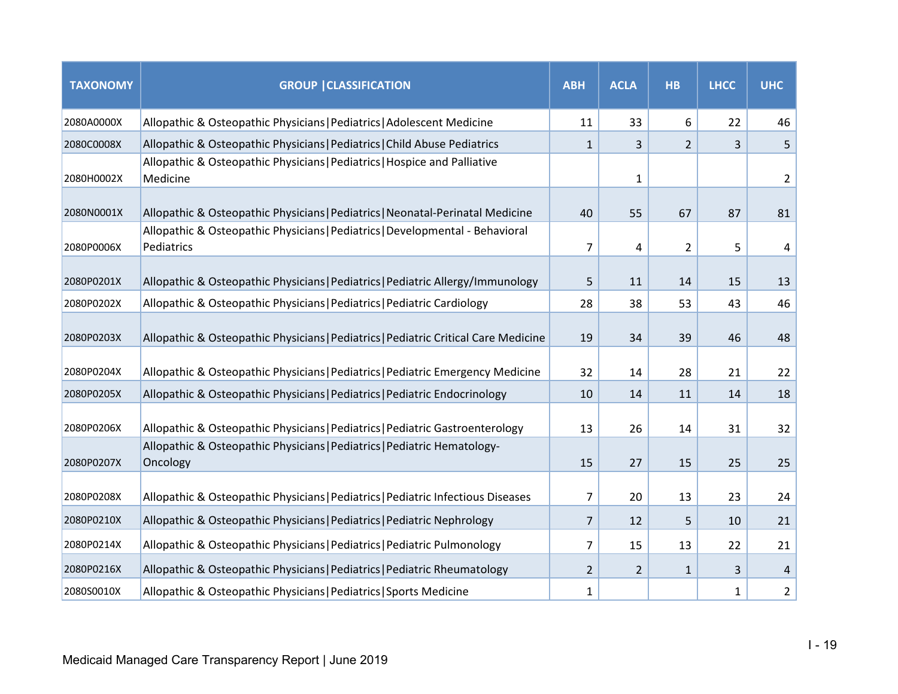| <b>TAXONOMY</b> | <b>GROUP   CLASSIFICATION</b>                                                               | <b>ABH</b>     | <b>ACLA</b>    | <b>HB</b>      | <b>LHCC</b> | <b>UHC</b>     |
|-----------------|---------------------------------------------------------------------------------------------|----------------|----------------|----------------|-------------|----------------|
| 2080A0000X      | Allopathic & Osteopathic Physicians   Pediatrics   Adolescent Medicine                      | 11             | 33             | 6              | 22          | 46             |
| 2080C0008X      | Allopathic & Osteopathic Physicians   Pediatrics   Child Abuse Pediatrics                   | $\mathbf{1}$   | 3              | $\overline{2}$ | 3           | 5              |
| 2080H0002X      | Allopathic & Osteopathic Physicians   Pediatrics   Hospice and Palliative<br>Medicine       |                | 1              |                |             | $\overline{2}$ |
| 2080N0001X      | Allopathic & Osteopathic Physicians   Pediatrics   Neonatal-Perinatal Medicine              | 40             | 55             | 67             | 87          | 81             |
| 2080P0006X      | Allopathic & Osteopathic Physicians   Pediatrics   Developmental - Behavioral<br>Pediatrics | $\overline{7}$ | 4              | $\overline{2}$ | 5           | 4              |
| 2080P0201X      | Allopathic & Osteopathic Physicians   Pediatrics   Pediatric Allergy/Immunology             | 5              | 11             | 14             | 15          | 13             |
| 2080P0202X      | Allopathic & Osteopathic Physicians   Pediatrics   Pediatric Cardiology                     | 28             | 38             | 53             | 43          | 46             |
| 2080P0203X      | Allopathic & Osteopathic Physicians   Pediatrics   Pediatric Critical Care Medicine         | 19             | 34             | 39             | 46          | 48             |
| 2080P0204X      | Allopathic & Osteopathic Physicians   Pediatrics   Pediatric Emergency Medicine             | 32             | 14             | 28             | 21          | 22             |
| 2080P0205X      | Allopathic & Osteopathic Physicians   Pediatrics   Pediatric Endocrinology                  | 10             | 14             | 11             | 14          | 18             |
| 2080P0206X      | Allopathic & Osteopathic Physicians   Pediatrics   Pediatric Gastroenterology               | 13             | 26             | 14             | 31          | 32             |
| 2080P0207X      | Allopathic & Osteopathic Physicians   Pediatrics   Pediatric Hematology-<br>Oncology        | 15             | 27             | 15             | 25          | 25             |
| 2080P0208X      | Allopathic & Osteopathic Physicians   Pediatrics   Pediatric Infectious Diseases            | $\overline{7}$ | 20             | 13             | 23          | 24             |
| 2080P0210X      | Allopathic & Osteopathic Physicians   Pediatrics   Pediatric Nephrology                     | $\overline{7}$ | 12             | 5              | 10          | 21             |
| 2080P0214X      | Allopathic & Osteopathic Physicians   Pediatrics   Pediatric Pulmonology                    | $\overline{7}$ | 15             | 13             | 22          | 21             |
| 2080P0216X      | Allopathic & Osteopathic Physicians   Pediatrics   Pediatric Rheumatology                   | $\overline{2}$ | $\overline{2}$ | $\mathbf{1}$   | 3           | $\overline{4}$ |
| 2080S0010X      | Allopathic & Osteopathic Physicians   Pediatrics   Sports Medicine                          | 1              |                |                | 1           | $\overline{2}$ |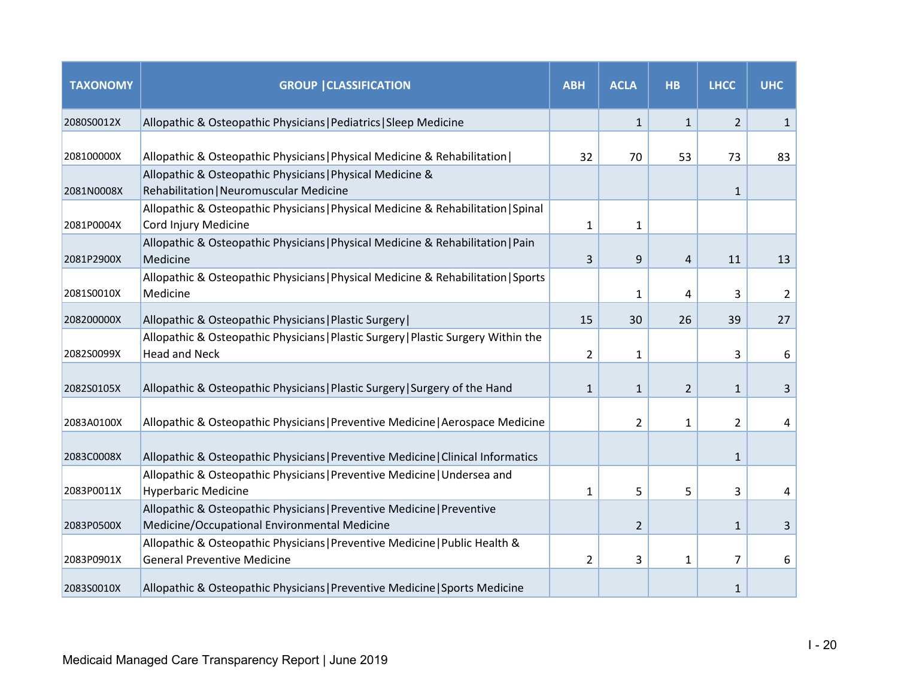| <b>TAXONOMY</b> | <b>GROUP   CLASSIFICATION</b>                                                                                          | <b>ABH</b>   | <b>ACLA</b>    | <b>HB</b>    | <b>LHCC</b>    | <b>UHC</b>     |
|-----------------|------------------------------------------------------------------------------------------------------------------------|--------------|----------------|--------------|----------------|----------------|
| 2080S0012X      | Allopathic & Osteopathic Physicians   Pediatrics   Sleep Medicine                                                      |              | $\mathbf{1}$   | $\mathbf{1}$ | $\overline{2}$ | $\mathbf{1}$   |
| 208100000X      | Allopathic & Osteopathic Physicians   Physical Medicine & Rehabilitation                                               | 32           | 70             | 53           | 73             | 83             |
| 2081N0008X      | Allopathic & Osteopathic Physicians   Physical Medicine &<br>Rehabilitation   Neuromuscular Medicine                   |              |                |              | $\mathbf{1}$   |                |
| 2081P0004X      | Allopathic & Osteopathic Physicians   Physical Medicine & Rehabilitation   Spinal<br>Cord Injury Medicine              | 1            | 1              |              |                |                |
| 2081P2900X      | Allopathic & Osteopathic Physicians   Physical Medicine & Rehabilitation   Pain<br>Medicine                            | 3            | 9              | 4            | 11             | 13             |
| 2081S0010X      | Allopathic & Osteopathic Physicians   Physical Medicine & Rehabilitation   Sports<br>Medicine                          |              | 1              | 4            | 3              | $\overline{2}$ |
| 208200000X      | Allopathic & Osteopathic Physicians   Plastic Surgery                                                                  | 15           | 30             | 26           | 39             | 27             |
| 2082S0099X      | Allopathic & Osteopathic Physicians   Plastic Surgery   Plastic Surgery Within the<br><b>Head and Neck</b>             | 2            | $\mathbf{1}$   |              | 3              | 6              |
| 2082S0105X      | Allopathic & Osteopathic Physicians   Plastic Surgery   Surgery of the Hand                                            | $\mathbf{1}$ | 1              | 2            | 1              | 3              |
| 2083A0100X      | Allopathic & Osteopathic Physicians   Preventive Medicine   Aerospace Medicine                                         |              | 2              | 1            | 2              | 4              |
| 2083C0008X      | Allopathic & Osteopathic Physicians   Preventive Medicine   Clinical Informatics                                       |              |                |              | $\mathbf{1}$   |                |
| 2083P0011X      | Allopathic & Osteopathic Physicians   Preventive Medicine   Undersea and<br><b>Hyperbaric Medicine</b>                 | $\mathbf{1}$ | 5              | 5            | 3              | 4              |
| 2083P0500X      | Allopathic & Osteopathic Physicians   Preventive Medicine   Preventive<br>Medicine/Occupational Environmental Medicine |              | $\overline{2}$ |              | $\mathbf{1}$   | 3              |
| 2083P0901X      | Allopathic & Osteopathic Physicians   Preventive Medicine   Public Health &<br><b>General Preventive Medicine</b>      | 2            | 3              | 1            | 7              | 6              |
| 2083S0010X      | Allopathic & Osteopathic Physicians   Preventive Medicine   Sports Medicine                                            |              |                |              | 1              |                |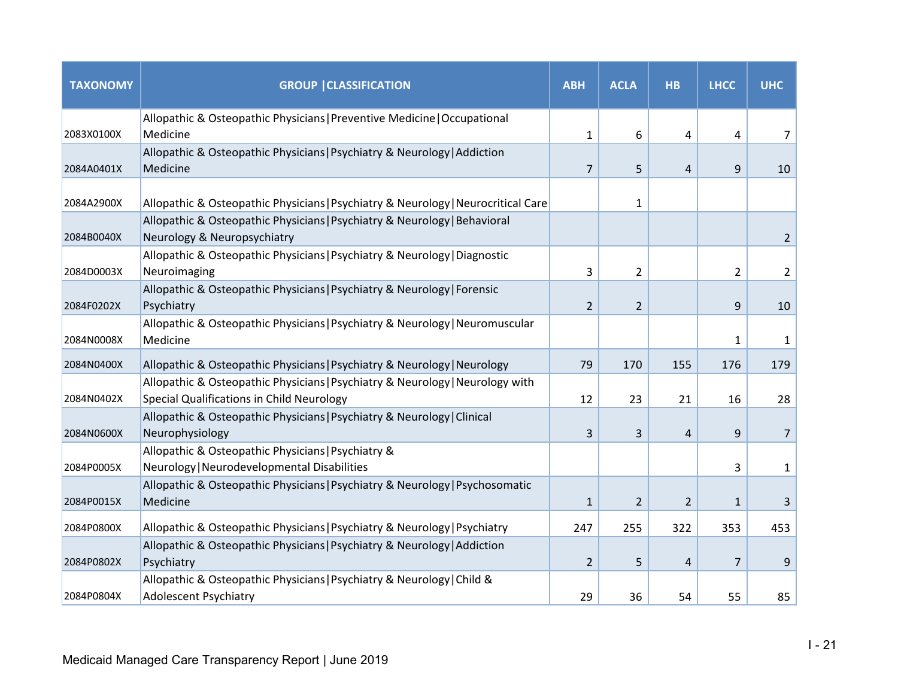| <b>TAXONOMY</b> | <b>GROUP   CLASSIFICATION</b>                                                                                              | <b>ABH</b>     | <b>ACLA</b>    | <b>HB</b>      | <b>LHCC</b>    | <b>UHC</b>     |
|-----------------|----------------------------------------------------------------------------------------------------------------------------|----------------|----------------|----------------|----------------|----------------|
| 2083X0100X      | Allopathic & Osteopathic Physicians   Preventive Medicine   Occupational<br>Medicine                                       | $\mathbf{1}$   | 6              | 4              | 4              | 7              |
| 2084A0401X      | Allopathic & Osteopathic Physicians   Psychiatry & Neurology   Addiction<br>Medicine                                       | $\overline{7}$ | 5              | $\overline{4}$ | 9              | 10             |
| 2084A2900X      | Allopathic & Osteopathic Physicians   Psychiatry & Neurology   Neurocritical Care                                          |                | $\mathbf{1}$   |                |                |                |
| 2084B0040X      | Allopathic & Osteopathic Physicians   Psychiatry & Neurology   Behavioral<br>Neurology & Neuropsychiatry                   |                |                |                |                | $\overline{2}$ |
| 2084D0003X      | Allopathic & Osteopathic Physicians   Psychiatry & Neurology   Diagnostic<br>Neuroimaging                                  | 3              | $\overline{2}$ |                | $\overline{2}$ | $\overline{2}$ |
| 2084F0202X      | Allopathic & Osteopathic Physicians   Psychiatry & Neurology   Forensic<br>Psychiatry                                      | $\overline{2}$ | $\overline{2}$ |                | 9              | 10             |
| 2084N0008X      | Allopathic & Osteopathic Physicians   Psychiatry & Neurology   Neuromuscular<br>Medicine                                   |                |                |                | $\mathbf{1}$   | 1              |
| 2084N0400X      | Allopathic & Osteopathic Physicians   Psychiatry & Neurology   Neurology                                                   | 79             | 170            | 155            | 176            | 179            |
| 2084N0402X      | Allopathic & Osteopathic Physicians   Psychiatry & Neurology   Neurology with<br>Special Qualifications in Child Neurology | 12             | 23             | 21             | 16             | 28             |
| 2084N0600X      | Allopathic & Osteopathic Physicians   Psychiatry & Neurology   Clinical<br>Neurophysiology                                 | 3              | 3              | $\overline{4}$ | 9              | $\overline{7}$ |
| 2084P0005X      | Allopathic & Osteopathic Physicians   Psychiatry &<br>Neurology   Neurodevelopmental Disabilities                          |                |                |                | 3              | $\mathbf{1}$   |
| 2084P0015X      | Allopathic & Osteopathic Physicians   Psychiatry & Neurology   Psychosomatic<br>Medicine                                   | $\mathbf{1}$   | $\overline{2}$ | 2              | $\mathbf{1}$   | 3              |
| 2084P0800X      | Allopathic & Osteopathic Physicians   Psychiatry & Neurology   Psychiatry                                                  | 247            | 255            | 322            | 353            | 453            |
| 2084P0802X      | Allopathic & Osteopathic Physicians   Psychiatry & Neurology   Addiction<br>Psychiatry                                     | $\overline{2}$ | 5              | 4              | $\overline{7}$ | 9              |
| 2084P0804X      | Allopathic & Osteopathic Physicians   Psychiatry & Neurology   Child &<br><b>Adolescent Psychiatry</b>                     | 29             | 36             | 54             | 55             | 85             |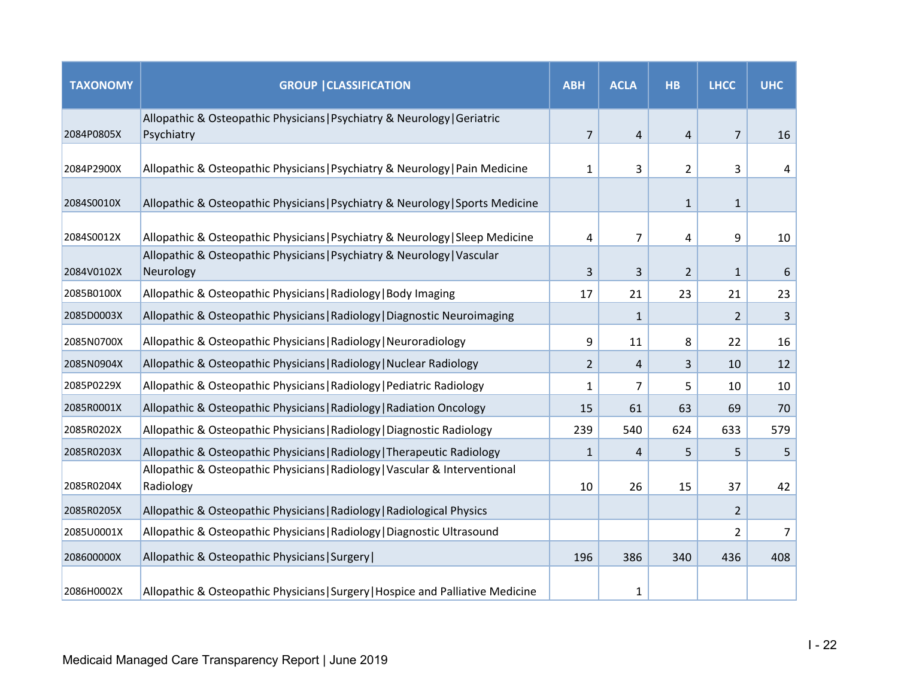| <b>TAXONOMY</b> | <b>GROUP   CLASSIFICATION</b>                                                            | <b>ABH</b>     | <b>ACLA</b>    | <b>HB</b>      | <b>LHCC</b>    | <b>UHC</b> |
|-----------------|------------------------------------------------------------------------------------------|----------------|----------------|----------------|----------------|------------|
| 2084P0805X      | Allopathic & Osteopathic Physicians   Psychiatry & Neurology   Geriatric<br>Psychiatry   | $\overline{7}$ | $\overline{4}$ | $\overline{4}$ | $\overline{7}$ | 16         |
| 2084P2900X      | Allopathic & Osteopathic Physicians   Psychiatry & Neurology   Pain Medicine             | 1              | 3              | $\overline{2}$ | 3              | 4          |
| 2084S0010X      | Allopathic & Osteopathic Physicians   Psychiatry & Neurology   Sports Medicine           |                |                | $\mathbf{1}$   | $\mathbf{1}$   |            |
| 2084S0012X      | Allopathic & Osteopathic Physicians   Psychiatry & Neurology   Sleep Medicine            | 4              | $\overline{7}$ | 4              | 9              | 10         |
| 2084V0102X      | Allopathic & Osteopathic Physicians   Psychiatry & Neurology   Vascular<br>Neurology     | 3              | 3              | $\overline{2}$ | $\mathbf{1}$   | 6          |
| 2085B0100X      | Allopathic & Osteopathic Physicians   Radiology   Body Imaging                           | 17             | 21             | 23             | 21             | 23         |
| 2085D0003X      | Allopathic & Osteopathic Physicians   Radiology   Diagnostic Neuroimaging                |                | $\mathbf{1}$   |                | 2              | 3          |
| 2085N0700X      | Allopathic & Osteopathic Physicians   Radiology   Neuroradiology                         | 9              | 11             | 8              | 22             | 16         |
| 2085N0904X      | Allopathic & Osteopathic Physicians   Radiology   Nuclear Radiology                      | $\overline{2}$ | 4              | 3              | 10             | 12         |
| 2085P0229X      | Allopathic & Osteopathic Physicians   Radiology   Pediatric Radiology                    | 1              | 7              | 5              | 10             | 10         |
| 2085R0001X      | Allopathic & Osteopathic Physicians   Radiology   Radiation Oncology                     | 15             | 61             | 63             | 69             | 70         |
| 2085R0202X      | Allopathic & Osteopathic Physicians   Radiology   Diagnostic Radiology                   | 239            | 540            | 624            | 633            | 579        |
| 2085R0203X      | Allopathic & Osteopathic Physicians   Radiology   Therapeutic Radiology                  | 1              | 4              | 5              | 5              | 5          |
| 2085R0204X      | Allopathic & Osteopathic Physicians   Radiology   Vascular & Interventional<br>Radiology | 10             | 26             | 15             | 37             | 42         |
| 2085R0205X      | Allopathic & Osteopathic Physicians   Radiology   Radiological Physics                   |                |                |                | $\overline{2}$ |            |
| 2085U0001X      | Allopathic & Osteopathic Physicians   Radiology   Diagnostic Ultrasound                  |                |                |                | $\overline{2}$ | 7          |
| 208600000X      | Allopathic & Osteopathic Physicians   Surgery                                            | 196            | 386            | 340            | 436            | 408        |
| 2086H0002X      | Allopathic & Osteopathic Physicians   Surgery   Hospice and Palliative Medicine          |                | 1              |                |                |            |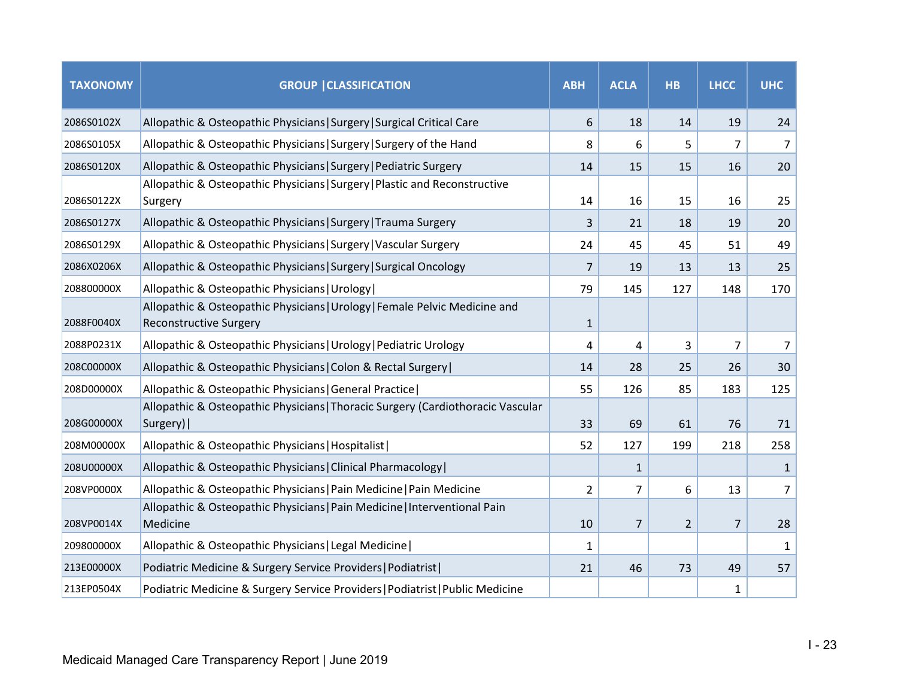| <b>TAXONOMY</b> | <b>GROUP   CLASSIFICATION</b>                                                                               | <b>ABH</b>     | <b>ACLA</b>    | <b>HB</b>      | <b>LHCC</b> | <b>UHC</b>     |
|-----------------|-------------------------------------------------------------------------------------------------------------|----------------|----------------|----------------|-------------|----------------|
| 2086S0102X      | Allopathic & Osteopathic Physicians   Surgery   Surgical Critical Care                                      | 6              | 18             | 14             | 19          | 24             |
| 2086S0105X      | Allopathic & Osteopathic Physicians   Surgery   Surgery of the Hand                                         | 8              | 6              | 5              | 7           | $\overline{7}$ |
| 2086S0120X      | Allopathic & Osteopathic Physicians   Surgery   Pediatric Surgery                                           | 14             | 15             | 15             | 16          | 20             |
| 2086S0122X      | Allopathic & Osteopathic Physicians   Surgery   Plastic and Reconstructive<br>Surgery                       | 14             | 16             | 15             | 16          | 25             |
| 2086S0127X      | Allopathic & Osteopathic Physicians   Surgery   Trauma Surgery                                              | 3              | 21             | 18             | 19          | 20             |
| 2086S0129X      | Allopathic & Osteopathic Physicians   Surgery   Vascular Surgery                                            | 24             | 45             | 45             | 51          | 49             |
| 2086X0206X      | Allopathic & Osteopathic Physicians   Surgery   Surgical Oncology                                           | 7              | 19             | 13             | 13          | 25             |
| 208800000X      | Allopathic & Osteopathic Physicians   Urology                                                               | 79             | 145            | 127            | 148         | 170            |
| 2088F0040X      | Allopathic & Osteopathic Physicians   Urology   Female Pelvic Medicine and<br><b>Reconstructive Surgery</b> | $\mathbf{1}$   |                |                |             |                |
| 2088P0231X      | Allopathic & Osteopathic Physicians   Urology   Pediatric Urology                                           | 4              | 4              | 3              | 7           | 7              |
| 208C00000X      | Allopathic & Osteopathic Physicians   Colon & Rectal Surgery                                                | 14             | 28             | 25             | 26          | 30             |
| 208D00000X      | Allopathic & Osteopathic Physicians   General Practice                                                      | 55             | 126            | 85             | 183         | 125            |
| 208G00000X      | Allopathic & Osteopathic Physicians   Thoracic Surgery (Cardiothoracic Vascular<br>Surgery)                 | 33             | 69             | 61             | 76          | 71             |
| 208M00000X      | Allopathic & Osteopathic Physicians   Hospitalist                                                           | 52             | 127            | 199            | 218         | 258            |
| 208U00000X      | Allopathic & Osteopathic Physicians   Clinical Pharmacology                                                 |                | $\mathbf{1}$   |                |             | $\mathbf{1}$   |
| 208VP0000X      | Allopathic & Osteopathic Physicians   Pain Medicine   Pain Medicine                                         | $\overline{2}$ | 7              | 6              | 13          | 7              |
| 208VP0014X      | Allopathic & Osteopathic Physicians   Pain Medicine   Interventional Pain<br>Medicine                       | 10             | $\overline{7}$ | $\overline{2}$ | 7           | 28             |
| 209800000X      | Allopathic & Osteopathic Physicians   Legal Medicine                                                        | 1              |                |                |             | 1              |
| 213E00000X      | Podiatric Medicine & Surgery Service Providers   Podiatrist                                                 | 21             | 46             | 73             | 49          | 57             |
| 213EP0504X      | Podiatric Medicine & Surgery Service Providers   Podiatrist   Public Medicine                               |                |                |                | 1           |                |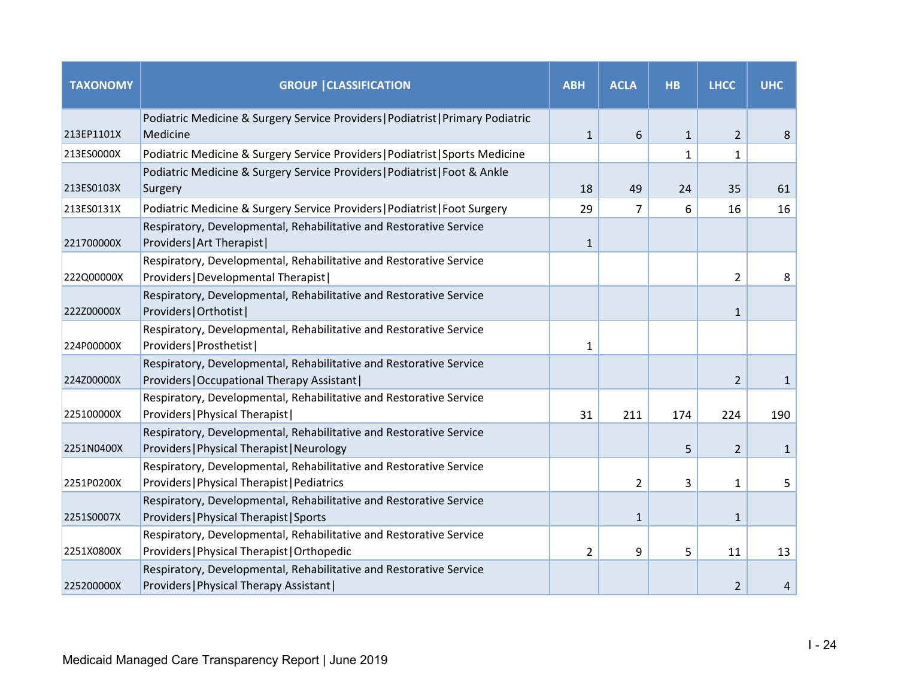| <b>TAXONOMY</b> | <b>GROUP   CLASSIFICATION</b>                                                                                     | <b>ABH</b>     | <b>ACLA</b>    | <b>HB</b>    | <b>LHCC</b>    | <b>UHC</b>   |
|-----------------|-------------------------------------------------------------------------------------------------------------------|----------------|----------------|--------------|----------------|--------------|
| 213EP1101X      | Podiatric Medicine & Surgery Service Providers   Podiatrist   Primary Podiatric<br>Medicine                       | $\mathbf{1}$   | 6              | $\mathbf{1}$ | $\overline{2}$ | 8            |
| 213ES0000X      | Podiatric Medicine & Surgery Service Providers   Podiatrist   Sports Medicine                                     |                |                | $\mathbf{1}$ | $\mathbf{1}$   |              |
|                 | Podiatric Medicine & Surgery Service Providers   Podiatrist   Foot & Ankle                                        |                |                |              |                |              |
| 213ES0103X      | Surgery                                                                                                           | 18             | 49             | 24           | 35             | 61           |
| 213ES0131X      | Podiatric Medicine & Surgery Service Providers   Podiatrist   Foot Surgery                                        | 29             | 7              | 6            | 16             | 16           |
| 221700000X      | Respiratory, Developmental, Rehabilitative and Restorative Service<br>Providers   Art Therapist                   | $\mathbf{1}$   |                |              |                |              |
| 222Q00000X      | Respiratory, Developmental, Rehabilitative and Restorative Service<br>Providers   Developmental Therapist         |                |                |              | $\overline{2}$ | 8            |
| 222Z00000X      | Respiratory, Developmental, Rehabilitative and Restorative Service<br>Providers   Orthotist                       |                |                |              | $\mathbf{1}$   |              |
| 224P00000X      | Respiratory, Developmental, Rehabilitative and Restorative Service<br>Providers   Prosthetist                     | $\mathbf{1}$   |                |              |                |              |
| 224Z00000X      | Respiratory, Developmental, Rehabilitative and Restorative Service<br>Providers   Occupational Therapy Assistant  |                |                |              | 2              | $\mathbf{1}$ |
| 225100000X      | Respiratory, Developmental, Rehabilitative and Restorative Service<br>Providers   Physical Therapist              | 31             | 211            | 174          | 224            | 190          |
| 2251N0400X      | Respiratory, Developmental, Rehabilitative and Restorative Service<br>Providers   Physical Therapist   Neurology  |                |                | 5            | $\overline{2}$ | 1            |
| 2251P0200X      | Respiratory, Developmental, Rehabilitative and Restorative Service<br>Providers   Physical Therapist   Pediatrics |                | $\overline{2}$ | 3            | 1              | 5            |
| 2251S0007X      | Respiratory, Developmental, Rehabilitative and Restorative Service<br>Providers   Physical Therapist   Sports     |                | $\mathbf{1}$   |              | $\mathbf{1}$   |              |
| 2251X0800X      | Respiratory, Developmental, Rehabilitative and Restorative Service<br>Providers   Physical Therapist   Orthopedic | $\overline{2}$ | 9              | 5            | 11             | 13           |
| 225200000X      | Respiratory, Developmental, Rehabilitative and Restorative Service<br>Providers   Physical Therapy Assistant      |                |                |              | $\overline{2}$ | 4            |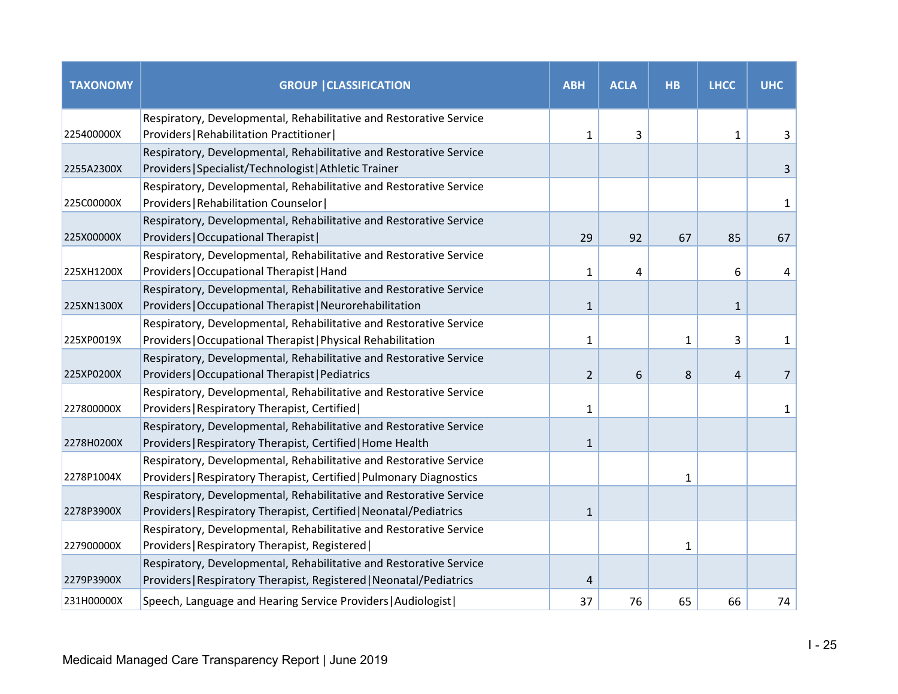| <b>TAXONOMY</b> | <b>GROUP   CLASSIFICATION</b>                                                                                                | <b>ABH</b>     | <b>ACLA</b> | <b>HB</b>    | <b>LHCC</b>    | <b>UHC</b>     |
|-----------------|------------------------------------------------------------------------------------------------------------------------------|----------------|-------------|--------------|----------------|----------------|
|                 | Respiratory, Developmental, Rehabilitative and Restorative Service                                                           |                |             |              |                |                |
| 225400000X      | Providers   Rehabilitation Practitioner                                                                                      | 1              | 3           |              | 1              | 3              |
| 2255A2300X      | Respiratory, Developmental, Rehabilitative and Restorative Service<br>Providers   Specialist/Technologist   Athletic Trainer |                |             |              |                | 3              |
|                 | Respiratory, Developmental, Rehabilitative and Restorative Service                                                           |                |             |              |                |                |
| 225C00000X      | Providers   Rehabilitation Counselor                                                                                         |                |             |              |                | $\mathbf{1}$   |
|                 | Respiratory, Developmental, Rehabilitative and Restorative Service                                                           |                |             |              |                |                |
| 225X00000X      | Providers   Occupational Therapist                                                                                           | 29             | 92          | 67           | 85             | 67             |
|                 | Respiratory, Developmental, Rehabilitative and Restorative Service                                                           |                |             |              |                |                |
| 225XH1200X      | Providers   Occupational Therapist   Hand                                                                                    | $\mathbf{1}$   | 4           |              | 6              | 4              |
|                 | Respiratory, Developmental, Rehabilitative and Restorative Service                                                           |                |             |              |                |                |
| 225XN1300X      | Providers   Occupational Therapist   Neurorehabilitation                                                                     | $\mathbf{1}$   |             |              | $\mathbf{1}$   |                |
|                 | Respiratory, Developmental, Rehabilitative and Restorative Service                                                           |                |             |              |                |                |
| 225XP0019X      | Providers   Occupational Therapist   Physical Rehabilitation                                                                 | $\mathbf{1}$   |             | $\mathbf{1}$ | 3              | $\mathbf{1}$   |
|                 | Respiratory, Developmental, Rehabilitative and Restorative Service                                                           |                |             |              |                |                |
| 225XP0200X      | Providers   Occupational Therapist   Pediatrics                                                                              | $\overline{2}$ | 6           | 8            | $\overline{4}$ | $\overline{7}$ |
|                 | Respiratory, Developmental, Rehabilitative and Restorative Service                                                           |                |             |              |                |                |
| 227800000X      | Providers   Respiratory Therapist, Certified                                                                                 | $\mathbf{1}$   |             |              |                | 1              |
|                 | Respiratory, Developmental, Rehabilitative and Restorative Service                                                           |                |             |              |                |                |
| 2278H0200X      | Providers   Respiratory Therapist, Certified   Home Health                                                                   | $\mathbf{1}$   |             |              |                |                |
|                 | Respiratory, Developmental, Rehabilitative and Restorative Service                                                           |                |             |              |                |                |
| 2278P1004X      | Providers   Respiratory Therapist, Certified   Pulmonary Diagnostics                                                         |                |             | 1            |                |                |
|                 | Respiratory, Developmental, Rehabilitative and Restorative Service                                                           |                |             |              |                |                |
| 2278P3900X      | Providers   Respiratory Therapist, Certified   Neonatal/Pediatrics                                                           | $\mathbf{1}$   |             |              |                |                |
|                 | Respiratory, Developmental, Rehabilitative and Restorative Service                                                           |                |             |              |                |                |
| 227900000X      | Providers   Respiratory Therapist, Registered                                                                                |                |             | $\mathbf{1}$ |                |                |
|                 | Respiratory, Developmental, Rehabilitative and Restorative Service                                                           |                |             |              |                |                |
| 2279P3900X      | Providers   Respiratory Therapist, Registered   Neonatal/Pediatrics                                                          | 4              |             |              |                |                |
| 231H00000X      | Speech, Language and Hearing Service Providers   Audiologist                                                                 | 37             | 76          | 65           | 66             | 74             |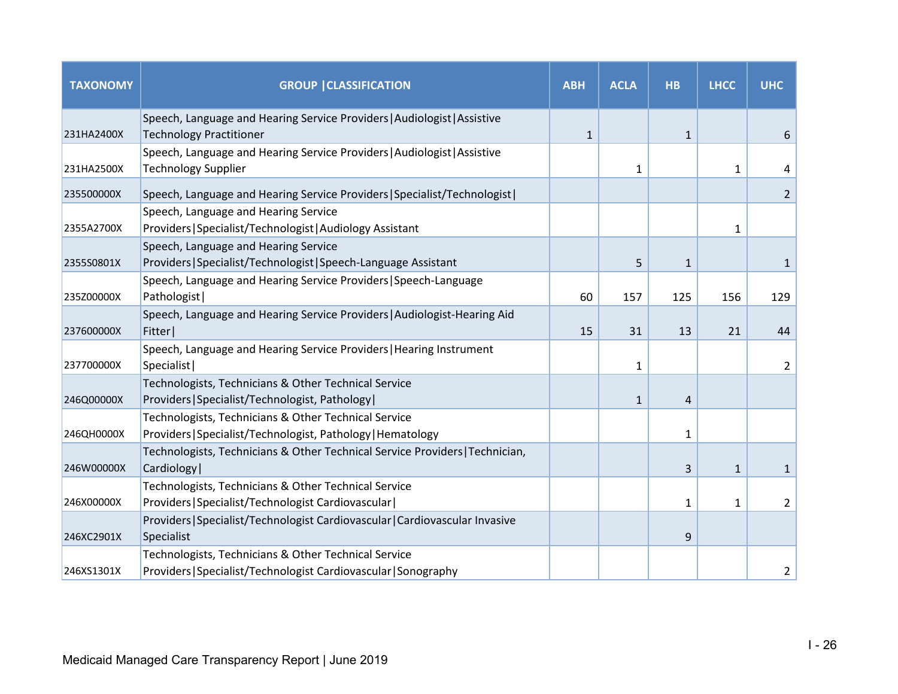| <b>TAXONOMY</b> | <b>GROUP   CLASSIFICATION</b>                                                                                           | <b>ABH</b>   | <b>ACLA</b>  | <b>HB</b>    | <b>LHCC</b>  | <b>UHC</b>     |
|-----------------|-------------------------------------------------------------------------------------------------------------------------|--------------|--------------|--------------|--------------|----------------|
| 231HA2400X      | Speech, Language and Hearing Service Providers   Audiologist   Assistive<br><b>Technology Practitioner</b>              | $\mathbf{1}$ |              | $\mathbf{1}$ |              | 6              |
| 231HA2500X      | Speech, Language and Hearing Service Providers   Audiologist   Assistive<br><b>Technology Supplier</b>                  |              | 1            |              | 1            | 4              |
| 235500000X      | Speech, Language and Hearing Service Providers   Specialist/Technologist                                                |              |              |              |              | $\overline{2}$ |
| 2355A2700X      | Speech, Language and Hearing Service<br>Providers   Specialist/Technologist   Audiology Assistant                       |              |              |              | $\mathbf{1}$ |                |
| 2355S0801X      | Speech, Language and Hearing Service<br>Providers   Specialist/Technologist   Speech-Language Assistant                 |              | 5            | $\mathbf{1}$ |              | 1              |
| 235Z00000X      | Speech, Language and Hearing Service Providers   Speech-Language<br>Pathologist                                         | 60           | 157          | 125          | 156          | 129            |
| 237600000X      | Speech, Language and Hearing Service Providers   Audiologist-Hearing Aid<br>Fitter                                      | 15           | 31           | 13           | 21           | 44             |
| 237700000X      | Speech, Language and Hearing Service Providers   Hearing Instrument<br>Specialist                                       |              | 1            |              |              | $\overline{2}$ |
| 246Q00000X      | Technologists, Technicians & Other Technical Service<br>Providers   Specialist/Technologist, Pathology                  |              | $\mathbf{1}$ | 4            |              |                |
| 246QH0000X      | Technologists, Technicians & Other Technical Service<br>Providers   Specialist/Technologist, Pathology   Hematology     |              |              | 1            |              |                |
| 246W00000X      | Technologists, Technicians & Other Technical Service Providers   Technician,<br>Cardiology                              |              |              | 3            | $\mathbf{1}$ | $\mathbf{1}$   |
| 246X00000X      | Technologists, Technicians & Other Technical Service<br>Providers   Specialist/Technologist Cardiovascular              |              |              | 1            | 1            | $\overline{2}$ |
| 246XC2901X      | Providers   Specialist/Technologist Cardiovascular   Cardiovascular Invasive<br>Specialist                              |              |              | 9            |              |                |
| 246XS1301X      | Technologists, Technicians & Other Technical Service<br>Providers   Specialist/Technologist Cardiovascular   Sonography |              |              |              |              | 2              |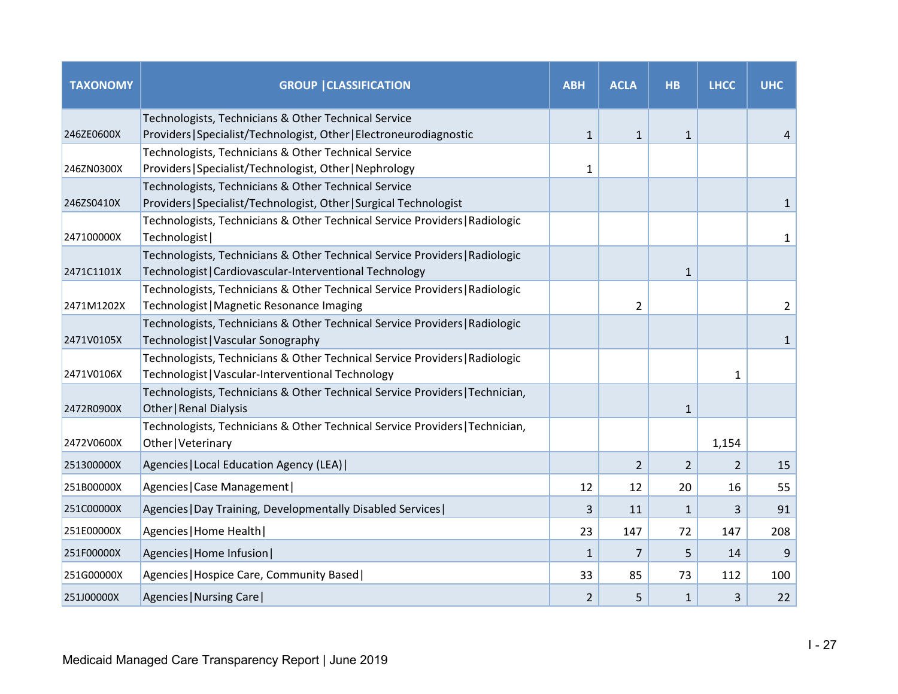| <b>TAXONOMY</b> | <b>GROUP   CLASSIFICATION</b>                                                                          | <b>ABH</b>   | <b>ACLA</b>    | <b>HB</b>    | <b>LHCC</b>  | <b>UHC</b>     |
|-----------------|--------------------------------------------------------------------------------------------------------|--------------|----------------|--------------|--------------|----------------|
|                 | Technologists, Technicians & Other Technical Service                                                   |              |                |              |              |                |
| 246ZE0600X      | Providers   Specialist/Technologist, Other   Electroneurodiagnostic                                    | $\mathbf{1}$ | $\mathbf{1}$   | $\mathbf{1}$ |              | 4              |
|                 | Technologists, Technicians & Other Technical Service                                                   |              |                |              |              |                |
| 246ZN0300X      | Providers   Specialist/Technologist, Other   Nephrology                                                | 1            |                |              |              |                |
|                 | Technologists, Technicians & Other Technical Service                                                   |              |                |              |              |                |
| 246ZS0410X      | Providers   Specialist/Technologist, Other   Surgical Technologist                                     |              |                |              |              | $\mathbf{1}$   |
|                 | Technologists, Technicians & Other Technical Service Providers   Radiologic                            |              |                |              |              |                |
| 247100000X      | Technologist                                                                                           |              |                |              |              | $\mathbf{1}$   |
|                 | Technologists, Technicians & Other Technical Service Providers   Radiologic                            |              |                |              |              |                |
| 2471C1101X      | Technologist   Cardiovascular-Interventional Technology                                                |              |                | $\mathbf{1}$ |              |                |
|                 | Technologists, Technicians & Other Technical Service Providers   Radiologic                            |              |                |              |              |                |
| 2471M1202X      | Technologist   Magnetic Resonance Imaging                                                              |              | $\overline{2}$ |              |              | $\overline{2}$ |
|                 | Technologists, Technicians & Other Technical Service Providers   Radiologic                            |              |                |              |              |                |
| 2471V0105X      | Technologist   Vascular Sonography                                                                     |              |                |              |              | $\mathbf{1}$   |
|                 | Technologists, Technicians & Other Technical Service Providers   Radiologic                            |              |                |              |              |                |
| 2471V0106X      | Technologist   Vascular-Interventional Technology                                                      |              |                |              | $\mathbf{1}$ |                |
| 2472R0900X      | Technologists, Technicians & Other Technical Service Providers   Technician,<br>Other   Renal Dialysis |              |                | $\mathbf{1}$ |              |                |
|                 | Technologists, Technicians & Other Technical Service Providers   Technician,                           |              |                |              |              |                |
| 2472V0600X      | Other   Veterinary                                                                                     |              |                |              | 1,154        |                |
| 251300000X      | Agencies   Local Education Agency (LEA)                                                                |              | 2              | 2            | 2            | 15             |
| 251B00000X      | Agencies   Case Management                                                                             | 12           | 12             | 20           | 16           | 55             |
| 251C00000X      | Agencies   Day Training, Developmentally Disabled Services                                             | 3            | 11             | $\mathbf{1}$ | 3            | 91             |
| 251E00000X      | Agencies   Home Health                                                                                 | 23           | 147            | 72           | 147          | 208            |
| 251F00000X      | Agencies   Home Infusion                                                                               | 1            | 7              | 5            | 14           | 9              |
| 251G00000X      | Agencies   Hospice Care, Community Based                                                               | 33           | 85             | 73           | 112          | 100            |
| 251J00000X      | Agencies   Nursing Care                                                                                | 2            | 5              | $\mathbf{1}$ | 3            | 22             |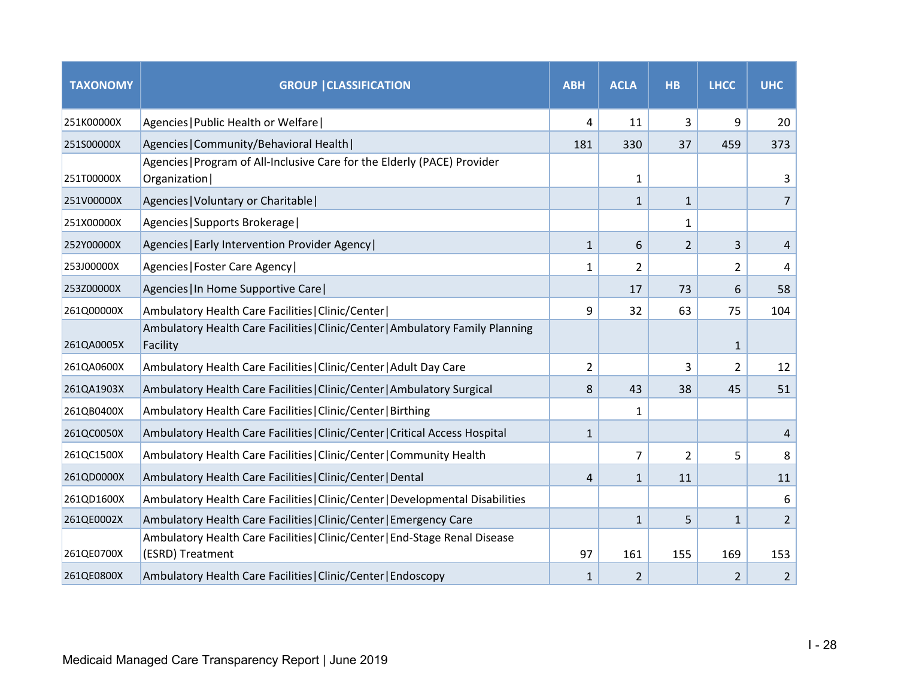| <b>TAXONOMY</b> | <b>GROUP   CLASSIFICATION</b>                                                                   | <b>ABH</b>   | <b>ACLA</b>    | <b>HB</b>      | <b>LHCC</b>    | <b>UHC</b>     |
|-----------------|-------------------------------------------------------------------------------------------------|--------------|----------------|----------------|----------------|----------------|
| 251K00000X      | Agencies   Public Health or Welfare                                                             | 4            | 11             | 3              | 9              | 20             |
| 251S00000X      | Agencies   Community/Behavioral Health                                                          | 181          | 330            | 37             | 459            | 373            |
| 251T00000X      | Agencies   Program of All-Inclusive Care for the Elderly (PACE) Provider<br>Organization        |              | 1              |                |                | 3              |
| 251V00000X      | Agencies   Voluntary or Charitable                                                              |              | $\mathbf{1}$   | $\mathbf{1}$   |                | 7              |
| 251X00000X      | Agencies   Supports Brokerage                                                                   |              |                | $\mathbf{1}$   |                |                |
| 252Y00000X      | Agencies   Early Intervention Provider Agency                                                   | $\mathbf{1}$ | 6              | 2              | 3              | 4              |
| 253J00000X      | Agencies   Foster Care Agency                                                                   | 1            | $\overline{2}$ |                | $\overline{2}$ | 4              |
| 253Z00000X      | Agencies   In Home Supportive Care                                                              |              | 17             | 73             | 6              | 58             |
| 261Q00000X      | Ambulatory Health Care Facilities   Clinic/Center                                               | 9            | 32             | 63             | 75             | 104            |
| 261QA0005X      | Ambulatory Health Care Facilities   Clinic/Center   Ambulatory Family Planning<br>Facility      |              |                |                | $\mathbf{1}$   |                |
| 261QA0600X      | Ambulatory Health Care Facilities   Clinic/Center   Adult Day Care                              | 2            |                | 3              | 2              | 12             |
| 261QA1903X      | Ambulatory Health Care Facilities   Clinic/Center   Ambulatory Surgical                         | 8            | 43             | 38             | 45             | 51             |
| 261QB0400X      | Ambulatory Health Care Facilities   Clinic/Center   Birthing                                    |              | $\mathbf{1}$   |                |                |                |
| 261QC0050X      | Ambulatory Health Care Facilities   Clinic/Center   Critical Access Hospital                    | $\mathbf{1}$ |                |                |                | 4              |
| 261QC1500X      | Ambulatory Health Care Facilities   Clinic/Center   Community Health                            |              | $\overline{7}$ | $\overline{2}$ | 5              | 8              |
| 261QD0000X      | Ambulatory Health Care Facilities   Clinic/Center   Dental                                      | 4            | $\mathbf{1}$   | 11             |                | 11             |
| 261QD1600X      | Ambulatory Health Care Facilities   Clinic/Center   Developmental Disabilities                  |              |                |                |                | 6              |
| 261QE0002X      | Ambulatory Health Care Facilities   Clinic/Center   Emergency Care                              |              | $\mathbf{1}$   | 5              | $\mathbf{1}$   | $\overline{2}$ |
| 261QE0700X      | Ambulatory Health Care Facilities   Clinic/Center   End-Stage Renal Disease<br>(ESRD) Treatment | 97           | 161            | 155            | 169            | 153            |
| 261QE0800X      | Ambulatory Health Care Facilities   Clinic/Center   Endoscopy                                   | $\mathbf{1}$ | 2              |                | 2              | $\overline{2}$ |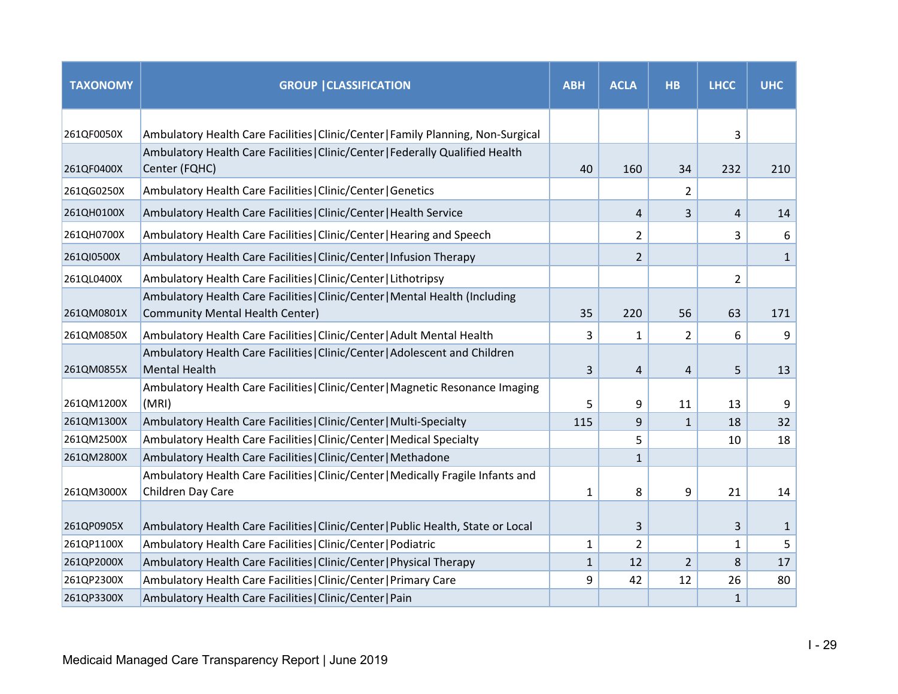| <b>TAXONOMY</b> | <b>GROUP   CLASSIFICATION</b>                                                                                          | <b>ABH</b>   | <b>ACLA</b>    | <b>HB</b>      | <b>LHCC</b>  | <b>UHC</b>   |
|-----------------|------------------------------------------------------------------------------------------------------------------------|--------------|----------------|----------------|--------------|--------------|
| 261QF0050X      | Ambulatory Health Care Facilities   Clinic/Center   Family Planning, Non-Surgical                                      |              |                |                | 3            |              |
| 261QF0400X      | Ambulatory Health Care Facilities   Clinic/Center   Federally Qualified Health<br>Center (FQHC)                        | 40           | 160            | 34             | 232          | 210          |
| 261QG0250X      | Ambulatory Health Care Facilities   Clinic/Center   Genetics                                                           |              |                | 2              |              |              |
| 261QH0100X      | Ambulatory Health Care Facilities   Clinic/Center   Health Service                                                     |              | 4              | 3              | 4            | 14           |
| 261QH0700X      | Ambulatory Health Care Facilities   Clinic/Center   Hearing and Speech                                                 |              | 2              |                | 3            | 6            |
| 261QI0500X      | Ambulatory Health Care Facilities   Clinic/Center   Infusion Therapy                                                   |              | $\overline{2}$ |                |              | $\mathbf{1}$ |
| 261QL0400X      | Ambulatory Health Care Facilities   Clinic/Center   Lithotripsy                                                        |              |                |                | 2            |              |
| 261QM0801X      | Ambulatory Health Care Facilities   Clinic/Center   Mental Health (Including<br><b>Community Mental Health Center)</b> | 35           | 220            | 56             | 63           | 171          |
| 261QM0850X      | Ambulatory Health Care Facilities   Clinic/Center   Adult Mental Health                                                | 3            | $\mathbf{1}$   | 2              | 6            | 9            |
| 261QM0855X      | Ambulatory Health Care Facilities   Clinic/Center   Adolescent and Children<br><b>Mental Health</b>                    | 3            | 4              | 4              | 5            | 13           |
| 261QM1200X      | Ambulatory Health Care Facilities   Clinic/Center   Magnetic Resonance Imaging<br>(MRI)                                | 5            | 9              | 11             | 13           | 9            |
| 261QM1300X      | Ambulatory Health Care Facilities   Clinic/Center   Multi-Specialty                                                    | 115          | 9              | $\mathbf{1}$   | 18           | 32           |
| 261QM2500X      | Ambulatory Health Care Facilities   Clinic/Center   Medical Specialty                                                  |              | 5              |                | 10           | 18           |
| 261QM2800X      | Ambulatory Health Care Facilities   Clinic/Center   Methadone                                                          |              | $\mathbf{1}$   |                |              |              |
| 261QM3000X      | Ambulatory Health Care Facilities   Clinic/Center   Medically Fragile Infants and<br>Children Day Care                 | 1            | 8              | 9              | 21           | 14           |
| 261QP0905X      | Ambulatory Health Care Facilities   Clinic/Center   Public Health, State or Local                                      |              | 3              |                | 3            | $\mathbf{1}$ |
| 261QP1100X      | Ambulatory Health Care Facilities   Clinic/Center   Podiatric                                                          | $\mathbf{1}$ | $\overline{2}$ |                | $\mathbf{1}$ | 5            |
| 261QP2000X      | Ambulatory Health Care Facilities   Clinic/Center   Physical Therapy                                                   | $\mathbf{1}$ | 12             | $\overline{2}$ | 8            | 17           |
| 261QP2300X      | Ambulatory Health Care Facilities   Clinic/Center   Primary Care                                                       | 9            | 42             | 12             | 26           | 80           |
| 261QP3300X      | Ambulatory Health Care Facilities   Clinic/Center   Pain                                                               |              |                |                | $\mathbf{1}$ |              |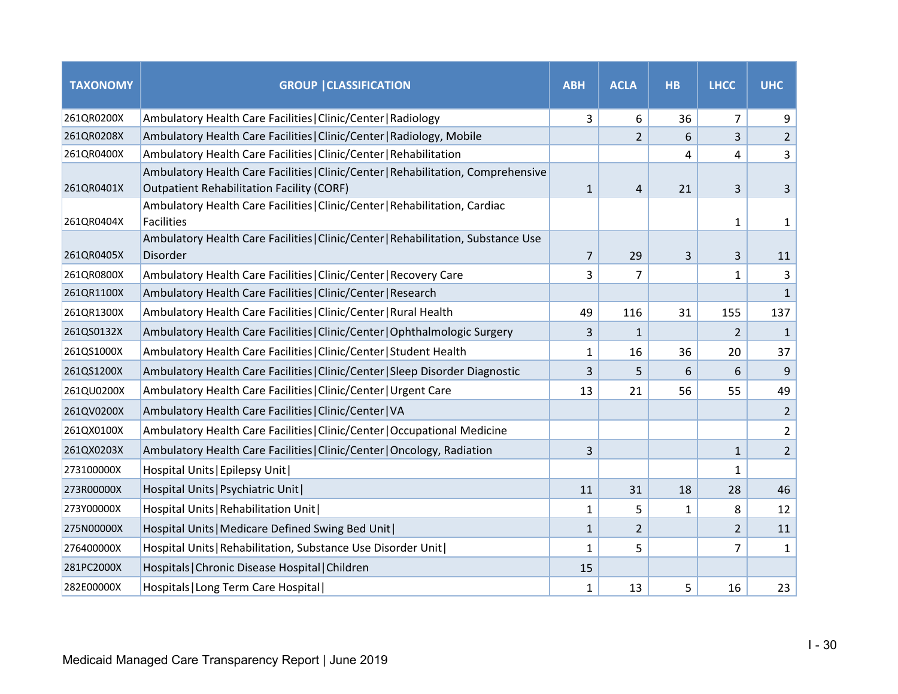| <b>TAXONOMY</b> | <b>GROUP   CLASSIFICATION</b>                                                                                                  | <b>ABH</b>     | <b>ACLA</b>    | <b>HB</b>    | <b>LHCC</b>    | <b>UHC</b>     |
|-----------------|--------------------------------------------------------------------------------------------------------------------------------|----------------|----------------|--------------|----------------|----------------|
| 261QR0200X      | Ambulatory Health Care Facilities   Clinic/Center   Radiology                                                                  | 3              | 6              | 36           | 7              | 9              |
| 261QR0208X      | Ambulatory Health Care Facilities   Clinic/Center   Radiology, Mobile                                                          |                | $\overline{2}$ | 6            | 3              | $\overline{2}$ |
| 261QR0400X      | Ambulatory Health Care Facilities   Clinic/Center   Rehabilitation                                                             |                |                | 4            | 4              | 3              |
| 261QR0401X      | Ambulatory Health Care Facilities   Clinic/Center   Rehabilitation, Comprehensive<br>Outpatient Rehabilitation Facility (CORF) | $\mathbf{1}$   | 4              | 21           | 3              | 3              |
| 261QR0404X      | Ambulatory Health Care Facilities   Clinic/Center   Rehabilitation, Cardiac<br><b>Facilities</b>                               |                |                |              | 1              | $\mathbf{1}$   |
| 261QR0405X      | Ambulatory Health Care Facilities   Clinic/Center   Rehabilitation, Substance Use<br>Disorder                                  | $\overline{7}$ | 29             | 3            | 3              | 11             |
| 261QR0800X      | Ambulatory Health Care Facilities   Clinic/Center   Recovery Care                                                              | 3              | 7              |              | $\mathbf{1}$   | 3              |
| 261QR1100X      | Ambulatory Health Care Facilities   Clinic/Center   Research                                                                   |                |                |              |                | $\mathbf{1}$   |
| 261QR1300X      | Ambulatory Health Care Facilities   Clinic/Center   Rural Health                                                               | 49             | 116            | 31           | 155            | 137            |
| 261QS0132X      | Ambulatory Health Care Facilities   Clinic/Center   Ophthalmologic Surgery                                                     | 3              | $\mathbf{1}$   |              | 2              | $\mathbf{1}$   |
| 261QS1000X      | Ambulatory Health Care Facilities   Clinic/Center   Student Health                                                             | 1              | 16             | 36           | 20             | 37             |
| 261QS1200X      | Ambulatory Health Care Facilities   Clinic/Center   Sleep Disorder Diagnostic                                                  | 3              | 5              | 6            | 6              | 9              |
| 261QU0200X      | Ambulatory Health Care Facilities   Clinic/Center   Urgent Care                                                                | 13             | 21             | 56           | 55             | 49             |
| 261QV0200X      | Ambulatory Health Care Facilities   Clinic/Center   VA                                                                         |                |                |              |                | $\overline{2}$ |
| 261QX0100X      | Ambulatory Health Care Facilities   Clinic/Center   Occupational Medicine                                                      |                |                |              |                | $\overline{2}$ |
| 261QX0203X      | Ambulatory Health Care Facilities   Clinic/Center   Oncology, Radiation                                                        | 3              |                |              | $\mathbf{1}$   | $\overline{2}$ |
| 273100000X      | Hospital Units   Epilepsy Unit                                                                                                 |                |                |              | $\mathbf{1}$   |                |
| 273R00000X      | Hospital Units   Psychiatric Unit                                                                                              | 11             | 31             | 18           | 28             | 46             |
| 273Y00000X      | Hospital Units   Rehabilitation Unit                                                                                           | 1              | 5              | $\mathbf{1}$ | 8              | 12             |
| 275N00000X      | Hospital Units   Medicare Defined Swing Bed Unit                                                                               | $\mathbf{1}$   | $\overline{2}$ |              | $\overline{2}$ | 11             |
| 276400000X      | Hospital Units   Rehabilitation, Substance Use Disorder Unit                                                                   | $\mathbf{1}$   | 5              |              | 7              | $\mathbf{1}$   |
| 281PC2000X      | Hospitals   Chronic Disease Hospital   Children                                                                                | 15             |                |              |                |                |
| 282E00000X      | Hospitals   Long Term Care Hospital                                                                                            | $\mathbf{1}$   | 13             | 5            | 16             | 23             |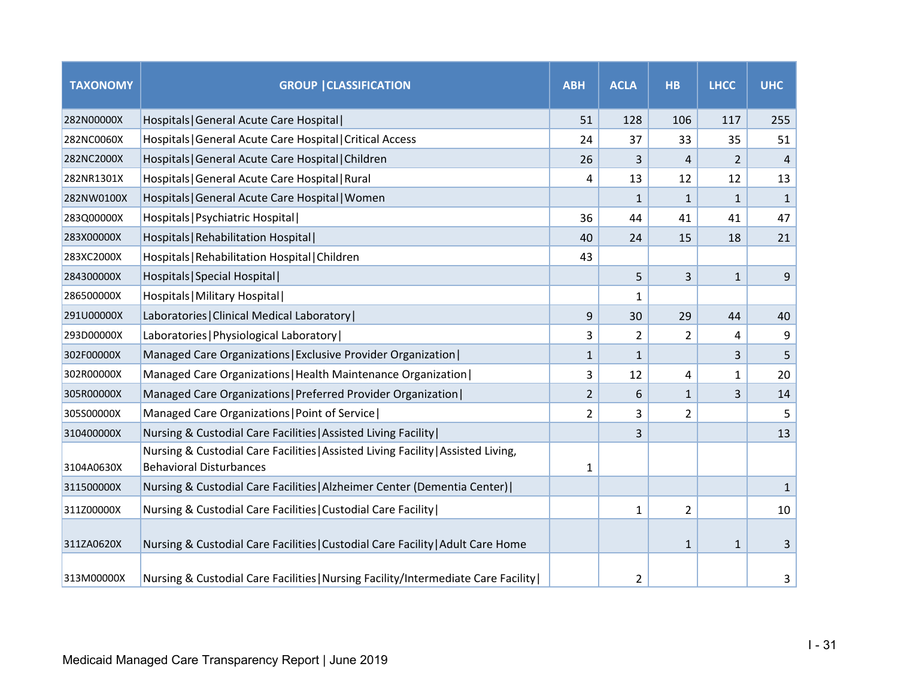| <b>TAXONOMY</b> | <b>GROUP   CLASSIFICATION</b>                                                                                       | <b>ABH</b> | <b>ACLA</b>    | <b>HB</b>      | <b>LHCC</b>    | <b>UHC</b>   |
|-----------------|---------------------------------------------------------------------------------------------------------------------|------------|----------------|----------------|----------------|--------------|
| 282N00000X      | Hospitals   General Acute Care Hospital                                                                             | 51         | 128            | 106            | 117            | 255          |
| 282NC0060X      | Hospitals   General Acute Care Hospital   Critical Access                                                           | 24         | 37             | 33             | 35             | 51           |
| 282NC2000X      | Hospitals   General Acute Care Hospital   Children                                                                  | 26         | 3              | 4              | $\overline{2}$ | 4            |
| 282NR1301X      | Hospitals   General Acute Care Hospital   Rural                                                                     | 4          | 13             | 12             | 12             | 13           |
| 282NW0100X      | Hospitals   General Acute Care Hospital   Women                                                                     |            | $\mathbf{1}$   | $\mathbf{1}$   | 1              | $\mathbf{1}$ |
| 283Q00000X      | Hospitals   Psychiatric Hospital                                                                                    | 36         | 44             | 41             | 41             | 47           |
| 283X00000X      | Hospitals   Rehabilitation Hospital                                                                                 | 40         | 24             | 15             | 18             | 21           |
| 283XC2000X      | Hospitals   Rehabilitation Hospital   Children                                                                      | 43         |                |                |                |              |
| 284300000X      | Hospitals   Special Hospital                                                                                        |            | 5              | 3              | $\mathbf{1}$   | 9            |
| 286500000X      | Hospitals   Military Hospital                                                                                       |            | 1              |                |                |              |
| 291U00000X      | Laboratories   Clinical Medical Laboratory                                                                          | 9          | 30             | 29             | 44             | 40           |
| 293D00000X      | Laboratories   Physiological Laboratory                                                                             | 3          | $\overline{2}$ | $\overline{2}$ | 4              | 9            |
| 302F00000X      | Managed Care Organizations   Exclusive Provider Organization                                                        | 1          | $\mathbf{1}$   |                | 3              | 5            |
| 302R00000X      | Managed Care Organizations   Health Maintenance Organization                                                        | 3          | 12             | 4              | 1              | 20           |
| 305R00000X      | Managed Care Organizations   Preferred Provider Organization                                                        | 2          | 6              | $\mathbf{1}$   | 3              | 14           |
| 305S00000X      | Managed Care Organizations   Point of Service                                                                       | 2          | 3              | 2              |                | 5            |
| 310400000X      | Nursing & Custodial Care Facilities   Assisted Living Facility                                                      |            | 3              |                |                | 13           |
| 3104A0630X      | Nursing & Custodial Care Facilities   Assisted Living Facility   Assisted Living,<br><b>Behavioral Disturbances</b> | 1          |                |                |                |              |
| 311500000X      | Nursing & Custodial Care Facilities   Alzheimer Center (Dementia Center)                                            |            |                |                |                | $\mathbf{1}$ |
| 311Z00000X      | Nursing & Custodial Care Facilities   Custodial Care Facility                                                       |            | 1              | 2              |                | 10           |
| 311ZA0620X      | Nursing & Custodial Care Facilities   Custodial Care Facility   Adult Care Home                                     |            |                | $\mathbf{1}$   | $\mathbf{1}$   | 3            |
| 313M00000X      | Nursing & Custodial Care Facilities   Nursing Facility/Intermediate Care Facility                                   |            | 2              |                |                | 3            |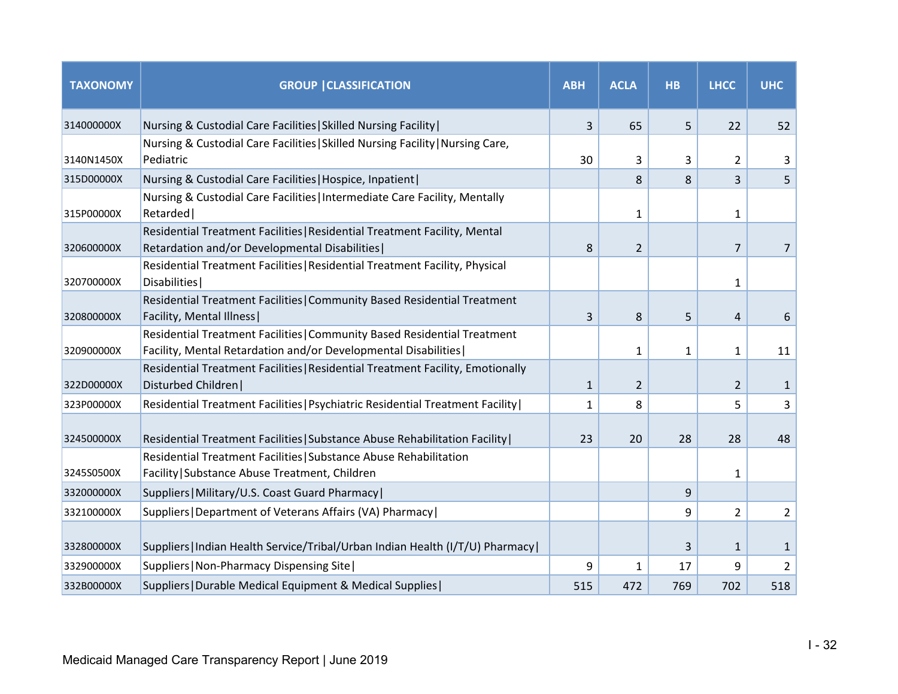| <b>TAXONOMY</b> | <b>GROUP   CLASSIFICATION</b>                                                                                                              | <b>ABH</b>   | <b>ACLA</b>    | <b>HB</b>    | <b>LHCC</b>    | <b>UHC</b>     |
|-----------------|--------------------------------------------------------------------------------------------------------------------------------------------|--------------|----------------|--------------|----------------|----------------|
| 314000000X      | Nursing & Custodial Care Facilities   Skilled Nursing Facility                                                                             | 3            | 65             | 5            | 22             | 52             |
| 3140N1450X      | Nursing & Custodial Care Facilities   Skilled Nursing Facility   Nursing Care,<br>Pediatric                                                | 30           | 3              | 3            | 2              | 3              |
| 315D00000X      | Nursing & Custodial Care Facilities   Hospice, Inpatient                                                                                   |              | 8              | 8            | 3              | 5              |
| 315P00000X      | Nursing & Custodial Care Facilities   Intermediate Care Facility, Mentally<br>Retarded                                                     |              | 1              |              | 1              |                |
| 320600000X      | Residential Treatment Facilities   Residential Treatment Facility, Mental<br>Retardation and/or Developmental Disabilities                 | 8            | $\overline{2}$ |              | 7              | 7              |
| 320700000X      | Residential Treatment Facilities   Residential Treatment Facility, Physical<br>Disabilities                                                |              |                |              | $\mathbf{1}$   |                |
| 320800000X      | Residential Treatment Facilities   Community Based Residential Treatment<br>Facility, Mental Illness                                       | 3            | 8              | 5            | 4              | 6              |
| 320900000X      | Residential Treatment Facilities   Community Based Residential Treatment<br>Facility, Mental Retardation and/or Developmental Disabilities |              | $\mathbf{1}$   | $\mathbf{1}$ | $\mathbf{1}$   | 11             |
| 322D00000X      | Residential Treatment Facilities   Residential Treatment Facility, Emotionally<br>Disturbed Children                                       | $\mathbf{1}$ | $\overline{2}$ |              | $\overline{2}$ | $\mathbf{1}$   |
| 323P00000X      | Residential Treatment Facilities   Psychiatric Residential Treatment Facility                                                              | 1            | 8              |              | 5              | 3              |
| 324500000X      | Residential Treatment Facilities   Substance Abuse Rehabilitation Facility                                                                 | 23           | 20             | 28           | 28             | 48             |
| 3245S0500X      | Residential Treatment Facilities   Substance Abuse Rehabilitation<br>Facility   Substance Abuse Treatment, Children                        |              |                |              | 1              |                |
| 332000000X      | Suppliers   Military/U.S. Coast Guard Pharmacy                                                                                             |              |                | 9            |                |                |
| 332100000X      | Suppliers   Department of Veterans Affairs (VA) Pharmacy                                                                                   |              |                | 9            | $\overline{2}$ | $\overline{2}$ |
| 332800000X      | Suppliers   Indian Health Service/Tribal/Urban Indian Health (I/T/U) Pharmacy                                                              |              |                | 3            | $\mathbf{1}$   | $\mathbf{1}$   |
| 332900000X      | Suppliers   Non-Pharmacy Dispensing Site                                                                                                   | 9            | $\mathbf{1}$   | 17           | 9              | $\overline{2}$ |
| 332B00000X      | Suppliers   Durable Medical Equipment & Medical Supplies                                                                                   | 515          | 472            | 769          | 702            | 518            |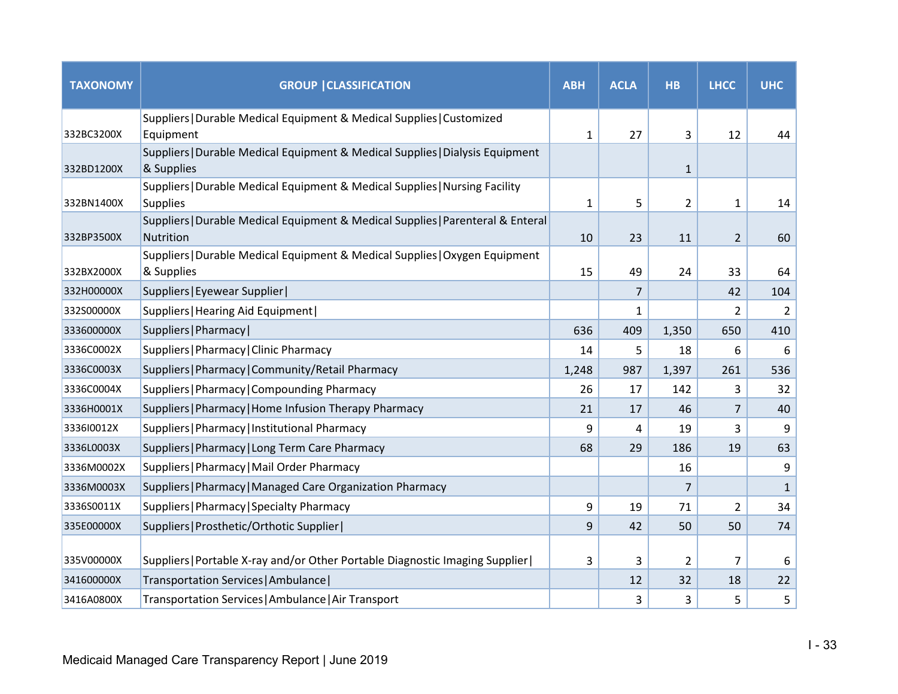| <b>TAXONOMY</b> | <b>GROUP   CLASSIFICATION</b>                                                                  | <b>ABH</b> | <b>ACLA</b> | <b>HB</b>      | <b>LHCC</b>    | <b>UHC</b>   |
|-----------------|------------------------------------------------------------------------------------------------|------------|-------------|----------------|----------------|--------------|
|                 | Suppliers   Durable Medical Equipment & Medical Supplies   Customized                          |            |             |                |                |              |
| 332BC3200X      | Equipment                                                                                      | 1          | 27          | 3              | 12             | 44           |
| 332BD1200X      | Suppliers   Durable Medical Equipment & Medical Supplies   Dialysis Equipment<br>& Supplies    |            |             | $\mathbf{1}$   |                |              |
| 332BN1400X      | Suppliers   Durable Medical Equipment & Medical Supplies   Nursing Facility<br><b>Supplies</b> | 1          | 5           | $\overline{2}$ | $\mathbf{1}$   | 14           |
| 332BP3500X      | Suppliers   Durable Medical Equipment & Medical Supplies   Parenteral & Enteral<br>Nutrition   | 10         | 23          | 11             | $\overline{2}$ | 60           |
| 332BX2000X      | Suppliers   Durable Medical Equipment & Medical Supplies   Oxygen Equipment<br>& Supplies      | 15         | 49          | 24             | 33             | 64           |
| 332H00000X      | Suppliers   Eyewear Supplier                                                                   |            | 7           |                | 42             | 104          |
| 332S00000X      | Suppliers   Hearing Aid Equipment                                                              |            | $\mathbf 1$ |                | $\overline{2}$ | 2            |
| 333600000X      | Suppliers   Pharmacy                                                                           | 636        | 409         | 1,350          | 650            | 410          |
| 3336C0002X      | Suppliers   Pharmacy   Clinic Pharmacy                                                         | 14         | 5           | 18             | 6              | 6            |
| 3336C0003X      | Suppliers   Pharmacy   Community/Retail Pharmacy                                               | 1,248      | 987         | 1,397          | 261            | 536          |
| 3336C0004X      | Suppliers   Pharmacy   Compounding Pharmacy                                                    | 26         | 17          | 142            | 3              | 32           |
| 3336H0001X      | Suppliers   Pharmacy   Home Infusion Therapy Pharmacy                                          | 21         | 17          | 46             | $\overline{7}$ | 40           |
| 3336I0012X      | Suppliers   Pharmacy   Institutional Pharmacy                                                  | 9          | 4           | 19             | 3              | 9            |
| 3336L0003X      | Suppliers   Pharmacy   Long Term Care Pharmacy                                                 | 68         | 29          | 186            | 19             | 63           |
| 3336M0002X      | Suppliers   Pharmacy   Mail Order Pharmacy                                                     |            |             | 16             |                | 9            |
| 3336M0003X      | Suppliers   Pharmacy   Managed Care Organization Pharmacy                                      |            |             | 7              |                | $\mathbf{1}$ |
| 3336S0011X      | Suppliers   Pharmacy   Specialty Pharmacy                                                      | 9          | 19          | 71             | $\overline{2}$ | 34           |
| 335E00000X      | Suppliers   Prosthetic/Orthotic Supplier                                                       | 9          | 42          | 50             | 50             | 74           |
| 335V00000X      | Suppliers   Portable X-ray and/or Other Portable Diagnostic Imaging Supplier                   | 3          | 3           | $\overline{2}$ | 7              | 6            |
| 341600000X      | Transportation Services   Ambulance                                                            |            | 12          | 32             | 18             | 22           |
| 3416A0800X      | Transportation Services   Ambulance   Air Transport                                            |            | 3           | 3              | 5              | 5            |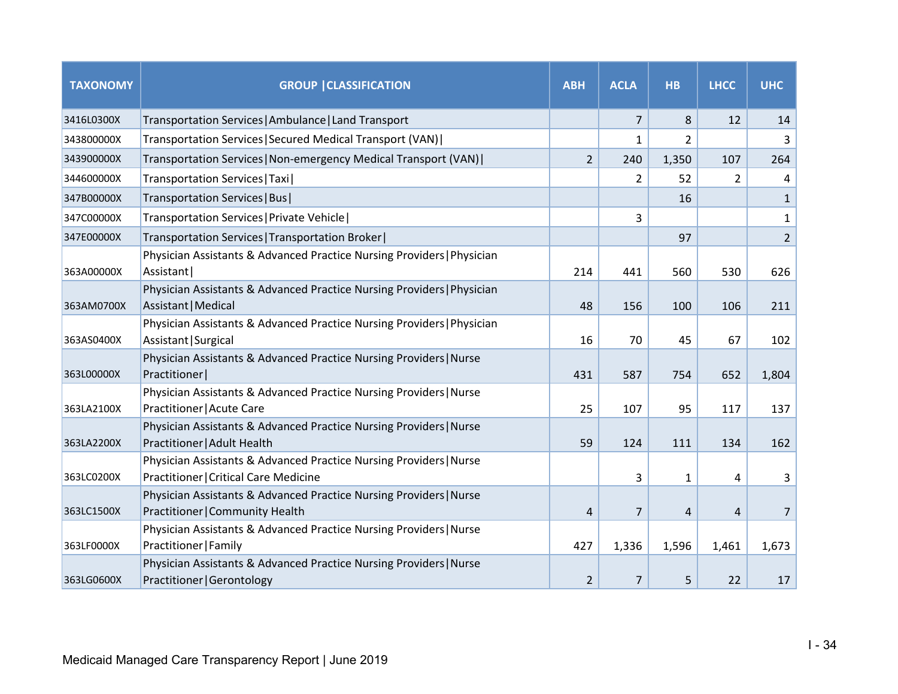| <b>TAXONOMY</b> | <b>GROUP   CLASSIFICATION</b>                                                                               | <b>ABH</b>     | <b>ACLA</b>    | <b>HB</b>    | <b>LHCC</b> | <b>UHC</b>     |
|-----------------|-------------------------------------------------------------------------------------------------------------|----------------|----------------|--------------|-------------|----------------|
| 3416L0300X      | Transportation Services   Ambulance   Land Transport                                                        |                | $\overline{7}$ | 8            | 12          | 14             |
| 343800000X      | Transportation Services   Secured Medical Transport (VAN)                                                   |                | $\mathbf{1}$   | 2            |             | 3              |
| 343900000X      | Transportation Services   Non-emergency Medical Transport (VAN)                                             | $\overline{2}$ | 240            | 1,350        | 107         | 264            |
| 344600000X      | Transportation Services   Taxi                                                                              |                | 2              | 52           | 2           | 4              |
| 347B00000X      | Transportation Services   Bus                                                                               |                |                | 16           |             | $\mathbf{1}$   |
| 347C00000X      | Transportation Services   Private Vehicle                                                                   |                | 3              |              |             | $\mathbf{1}$   |
| 347E00000X      | Transportation Services   Transportation Broker                                                             |                |                | 97           |             | $\overline{2}$ |
| 363A00000X      | Physician Assistants & Advanced Practice Nursing Providers   Physician<br>Assistant                         | 214            | 441            | 560          | 530         | 626            |
| 363AM0700X      | Physician Assistants & Advanced Practice Nursing Providers   Physician<br>Assistant   Medical               | 48             | 156            | 100          | 106         | 211            |
| 363AS0400X      | Physician Assistants & Advanced Practice Nursing Providers   Physician<br>Assistant   Surgical              | 16             | 70             | 45           | 67          | 102            |
| 363L00000X      | Physician Assistants & Advanced Practice Nursing Providers   Nurse<br>Practitioner                          | 431            | 587            | 754          | 652         | 1,804          |
| 363LA2100X      | Physician Assistants & Advanced Practice Nursing Providers   Nurse<br>Practitioner   Acute Care             | 25             | 107            | 95           | 117         | 137            |
| 363LA2200X      | Physician Assistants & Advanced Practice Nursing Providers   Nurse<br>Practitioner   Adult Health           | 59             | 124            | 111          | 134         | 162            |
| 363LC0200X      | Physician Assistants & Advanced Practice Nursing Providers   Nurse<br>Practitioner   Critical Care Medicine |                | 3              | $\mathbf{1}$ | 4           | 3              |
| 363LC1500X      | Physician Assistants & Advanced Practice Nursing Providers   Nurse<br>Practitioner   Community Health       | 4              | $\overline{7}$ | 4            | 4           | $\overline{7}$ |
| 363LF0000X      | Physician Assistants & Advanced Practice Nursing Providers   Nurse<br>Practitioner   Family                 | 427            | 1,336          | 1,596        | 1,461       | 1,673          |
| 363LG0600X      | Physician Assistants & Advanced Practice Nursing Providers   Nurse<br>Practitioner   Gerontology            | 2              | 7              | 5            | 22          | 17             |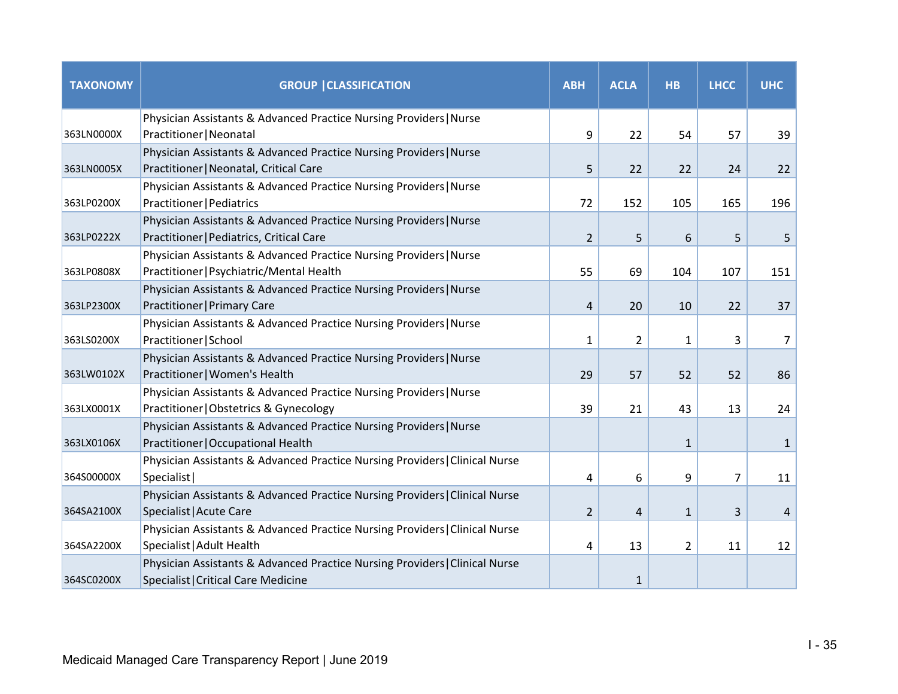| <b>TAXONOMY</b> | <b>GROUP   CLASSIFICATION</b>                                                                                      | <b>ABH</b>     | <b>ACLA</b>    | <b>HB</b>      | <b>LHCC</b>    | <b>UHC</b>   |
|-----------------|--------------------------------------------------------------------------------------------------------------------|----------------|----------------|----------------|----------------|--------------|
| 363LN0000X      | Physician Assistants & Advanced Practice Nursing Providers   Nurse<br>Practitioner   Neonatal                      | 9              | 22             | 54             | 57             | 39           |
| 363LN0005X      | Physician Assistants & Advanced Practice Nursing Providers   Nurse<br>Practitioner   Neonatal, Critical Care       | 5              | 22             | 22             | 24             | 22           |
| 363LP0200X      | Physician Assistants & Advanced Practice Nursing Providers   Nurse<br>Practitioner   Pediatrics                    | 72             | 152            | 105            | 165            | 196          |
| 363LP0222X      | Physician Assistants & Advanced Practice Nursing Providers   Nurse<br>Practitioner   Pediatrics, Critical Care     | $\overline{2}$ | 5              | 6              | 5              | 5            |
| 363LP0808X      | Physician Assistants & Advanced Practice Nursing Providers   Nurse<br>Practitioner   Psychiatric/Mental Health     | 55             | 69             | 104            | 107            | 151          |
| 363LP2300X      | Physician Assistants & Advanced Practice Nursing Providers   Nurse<br>Practitioner   Primary Care                  | 4              | 20             | 10             | 22             | 37           |
| 363LS0200X      | Physician Assistants & Advanced Practice Nursing Providers   Nurse<br>Practitioner   School                        | $\mathbf{1}$   | $\overline{2}$ | $\mathbf{1}$   | 3              | 7            |
| 363LW0102X      | Physician Assistants & Advanced Practice Nursing Providers   Nurse<br>Practitioner   Women's Health                | 29             | 57             | 52             | 52             | 86           |
| 363LX0001X      | Physician Assistants & Advanced Practice Nursing Providers   Nurse<br>Practitioner   Obstetrics & Gynecology       | 39             | 21             | 43             | 13             | 24           |
| 363LX0106X      | Physician Assistants & Advanced Practice Nursing Providers   Nurse<br>Practitioner   Occupational Health           |                |                | $\mathbf{1}$   |                | $\mathbf{1}$ |
| 364S00000X      | Physician Assistants & Advanced Practice Nursing Providers   Clinical Nurse<br>Specialist                          | 4              | 6              | 9              | $\overline{7}$ | 11           |
| 364SA2100X      | Physician Assistants & Advanced Practice Nursing Providers   Clinical Nurse<br>Specialist   Acute Care             | $\overline{2}$ | $\overline{4}$ | $\mathbf{1}$   | 3              | 4            |
| 364SA2200X      | Physician Assistants & Advanced Practice Nursing Providers   Clinical Nurse<br>Specialist   Adult Health           | 4              | 13             | $\overline{2}$ | 11             | 12           |
| 364SC0200X      | Physician Assistants & Advanced Practice Nursing Providers   Clinical Nurse<br>Specialist   Critical Care Medicine |                | $\mathbf{1}$   |                |                |              |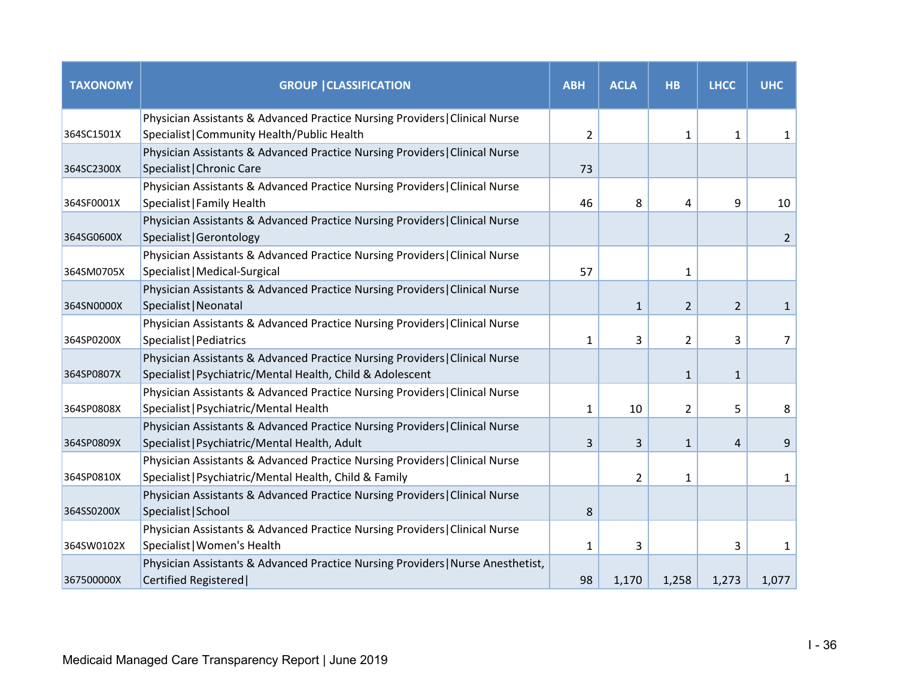| <b>TAXONOMY</b> | <b>GROUP   CLASSIFICATION</b>                                                                                                             | <b>ABH</b>     | <b>ACLA</b>  | <b>HB</b>      | <b>LHCC</b>  | <b>UHC</b> |
|-----------------|-------------------------------------------------------------------------------------------------------------------------------------------|----------------|--------------|----------------|--------------|------------|
| 364SC1501X      | Physician Assistants & Advanced Practice Nursing Providers   Clinical Nurse<br>Specialist   Community Health/Public Health                | $\overline{2}$ |              | $\mathbf{1}$   | $\mathbf{1}$ | 1          |
| 364SC2300X      | Physician Assistants & Advanced Practice Nursing Providers   Clinical Nurse<br>Specialist   Chronic Care                                  | 73             |              |                |              |            |
| 364SF0001X      | Physician Assistants & Advanced Practice Nursing Providers   Clinical Nurse<br>Specialist   Family Health                                 | 46             | 8            | 4              | 9            | 10         |
| 364SG0600X      | Physician Assistants & Advanced Practice Nursing Providers   Clinical Nurse<br>Specialist   Gerontology                                   |                |              |                |              | 2          |
| 364SM0705X      | Physician Assistants & Advanced Practice Nursing Providers   Clinical Nurse<br>Specialist   Medical-Surgical                              | 57             |              | 1              |              |            |
| 364SN0000X      | Physician Assistants & Advanced Practice Nursing Providers   Clinical Nurse<br>Specialist   Neonatal                                      |                | $\mathbf{1}$ | 2              | 2            | 1          |
| 364SP0200X      | Physician Assistants & Advanced Practice Nursing Providers   Clinical Nurse<br>Specialist   Pediatrics                                    | 1              | 3            | $\overline{2}$ | 3            | 7          |
| 364SP0807X      | Physician Assistants & Advanced Practice Nursing Providers   Clinical Nurse<br>Specialist   Psychiatric/Mental Health, Child & Adolescent |                |              | $\mathbf{1}$   | $\mathbf{1}$ |            |
| 364SP0808X      | Physician Assistants & Advanced Practice Nursing Providers   Clinical Nurse<br>Specialist   Psychiatric/Mental Health                     | 1              | 10           | $\overline{2}$ | 5            | 8          |
| 364SP0809X      | Physician Assistants & Advanced Practice Nursing Providers   Clinical Nurse<br>Specialist   Psychiatric/Mental Health, Adult              | 3              | 3            | $\mathbf{1}$   | 4            | 9          |
| 364SP0810X      | Physician Assistants & Advanced Practice Nursing Providers   Clinical Nurse<br>Specialist   Psychiatric/Mental Health, Child & Family     |                | 2            | 1              |              | 1          |
| 364SS0200X      | Physician Assistants & Advanced Practice Nursing Providers   Clinical Nurse<br>Specialist   School                                        | 8              |              |                |              |            |
| 364SW0102X      | Physician Assistants & Advanced Practice Nursing Providers   Clinical Nurse<br>Specialist   Women's Health                                | $\mathbf{1}$   | 3            |                | 3            | 1          |
| 367500000X      | Physician Assistants & Advanced Practice Nursing Providers   Nurse Anesthetist,<br>Certified Registered                                   | 98             | 1,170        | 1,258          | 1,273        | 1,077      |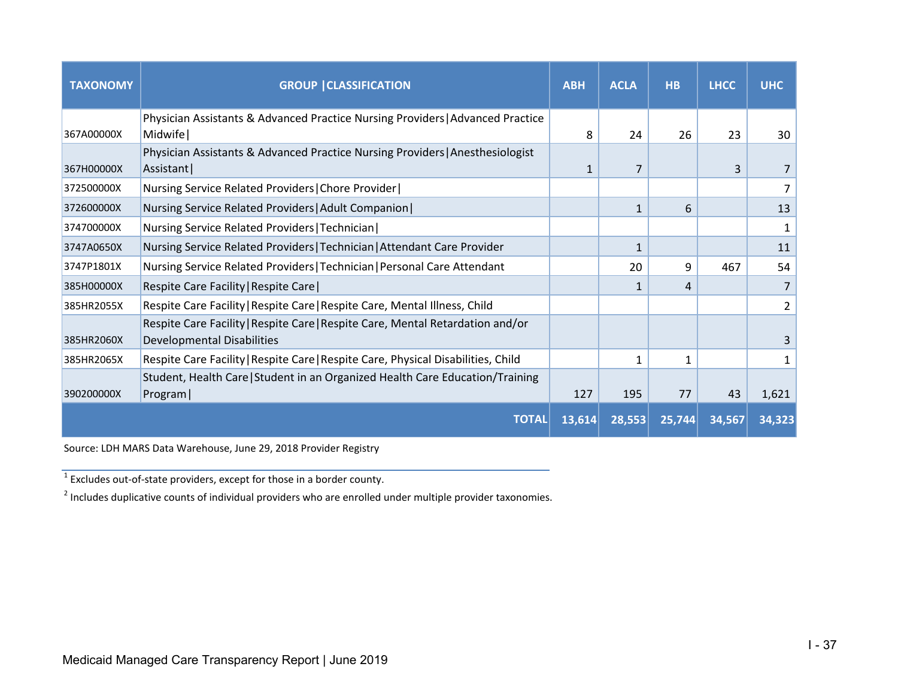| <b>TAXONOMY</b> | <b>GROUP   CLASSIFICATION</b>                                                     | <b>ABH</b> | <b>ACLA</b>  | <b>HB</b> | <b>LHCC</b> | <b>UHC</b> |
|-----------------|-----------------------------------------------------------------------------------|------------|--------------|-----------|-------------|------------|
|                 | Physician Assistants & Advanced Practice Nursing Providers   Advanced Practice    |            |              |           |             |            |
| 367A00000X      | Midwife                                                                           | 8          | 24           | 26        | 23          | 30         |
|                 | Physician Assistants & Advanced Practice Nursing Providers   Anesthesiologist     |            |              |           |             |            |
| 367H00000X      | Assistant                                                                         | 1          | 7            |           | 3           |            |
| 372500000X      | Nursing Service Related Providers   Chore Provider                                |            |              |           |             |            |
| 372600000X      | Nursing Service Related Providers   Adult Companion                               |            | $\mathbf{1}$ | 6         |             | 13         |
| 374700000X      | Nursing Service Related Providers   Technician                                    |            |              |           |             |            |
| 3747A0650X      | Nursing Service Related Providers   Technician   Attendant Care Provider          |            | $\mathbf{1}$ |           |             | 11         |
| 3747P1801X      | Nursing Service Related Providers   Technician   Personal Care Attendant          |            | 20           | 9         | 467         | 54         |
| 385H00000X      | Respite Care Facility   Respite Care                                              |            | $\mathbf{1}$ | 4         |             | 7          |
| 385HR2055X      | Respite Care Facility   Respite Care   Respite Care, Mental Illness, Child        |            |              |           |             | 2          |
|                 | Respite Care Facility   Respite Care   Respite Care, Mental Retardation and/or    |            |              |           |             |            |
| 385HR2060X      | <b>Developmental Disabilities</b>                                                 |            |              |           |             |            |
| 385HR2065X      | Respite Care Facility   Respite Care   Respite Care, Physical Disabilities, Child |            |              |           |             |            |
|                 | Student, Health Care   Student in an Organized Health Care Education/Training     |            |              |           |             |            |
| 390200000X      | Program                                                                           | 127        | 195          | 77        | 43          | 1,621      |
|                 | <b>TOTAL</b>                                                                      | 13,614     | 28,553       | 25,744    | 34,567      | 34,323     |

Source: LDH MARS Data Warehouse, June 29, 2018 Provider Registry

 $1\overline{1}$  Excludes out-of-state providers, except for those in a border county.

<sup>2</sup> Includes duplicative counts of individual providers who are enrolled under multiple provider taxonomies.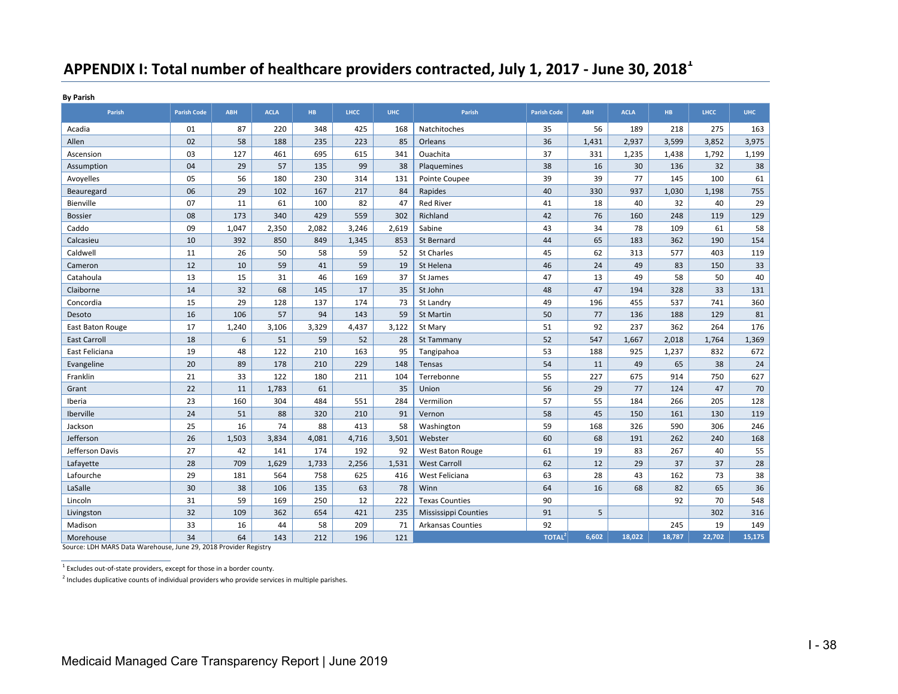# **APPENDIX I: Total number of healthcare providers contracted, July 1, 2017 ‐ June 30, 2018<sup>1</sup>**

**By Parish**

| Parish              | <b>Parish Code</b> | <b>ABH</b> | <b>ACLA</b> | HB.   | LHCC  | <b>UHC</b> | Parish                      | <b>Parish Code</b> | <b>ABH</b> | <b>ACLA</b> | HB.    | <b>LHCC</b> | <b>UHC</b> |
|---------------------|--------------------|------------|-------------|-------|-------|------------|-----------------------------|--------------------|------------|-------------|--------|-------------|------------|
| Acadia              | 01                 | 87         | 220         | 348   | 425   | 168        | Natchitoches                | 35                 | 56         | 189         | 218    | 275         | 163        |
| Allen               | 02                 | 58         | 188         | 235   | 223   | 85         | Orleans                     | 36                 | 1,431      | 2,937       | 3,599  | 3,852       | 3,975      |
| Ascension           | 03                 | 127        | 461         | 695   | 615   | 341        | Ouachita                    | 37                 | 331        | 1,235       | 1,438  | 1,792       | 1,199      |
| Assumption          | 04                 | 29         | 57          | 135   | 99    | 38         | Plaquemines                 | 38                 | 16         | 30          | 136    | 32          | 38         |
| Avoyelles           | 05                 | 56         | 180         | 230   | 314   | 131        | Pointe Coupee               | 39                 | 39         | 77          | 145    | 100         | 61         |
| Beauregard          | 06                 | 29         | 102         | 167   | 217   | 84         | Rapides                     | 40                 | 330        | 937         | 1,030  | 1,198       | 755        |
| Bienville           | 07                 | 11         | 61          | 100   | 82    | 47         | <b>Red River</b>            | 41                 | 18         | 40          | 32     | 40          | 29         |
| <b>Bossier</b>      | 08                 | 173        | 340         | 429   | 559   | 302        | Richland                    | 42                 | 76         | 160         | 248    | 119         | 129        |
| Caddo               | 09                 | 1,047      | 2,350       | 2,082 | 3,246 | 2,619      | Sabine                      | 43                 | 34         | 78          | 109    | 61          | 58         |
| Calcasieu           | 10                 | 392        | 850         | 849   | 1,345 | 853        | St Bernard                  | 44                 | 65         | 183         | 362    | 190         | 154        |
| Caldwell            | 11                 | 26         | 50          | 58    | 59    | 52         | <b>St Charles</b>           | 45                 | 62         | 313         | 577    | 403         | 119        |
| Cameron             | 12                 | 10         | 59          | 41    | 59    | 19         | St Helena                   | 46                 | 24         | 49          | 83     | 150         | 33         |
| Catahoula           | 13                 | 15         | 31          | 46    | 169   | 37         | St James                    | 47                 | 13         | 49          | 58     | 50          | 40         |
| Claiborne           | 14                 | 32         | 68          | 145   | 17    | 35         | St John                     | 48                 | 47         | 194         | 328    | 33          | 131        |
| Concordia           | 15                 | 29         | 128         | 137   | 174   | 73         | St Landry                   | 49                 | 196        | 455         | 537    | 741         | 360        |
| Desoto              | 16                 | 106        | 57          | 94    | 143   | 59         | St Martin                   | 50                 | 77         | 136         | 188    | 129         | 81         |
| East Baton Rouge    | 17                 | 1,240      | 3,106       | 3,329 | 4,437 | 3,122      | St Mary                     | 51                 | 92         | 237         | 362    | 264         | 176        |
| <b>East Carroll</b> | 18                 | 6          | 51          | 59    | 52    | 28         | St Tammany                  | 52                 | 547        | 1,667       | 2,018  | 1,764       | 1,369      |
| East Feliciana      | 19                 | 48         | 122         | 210   | 163   | 95         | Tangipahoa                  | 53                 | 188        | 925         | 1,237  | 832         | 672        |
| Evangeline          | 20                 | 89         | 178         | 210   | 229   | 148        | Tensas                      | 54                 | 11         | 49          | 65     | 38          | 24         |
| Franklin            | 21                 | 33         | 122         | 180   | 211   | 104        | Terrebonne                  | 55                 | 227        | 675         | 914    | 750         | 627        |
| Grant               | 22                 | 11         | 1,783       | 61    |       | 35         | Union                       | 56                 | 29         | 77          | 124    | 47          | 70         |
| Iberia              | 23                 | 160        | 304         | 484   | 551   | 284        | Vermilion                   | 57                 | 55         | 184         | 266    | 205         | 128        |
| Iberville           | 24                 | 51         | 88          | 320   | 210   | 91         | Vernon                      | 58                 | 45         | 150         | 161    | 130         | 119        |
| Jackson             | 25                 | 16         | 74          | 88    | 413   | 58         | Washington                  | 59                 | 168        | 326         | 590    | 306         | 246        |
| Jefferson           | 26                 | 1,503      | 3,834       | 4,081 | 4,716 | 3,501      | Webster                     | 60                 | 68         | 191         | 262    | 240         | 168        |
| Jefferson Davis     | 27                 | 42         | 141         | 174   | 192   | 92         | West Baton Rouge            | 61                 | 19         | 83          | 267    | 40          | 55         |
| Lafayette           | 28                 | 709        | 1,629       | 1,733 | 2,256 | 1,531      | <b>West Carroll</b>         | 62                 | 12         | 29          | 37     | 37          | 28         |
| Lafourche           | 29                 | 181        | 564         | 758   | 625   | 416        | West Feliciana              | 63                 | 28         | 43          | 162    | 73          | 38         |
| LaSalle             | 30                 | 38         | 106         | 135   | 63    | 78         | Winn                        | 64                 | 16         | 68          | 82     | 65          | 36         |
| Lincoln             | 31                 | 59         | 169         | 250   | 12    | 222        | <b>Texas Counties</b>       | 90                 |            |             | 92     | 70          | 548        |
| Livingston          | 32                 | 109        | 362         | 654   | 421   | 235        | <b>Mississippi Counties</b> | 91                 | 5          |             |        | 302         | 316        |
| Madison             | 33                 | 16         | 44          | 58    | 209   | 71         | <b>Arkansas Counties</b>    | 92                 |            |             | 245    | 19          | 149        |
| Morehouse           | 34                 | 64         | 143         | 212   | 196   | 121        |                             | TOTAL <sup>2</sup> | 6,602      | 18,022      | 18,787 | 22,702      | 15,175     |

Source: LDH MARS Data Warehouse, June 29, 2018 Provider Registry

 $^1$  Excludes out-of-state providers, except for those in a border county.

 $2$  Includes duplicative counts of individual providers who provide services in multiple parishes.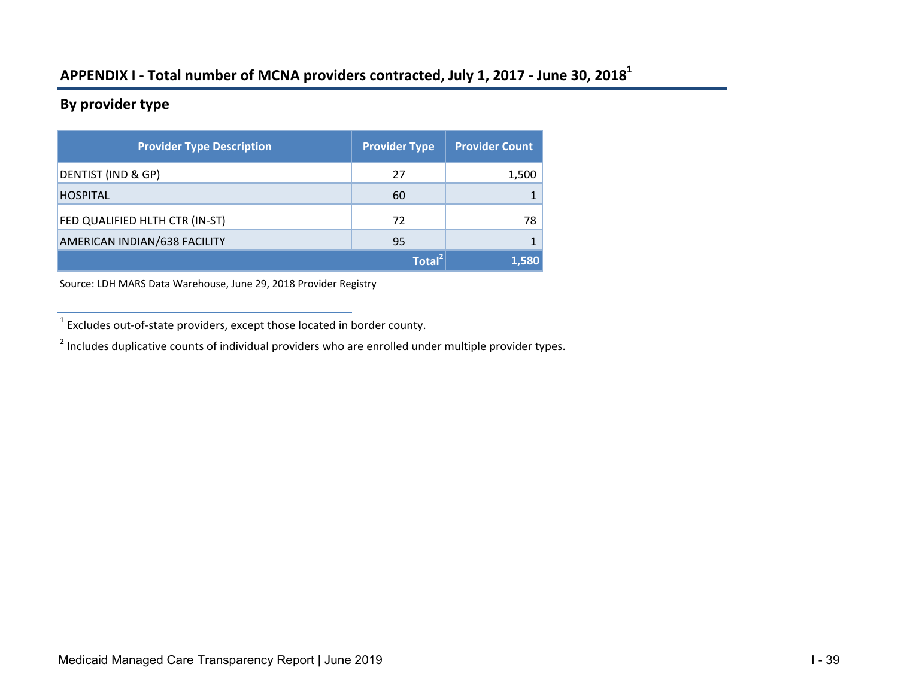# **APPENDIX I ‐ Total number of MCNA providers contracted, July 1, 2017 ‐ June 30, 2018<sup>1</sup>**

### **By provider type**

| <b>Provider Type Description</b> | <b>Provider Type</b> | <b>Provider Count</b> |
|----------------------------------|----------------------|-----------------------|
| DENTIST (IND & GP)               | 27                   | 1,500                 |
| <b>HOSPITAL</b>                  | 60                   |                       |
| FED QUALIFIED HLTH CTR (IN-ST)   | 72                   | 78                    |
| AMERICAN INDIAN/638 FACILITY     | 95                   |                       |
|                                  | Total <sup>2</sup>   | 1,580                 |

Source: LDH MARS Data Warehouse, June 29, 2018 Provider Registry

<sup>1</sup> Excludes out‐of‐state providers, except those located in border county.

 $2$  Includes duplicative counts of individual providers who are enrolled under multiple provider types.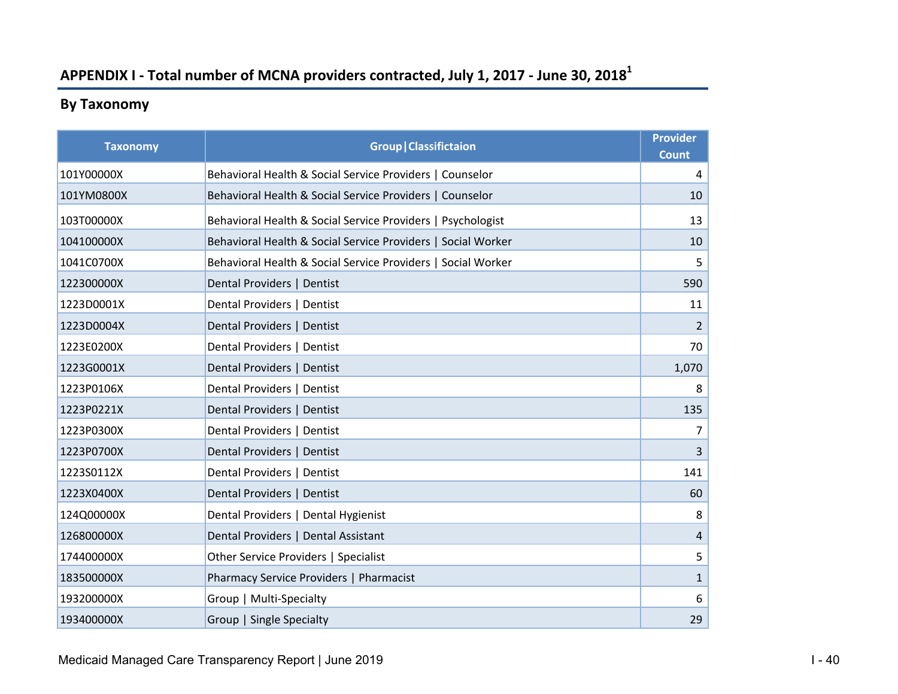# **APPENDIX I ‐ Total number of MCNA providers contracted, July 1, 2017 ‐ June 30, 2018<sup>1</sup>**

# **By Taxonomy**

| <b>Taxonomy</b> | <b>Group   Classifictaion</b>                                | <b>Provider</b><br><b>Count</b> |
|-----------------|--------------------------------------------------------------|---------------------------------|
| 101Y00000X      | Behavioral Health & Social Service Providers   Counselor     | 4                               |
| 101YM0800X      | Behavioral Health & Social Service Providers   Counselor     | 10                              |
| 103T00000X      | Behavioral Health & Social Service Providers   Psychologist  | 13                              |
| 104100000X      | Behavioral Health & Social Service Providers   Social Worker | 10                              |
| 1041C0700X      | Behavioral Health & Social Service Providers   Social Worker | 5                               |
| 122300000X      | Dental Providers   Dentist                                   | 590                             |
| 1223D0001X      | Dental Providers   Dentist                                   | 11                              |
| 1223D0004X      | Dental Providers   Dentist                                   | $\overline{2}$                  |
| 1223E0200X      | Dental Providers   Dentist                                   | 70                              |
| 1223G0001X      | Dental Providers   Dentist                                   | 1,070                           |
| 1223P0106X      | Dental Providers   Dentist                                   | 8                               |
| 1223P0221X      | Dental Providers   Dentist                                   | 135                             |
| 1223P0300X      | Dental Providers   Dentist                                   | $\overline{7}$                  |
| 1223P0700X      | Dental Providers   Dentist                                   | $\overline{3}$                  |
| 1223S0112X      | Dental Providers   Dentist                                   | 141                             |
| 1223X0400X      | Dental Providers   Dentist                                   | 60                              |
| 124Q00000X      | Dental Providers   Dental Hygienist                          | 8                               |
| 126800000X      | Dental Providers   Dental Assistant                          | $\overline{4}$                  |
| 174400000X      | Other Service Providers   Specialist                         | 5                               |
| 183500000X      | Pharmacy Service Providers   Pharmacist                      | $\mathbf{1}$                    |
| 193200000X      | Group   Multi-Specialty                                      | 6                               |
| 193400000X      | Group   Single Specialty                                     | 29                              |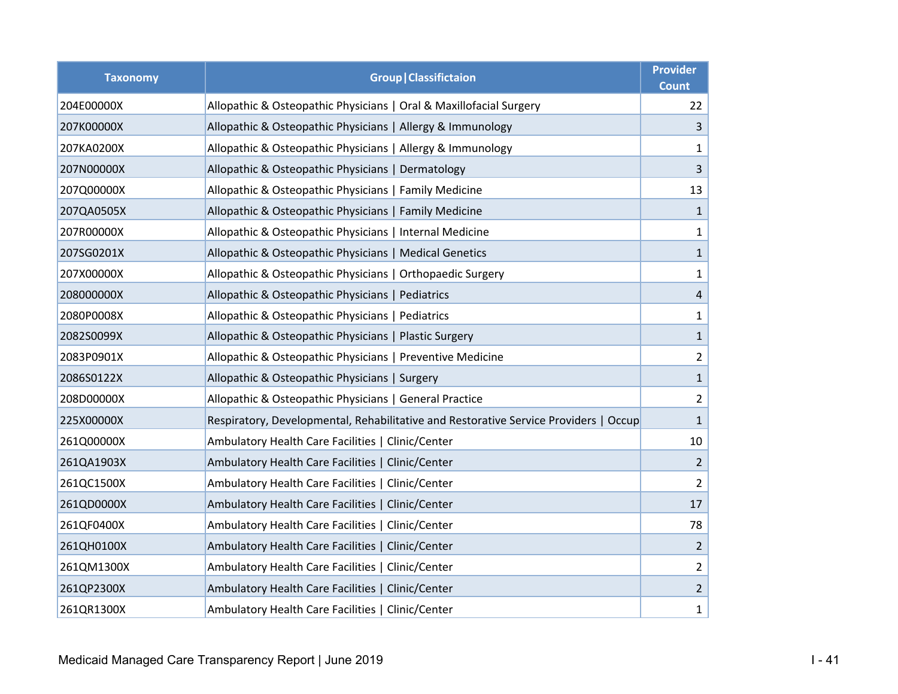| <b>Taxonomy</b> | <b>Group   Classifictaion</b>                                                        |                |  |  |
|-----------------|--------------------------------------------------------------------------------------|----------------|--|--|
| 204E00000X      | Allopathic & Osteopathic Physicians   Oral & Maxillofacial Surgery                   | 22             |  |  |
| 207K00000X      | Allopathic & Osteopathic Physicians   Allergy & Immunology                           | $\mathbf{3}$   |  |  |
| 207KA0200X      | Allopathic & Osteopathic Physicians   Allergy & Immunology                           | $\mathbf{1}$   |  |  |
| 207N00000X      | Allopathic & Osteopathic Physicians   Dermatology                                    | $\mathbf{3}$   |  |  |
| 207Q00000X      | Allopathic & Osteopathic Physicians   Family Medicine                                | 13             |  |  |
| 207QA0505X      | Allopathic & Osteopathic Physicians   Family Medicine                                | $\mathbf{1}$   |  |  |
| 207R00000X      | Allopathic & Osteopathic Physicians   Internal Medicine                              | $\mathbf{1}$   |  |  |
| 207SG0201X      | Allopathic & Osteopathic Physicians   Medical Genetics                               | $\mathbf{1}$   |  |  |
| 207X00000X      | Allopathic & Osteopathic Physicians   Orthopaedic Surgery                            | $\mathbf{1}$   |  |  |
| 208000000X      | Allopathic & Osteopathic Physicians   Pediatrics                                     | $\overline{4}$ |  |  |
| 2080P0008X      | Allopathic & Osteopathic Physicians   Pediatrics                                     | $\mathbf{1}$   |  |  |
| 2082S0099X      | Allopathic & Osteopathic Physicians   Plastic Surgery                                | $\mathbf{1}$   |  |  |
| 2083P0901X      | Allopathic & Osteopathic Physicians   Preventive Medicine                            | $2^{\circ}$    |  |  |
| 2086S0122X      | Allopathic & Osteopathic Physicians   Surgery                                        | $\mathbf{1}$   |  |  |
| 208D00000X      | Allopathic & Osteopathic Physicians   General Practice                               | $2^{\circ}$    |  |  |
| 225X00000X      | Respiratory, Developmental, Rehabilitative and Restorative Service Providers   Occup | $\mathbf{1}$   |  |  |
| 261Q00000X      | Ambulatory Health Care Facilities   Clinic/Center                                    | 10             |  |  |
| 261QA1903X      | Ambulatory Health Care Facilities   Clinic/Center                                    | $\overline{2}$ |  |  |
| 261QC1500X      | Ambulatory Health Care Facilities   Clinic/Center                                    | $\overline{2}$ |  |  |
| 261QD0000X      | Ambulatory Health Care Facilities   Clinic/Center                                    | 17             |  |  |
| 261QF0400X      | Ambulatory Health Care Facilities   Clinic/Center                                    | 78             |  |  |
| 261QH0100X      | Ambulatory Health Care Facilities   Clinic/Center                                    | $\overline{2}$ |  |  |
| 261QM1300X      | Ambulatory Health Care Facilities   Clinic/Center                                    | $\overline{2}$ |  |  |
| 261QP2300X      | Ambulatory Health Care Facilities   Clinic/Center                                    | $2^{\circ}$    |  |  |
| 261QR1300X      | Ambulatory Health Care Facilities   Clinic/Center                                    | $\mathbf{1}$   |  |  |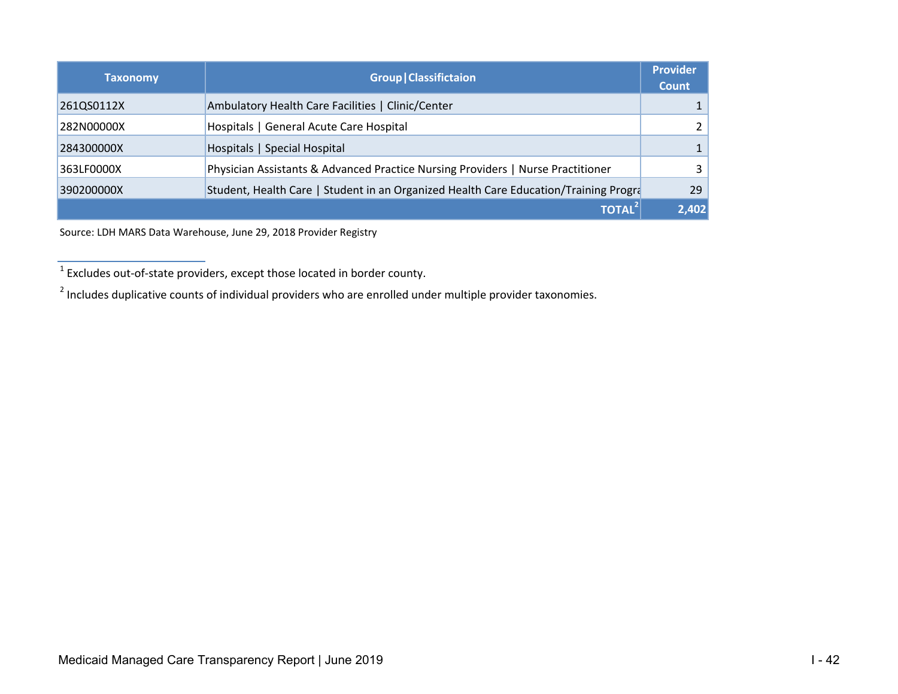| <b>Taxonomy</b> | <b>Group   Classifictaion</b>                                                        | <b>Provider</b><br><b>Count</b> |
|-----------------|--------------------------------------------------------------------------------------|---------------------------------|
| 261QS0112X      | Ambulatory Health Care Facilities   Clinic/Center                                    |                                 |
| 282N00000X      | Hospitals   General Acute Care Hospital                                              | 2                               |
| 284300000X      | Hospitals   Special Hospital                                                         | 1 <sup>1</sup>                  |
| 363LF0000X      | Physician Assistants & Advanced Practice Nursing Providers   Nurse Practitioner      | 3 <sup>1</sup>                  |
| 390200000X      | Student, Health Care   Student in an Organized Health Care Education/Training Progra | 29                              |
|                 | <b>TOTAL</b>                                                                         | 2,402                           |

Source: LDH MARS Data Warehouse, June 29, 2018 Provider Registry

 $1$  Excludes out-of-state providers, except those located in border county.

<sup>&</sup>lt;sup>2</sup> Includes duplicative counts of individual providers who are enrolled under multiple provider taxonomies.